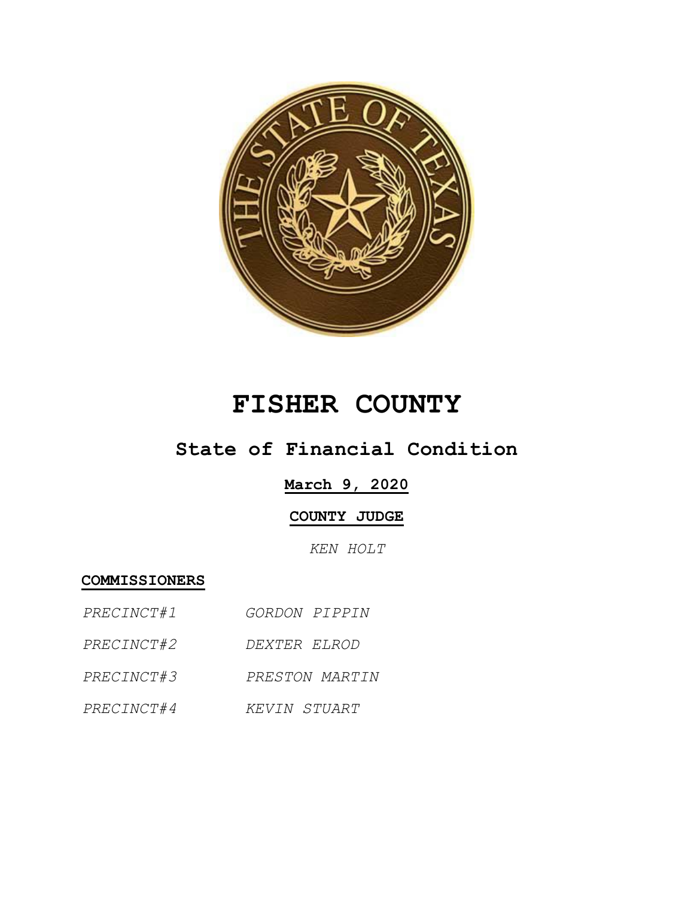

# **FISHER COUNTY**

## **State of Financial Condition**

#### **March 9, 2020**

#### **COUNTY JUDGE**

*KEN HOLT*

**COMMISSIONERS**

- *PRECINCT#1 GORDON PIPPIN*
- *PRECINCT#2 DEXTER ELROD*
- *PRECINCT#3 PRESTON MARTIN*
- *PRECINCT#4 KEVIN STUART*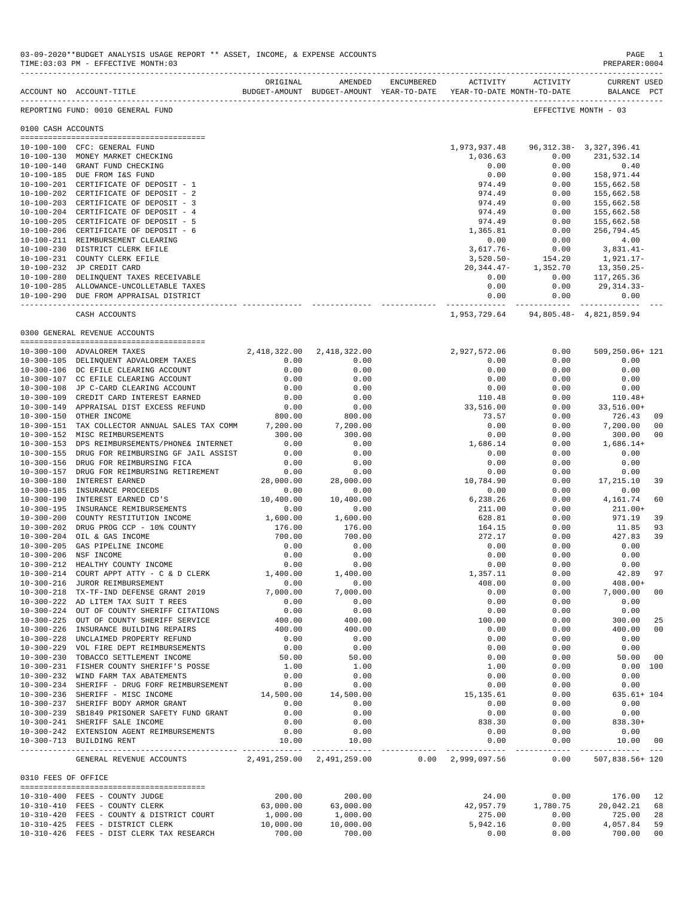|                                      |                                                                                                 | ORIGINAL     | AMENDED                | ENCUMBERED | ACTIVITY                 | ACTIVITY             | CURRENT USED                  |     |
|--------------------------------------|-------------------------------------------------------------------------------------------------|--------------|------------------------|------------|--------------------------|----------------------|-------------------------------|-----|
|                                      | BUDGET-AMOUNT BUDGET-AMOUNT YEAR-TO-DATE YEAR-TO-DATE MONTH-TO-DATE<br>ACCOUNT NO ACCOUNT-TITLE |              |                        |            |                          |                      | BALANCE PCT                   |     |
|                                      | REPORTING FUND: 0010 GENERAL FUND                                                               |              |                        |            |                          |                      | EFFECTIVE MONTH - 03          |     |
| 0100 CASH ACCOUNTS                   |                                                                                                 |              |                        |            |                          |                      |                               |     |
| 10-100-100                           |                                                                                                 |              |                        |            |                          |                      | 96, 312. 38 - 3, 327, 396. 41 |     |
|                                      | CFC: GENERAL FUND<br>10-100-130 MONEY MARKET CHECKING                                           |              |                        |            | 1,973,937.48<br>1,036.63 | 0.00                 | 231,532.14                    |     |
| $10 - 100 - 140$                     | GRANT FUND CHECKING                                                                             |              |                        |            | 0.00                     | 0.00                 | 0.40                          |     |
|                                      | 10-100-185 DUE FROM I&S FUND                                                                    |              |                        |            | 0.00                     | 0.00                 | 158,971.44                    |     |
| $10 - 100 - 201$                     | CERTIFICATE OF DEPOSIT - 1                                                                      |              |                        |            | 974.49                   | 0.00                 | 155,662.58                    |     |
| 10-100-202                           | CERTIFICATE OF DEPOSIT - 2                                                                      |              |                        |            | 974.49                   | 0.00                 | 155,662.58                    |     |
| $10 - 100 - 203$                     | CERTIFICATE OF DEPOSIT - 3                                                                      |              |                        |            | 974.49                   | 0.00                 | 155,662.58                    |     |
| $10 - 100 - 204$                     | CERTIFICATE OF DEPOSIT - 4                                                                      |              |                        |            | 974.49                   | 0.00                 | 155,662.58                    |     |
| $10 - 100 - 205$                     | CERTIFICATE OF DEPOSIT - 5                                                                      |              |                        |            | 974.49                   | 0.00                 | 155,662.58                    |     |
| $10 - 100 - 206$                     | CERTIFICATE OF DEPOSIT - 6                                                                      |              |                        |            | 1,365.81                 | 0.00                 | 256,794.45                    |     |
|                                      | 10-100-211 REIMBURSEMENT CLEARING                                                               |              |                        |            | 0.00                     | 0.00                 | 4.00                          |     |
| $10 - 100 - 230$                     | DISTRICT CLERK EFILE                                                                            |              |                        |            | $3,617.76-$              | 0.00                 | 3,831.41-                     |     |
|                                      | 10-100-231 COUNTY CLERK EFILE                                                                   |              |                        |            | $3,520.50-$              | 154.20               | 1,921.17-                     |     |
| $10 - 100 - 232$                     | JP CREDIT CARD                                                                                  |              |                        |            | $20, 344.47 -$           | 1,352.70             | 13,350.25-                    |     |
|                                      | 10-100-280 DELINQUENT TAXES RECEIVABLE                                                          |              |                        |            | 0.00                     | 0.00                 | 117,265.36                    |     |
|                                      | 10-100-285 ALLOWANCE-UNCOLLETABLE TAXES                                                         |              |                        |            | 0.00                     | 0.00                 | $29, 314.33 -$                |     |
|                                      | 10-100-290 DUE FROM APPRAISAL DISTRICT                                                          |              |                        |            | 0.00<br>------------     | 0.00                 | 0.00                          |     |
|                                      | CASH ACCOUNTS                                                                                   |              |                        |            | 1,953,729.64             |                      | 94,805.48- 4,821,859.94       |     |
|                                      | 0300 GENERAL REVENUE ACCOUNTS                                                                   |              |                        |            |                          |                      |                               |     |
|                                      |                                                                                                 |              |                        |            |                          |                      |                               |     |
|                                      | 10-300-100 ADVALOREM TAXES                                                                      | 2,418,322.00 | 2,418,322.00           |            | 2,927,572.06             | 0.00                 | 509,250.06+ 121               |     |
|                                      | 10-300-105 DELINQUENT ADVALOREM TAXES                                                           | 0.00         | 0.00                   |            | 0.00                     | 0.00                 | 0.00                          |     |
|                                      | 10-300-106 DC EFILE CLEARING ACCOUNT                                                            | 0.00         | 0.00                   |            | 0.00                     | 0.00                 | 0.00                          |     |
|                                      | 10-300-107 CC EFILE CLEARING ACCOUNT                                                            | 0.00         | 0.00                   |            | 0.00                     | 0.00                 | 0.00                          |     |
|                                      | 10-300-108 JP C-CARD CLEARING ACCOUNT                                                           | 0.00         | 0.00                   |            | 0.00                     | 0.00                 | 0.00                          |     |
| $10 - 300 - 109$                     | CREDIT CARD INTEREST EARNED                                                                     | 0.00         | 0.00                   |            | 110.48                   | 0.00                 | $110.48+$                     |     |
|                                      | 10-300-149 APPRAISAL DIST EXCESS REFUND                                                         | 0.00         | 0.00                   |            | 33,516.00                | 0.00                 | $33,516.00+$                  |     |
| $10 - 300 - 150$                     | OTHER INCOME                                                                                    | 800.00       | 800.00                 |            | 73.57                    | 0.00                 | 726.43                        | 09  |
| $10 - 300 - 151$                     | TAX COLLECTOR ANNUAL SALES TAX COMM                                                             | 7,200.00     | 7,200.00               |            | 0.00                     | 0.00                 | 7,200.00                      | 00  |
|                                      | 10-300-152 MISC REIMBURSEMENTS                                                                  | 300.00       | 300.00                 |            | 0.00                     | 0.00                 | 300.00                        | 00  |
| $10 - 300 - 153$<br>$10 - 300 - 155$ | DPS REIMBURSEMENTS/PHONE& INTERNET                                                              | 0.00<br>0.00 | 0.00<br>0.00           |            | 1,686.14<br>0.00         | 0.00<br>0.00         | $1,686.14+$<br>0.00           |     |
| $10 - 300 - 156$                     | DRUG FOR REIMBURSING GF JAIL ASSIST<br>DRUG FOR REIMBURSING FICA                                | 0.00         | 0.00                   |            | 0.00                     | 0.00                 | 0.00                          |     |
| $10 - 300 - 157$                     | DRUG FOR REIMBURSING RETIREMENT                                                                 | 0.00         | 0.00                   |            | 0.00                     | 0.00                 | 0.00                          |     |
| $10 - 300 - 180$                     | INTEREST EARNED                                                                                 | 28,000.00    | 28,000.00              |            | 10,784.90                | 0.00                 | 17,215.10                     | 39  |
| $10 - 300 - 185$                     | INSURANCE PROCEEDS                                                                              | 0.00         | 0.00                   |            | 0.00                     | 0.00                 | 0.00                          |     |
| $10 - 300 - 190$                     | INTEREST EARNED CD'S                                                                            | 10,400.00    | 10,400.00              |            | 6,238.26                 | 0.00                 | 4,161.74                      | 60  |
| $10 - 300 - 195$                     | INSURANCE REMIBURSEMENTS                                                                        | 0.00         | 0.00                   |            | 211.00                   | 0.00                 | $211.00+$                     |     |
| $10 - 300 - 200$                     | COUNTY RESTITUTION INCOME                                                                       | 1,600.00     | 1,600.00               |            | 628.81                   | 0.00                 | 971.19                        | 39  |
| $10 - 300 - 202$                     | DRUG PROG CCP - 10% COUNTY                                                                      | 176.00       | 176.00                 |            | 164.15                   | 0.00                 | 11.85                         | 93  |
| $10 - 300 - 204$                     | OIL & GAS INCOME                                                                                | 700.00       | 700.00                 |            | 272.17                   | 0.00                 | 427.83                        | 39  |
| $10 - 300 - 205$                     | GAS PIPELINE INCOME                                                                             | 0.00         | 0.00                   |            | 0.00                     | 0.00                 | 0.00                          |     |
| $10 - 300 - 206$                     | NSF INCOME                                                                                      | 0.00         | 0.00                   |            | 0.00                     | 0.00                 | 0.00                          |     |
| $10 - 300 - 212$                     | HEALTHY COUNTY INCOME                                                                           | 0.00         | 0.00                   |            | 0.00                     | 0.00                 | 0.00                          |     |
| $10 - 300 - 214$                     | COURT APPT ATTY - C & D CLERK                                                                   | 1,400.00     | 1,400.00               |            | 1,357.11                 | 0.00                 | 42.89                         | 97  |
|                                      | 10-300-216 JUROR REIMBURSEMENT                                                                  | 0.00         | 0.00                   |            | 408.00                   | 0.00                 | $408.00+$                     |     |
|                                      | 10-300-218 TX-TF-IND DEFENSE GRANT 2019                                                         | 7,000.00     | 7,000.00               |            | 0.00                     | 0.00                 | 7,000.00                      | 00  |
|                                      | 10-300-222 AD LITEM TAX SUIT T REES                                                             | 0.00         | 0.00                   |            | 0.00                     | 0.00                 | 0.00                          |     |
|                                      | 10-300-224 OUT OF COUNTY SHERIFF CITATIONS                                                      | 0.00         | 0.00                   |            | 0.00                     | 0.00                 | 0.00                          |     |
|                                      | 10-300-225 OUT OF COUNTY SHERIFF SERVICE                                                        | 400.00       | 400.00                 |            | 100.00                   | 0.00                 | 300.00                        | 25  |
|                                      | 10-300-226 INSURANCE BUILDING REPAIRS                                                           | 400.00       | 400.00                 |            | 0.00                     | 0.00                 | 400.00                        | 00  |
|                                      | 10-300-228 UNCLAIMED PROPERTY REFUND                                                            | 0.00         | 0.00                   |            | 0.00                     | 0.00                 | 0.00                          |     |
|                                      | 10-300-229 VOL FIRE DEPT REIMBURSEMENTS                                                         | 0.00         | 0.00                   |            | 0.00                     | 0.00                 | 0.00                          |     |
|                                      | 10-300-230 TOBACCO SETTLEMENT INCOME                                                            | 50.00        | 50.00                  |            | 0.00                     | 0.00                 | 50.00                         | 00  |
|                                      | 10-300-231 FISHER COUNTY SHERIFF'S POSSE                                                        | 1.00         | 1.00                   |            | 1.00                     | 0.00                 | 0.00                          | 100 |
|                                      | 10-300-232 WIND FARM TAX ABATEMENTS                                                             | 0.00         | 0.00                   |            | 0.00                     | 0.00                 | 0.00                          |     |
|                                      | 10-300-234 SHERIFF - DRUG FORF REIMBURSEMENT                                                    | 0.00         | 0.00                   |            | 0.00                     | 0.00                 | 0.00                          |     |
|                                      | 10-300-236 SHERIFF - MISC INCOME                                                                | 14,500.00    | 14,500.00              |            | 15,135.61                | 0.00                 | $635.61 + 104$                |     |
|                                      | 10-300-237 SHERIFF BODY ARMOR GRANT                                                             | 0.00         | 0.00                   |            | 0.00                     | 0.00                 | 0.00                          |     |
|                                      | 10-300-239 SB1849 PRISONER SAFETY FUND GRANT                                                    | 0.00         | 0.00                   |            | 0.00                     | 0.00                 | 0.00                          |     |
|                                      | 10-300-241 SHERIFF SALE INCOME                                                                  | 0.00         | 0.00                   |            | 838.30                   | 0.00                 | $838.30+$                     |     |
|                                      | 10-300-242 EXTENSION AGENT REIMBURSEMENTS                                                       | 0.00         | 0.00                   |            | 0.00                     | 0.00                 | 0.00                          |     |
|                                      | 10-300-713 BUILDING RENT                                                                        | 10.00        | 10.00<br>------------- |            | 0.00<br>--------------   | 0.00<br>------------ | 10.00                         | 00  |
|                                      | GENERAL REVENUE ACCOUNTS 2,491,259.00 2,491,259.00 0.00 2,999,097.56                            |              |                        |            |                          | 0.00                 | 507,838.56+ 120               |     |
| 0310 FEES OF OFFICE                  |                                                                                                 |              |                        |            |                          |                      |                               |     |
|                                      | 10-310-400 FEES - COUNTY JUDGE                                                                  | 200.00       | 200.00                 |            | 24.00                    | 0.00                 | 176.00                        | 12  |
|                                      | 10-310-410 FEES - COUNTY CLERK                                                                  | 63,000.00    | 63,000.00              |            | 42,957.79                | 1,780.75             | 20,042.21                     | 68  |
|                                      | 10-310-420 FEES - COUNTY & DISTRICT COURT                                                       | 1,000.00     | 1,000.00               |            | 275.00                   | 0.00                 | 725.00                        | 28  |
|                                      | 10-310-425 FEES - DISTRICT CLERK                                                                | 10,000.00    | 10,000.00              |            | 5,942.16                 | 0.00                 | 4,057.84                      | 59  |
|                                      | 10-310-426 FEES - DIST CLERK TAX RESEARCH                                                       | 700.00       | 700.00                 |            | 0.00                     | 0.00                 | 700.00                        | 00  |

### 03-09-2020\*\*BUDGET ANALYSIS USAGE REPORT \*\* ASSET, INCOME, & EXPENSE ACCOUNTS PAGE 1<br>TIME:03:03 PM - EFFECTIVE MONTH:03

 $TIME:03:03 PM - EFFECTIVE MOMTH:03$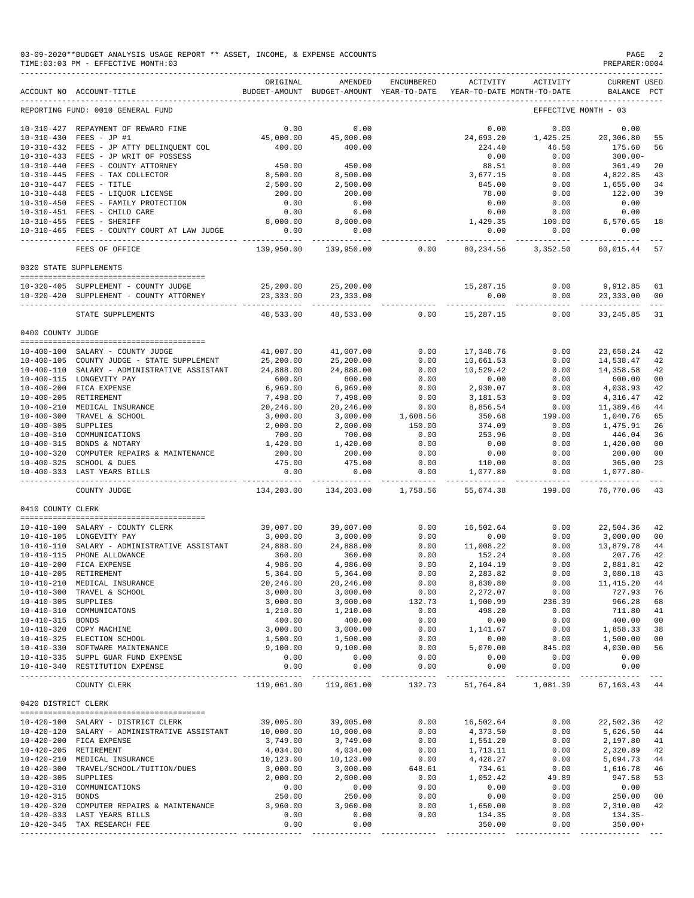| 03-09-2020**BUDGET ANALYSIS USAGE REPORT ** ASSET, INCOME, & EXPENSE ACCOUNTS<br>$\mathop{\mathrm{PAGE}}$<br>TIME: 03:03 PM - EFFECTIVE MONTH: 03<br>PREPARER: 0004 |                                                                                                            |                             |                                                     |                     |                             |                                        |                             |                                  |
|---------------------------------------------------------------------------------------------------------------------------------------------------------------------|------------------------------------------------------------------------------------------------------------|-----------------------------|-----------------------------------------------------|---------------------|-----------------------------|----------------------------------------|-----------------------------|----------------------------------|
|                                                                                                                                                                     | ACCOUNT NO ACCOUNT-TITLE                                                                                   | ORIGINAL                    | AMENDED<br>BUDGET-AMOUNT BUDGET-AMOUNT YEAR-TO-DATE | ENCUMBERED          | <b>ACTIVITY</b>             | ACTIVITY<br>YEAR-TO-DATE MONTH-TO-DATE | CURRENT USED<br>BALANCE PCT |                                  |
|                                                                                                                                                                     | REPORTING FUND: 0010 GENERAL FUND                                                                          |                             |                                                     |                     |                             |                                        | EFFECTIVE MONTH - 03        |                                  |
|                                                                                                                                                                     | 10-310-427 REPAYMENT OF REWARD FINE<br>10-310-430 FEES - JP #1<br>10-310-432 FEES - JP ATTY DELINQUENT COL | 0.00<br>45,000.00<br>400.00 | 0.00<br>45,000.00<br>400.00                         |                     | 0.00<br>24,693.20<br>224.40 | 0.00<br>1,425.25<br>46.50              | 0.00<br>20,306.80<br>175.60 | 55<br>56                         |
|                                                                                                                                                                     | 10-310-433 FEES - JP WRIT OF POSSESS<br>10-310-440 FEES - COUNTY ATTORNEY                                  | 450.00                      | 450.00                                              |                     | 0.00<br>88.51               | 0.00<br>0.00                           | $300.00 -$<br>361.49        | 20                               |
|                                                                                                                                                                     | 10-310-445 FEES - TAX COLLECTOR<br>10-310-447 FEES - TITLE                                                 | 8,500.00<br>2,500.00        | 8,500.00<br>2,500.00                                |                     | 3,677.15<br>845.00          | 0.00<br>0.00                           | 4,822.85<br>1,655.00        | 43<br>34                         |
|                                                                                                                                                                     | $10-310-44$ FEES - LIQUOR LICENSE<br>10-310-448 FEES - LIQUOR LICENSE                                      | 200.00                      | 200.00                                              |                     | 78.00                       | 0.00                                   | 122.00                      | 39                               |
|                                                                                                                                                                     | 10-310-450 FEES - FAMILY PROTECTION                                                                        | 0.00                        | 0.00                                                |                     | 0.00                        | 0.00                                   | 0.00                        |                                  |
|                                                                                                                                                                     | 10-310-451 FEES - CHILD CARE<br>10-310-455 FEES - SHERIFF                                                  | 0.00<br>8,000.00            | 0.00<br>8,000.00                                    |                     | 0.00<br>1,429.35            | 0.00<br>100.00                         | 0.00<br>6,570.65            | 18                               |
|                                                                                                                                                                     | 10-310-465 FEES - COUNTY COURT AT LAW JUDGE                                                                | 0.00<br>----------          | 0.00<br>----------                                  |                     | 0.00<br>.                   | 0.00<br>-------------                  | 0.00<br>-----------         |                                  |
|                                                                                                                                                                     | FEES OF OFFICE                                                                                             | 139,950.00                  | 139,950.00                                          | 0.00                | 80,234.56                   | 3,352.50                               | 60,015.44                   | 57                               |
|                                                                                                                                                                     | 0320 STATE SUPPLEMENTS                                                                                     |                             |                                                     |                     |                             |                                        |                             |                                  |
|                                                                                                                                                                     | 10-320-405 SUPPLEMENT - COUNTY JUDGE                                                                       | 25,200.00                   | 25,200.00                                           |                     | 15,287.15                   | 0.00                                   | 9,912.85                    | 61                               |
|                                                                                                                                                                     | 10-320-420 SUPPLEMENT - COUNTY ATTORNEY                                                                    | 23,333.00                   | 23,333.00                                           |                     | 0.00                        | 0.00                                   | 23,333.00                   | 00                               |
|                                                                                                                                                                     | STATE SUPPLEMENTS                                                                                          | 48,533.00                   | 48,533.00                                           | 0.00                | 15,287.15                   | 0.00                                   | 33, 245.85                  | 31                               |
| 0400 COUNTY JUDGE                                                                                                                                                   |                                                                                                            |                             |                                                     |                     |                             |                                        |                             |                                  |
|                                                                                                                                                                     | 10-400-100 SALARY - COUNTY JUDGE                                                                           | 41,007.00                   | 41,007.00                                           | 0.00                | 17,348.76                   | 0.00                                   | 23,658.24                   | 42                               |
|                                                                                                                                                                     | 10-400-105 COUNTY JUDGE - STATE SUPPLEMENT                                                                 | 25,200.00                   | 25,200.00                                           | 0.00                | 10,661.53                   | 0.00                                   | 14,538.47                   | 42                               |
|                                                                                                                                                                     | 10-400-110 SALARY - ADMINISTRATIVE ASSISTANT<br>10-400-115 LONGEVITY PAY                                   | 24,888.00<br>600.00         | 24,888.00<br>600.00                                 | 0.00<br>0.00        | 10,529.42<br>0.00           | 0.00<br>0.00                           | 14,358.58<br>600.00         | 42<br>0 <sup>0</sup>             |
|                                                                                                                                                                     | 10-400-200 FICA EXPENSE                                                                                    | 6,969.00                    | 6,969.00                                            | 0.00                | 2,930.07                    | 0.00                                   | 4,038.93                    | 42                               |
|                                                                                                                                                                     | 10-400-205 RETIREMENT                                                                                      | 7,498.00                    | 7,498.00                                            | 0.00                | 3,181.53                    | 0.00                                   | 4,316.47                    | 42                               |
|                                                                                                                                                                     | 10-400-210 MEDICAL INSURANCE<br>10-400-300 TRAVEL & SCHOOL                                                 | 20,246.00<br>3,000.00       | 20,246.00<br>3,000.00                               | 0.00<br>1,608.56    | 8,856.54<br>350.68          | 0.00<br>199.00                         | 11,389.46<br>1,040.76       | 44<br>65                         |
| 10-400-305 SUPPLIES                                                                                                                                                 |                                                                                                            | 2,000.00                    | 2,000.00                                            | 150.00              | 374.09                      | 0.00                                   | 1,475.91                    | 26                               |
|                                                                                                                                                                     | 10-400-310 COMMUNICATIONS                                                                                  | 700.00                      | 700.00                                              | 0.00                | 253.96                      | 0.00                                   | 446.04                      | 36                               |
|                                                                                                                                                                     | 10-400-315 BONDS & NOTARY<br>10-400-320 COMPUTER REPAIRS & MAINTENANCE                                     | 1,420.00<br>200.00          | 1,420.00<br>200.00                                  | 0.00<br>0.00        | 0.00<br>0.00                | 0.00<br>0.00                           | 1,420.00<br>200.00          | 0 <sup>0</sup><br>0 <sub>0</sub> |
|                                                                                                                                                                     | 10-400-325 SCHOOL & DUES                                                                                   | 475.00                      | 475.00                                              | 0.00                | 110.00                      | 0.00                                   | 365.00                      | 23                               |
|                                                                                                                                                                     | 10-400-333 LAST YEARS BILLS                                                                                | 0.00<br>.                   | 0.00<br>----------                                  | 0.00<br>----------- | 1,077.80                    | 0.00<br>-------                        | 1,077.80-<br>-----------    |                                  |
|                                                                                                                                                                     | COUNTY JUDGE                                                                                               | 134,203.00                  | 134,203.00                                          | 1,758.56            | 55,674.38                   | 199.00                                 | 76,770.06                   | 43                               |
| 0410 COUNTY CLERK                                                                                                                                                   |                                                                                                            |                             |                                                     |                     |                             |                                        |                             |                                  |
|                                                                                                                                                                     | 10-410-100 SALARY - COUNTY CLERK                                                                           | 39,007.00                   | 39,007.00                                           | 0.00                | 16,502.64                   | 0.00                                   | 22,504.36                   | 42                               |
|                                                                                                                                                                     | 10-410-105 LONGEVITY PAY                                                                                   | 3,000.00                    | 3,000.00                                            | 0.00                | 0.00                        | 0.00                                   | 3,000.00                    | 00                               |
| $10 - 410 - 110$                                                                                                                                                    | SALARY - ADMINISTRATIVE ASSISTANT 24,888.00<br>10-410-115 PHONE ALLOWANCE                                  | 360.00                      | 24,888.00<br>360.00                                 | 0.00<br>0.00        | 11,008.22<br>152.24         | 0.00<br>0.00                           | 13,879.78<br>207.76         | 44<br>42                         |
|                                                                                                                                                                     | 10-410-200 FICA EXPENSE                                                                                    | 4,986.00                    | 4,986.00                                            | 0.00                | 2,104.19                    | 0.00                                   | 2,881.81                    | 42                               |
|                                                                                                                                                                     | 10-410-205 RETIREMENT                                                                                      | 5,364.00                    | 5,364.00                                            | 0.00                | 2,283.82                    | 0.00                                   | 3,080.18                    | 43                               |
|                                                                                                                                                                     | 10-410-210 MEDICAL INSURANCE<br>10-410-300 TRAVEL & SCHOOL                                                 | 20,246.00<br>3,000.00       | 20,246.00<br>3,000.00                               | 0.00<br>0.00        | 8,830.80<br>2,272.07        | 0.00<br>0.00                           | 11, 415.20<br>727.93        | 44<br>76                         |
| 10-410-305 SUPPLIES                                                                                                                                                 |                                                                                                            | 3,000.00                    | 3,000.00                                            | 132.73              | 1,900.99                    | 236.39                                 | 966.28                      | 68                               |
|                                                                                                                                                                     | 10-410-310 COMMUNICATONS                                                                                   | 1,210.00                    | 1,210.00                                            | 0.00                | 498.20                      | 0.00                                   | 711.80                      | 41                               |
| 10-410-315 BONDS                                                                                                                                                    | 10-410-320 COPY MACHINE                                                                                    | 400.00<br>3,000.00          | 400.00<br>3,000.00                                  | 0.00<br>0.00        | 0.00<br>1,141.67            | 0.00<br>0.00                           | 400.00<br>1,858.33          | 0 <sub>0</sub><br>38             |
|                                                                                                                                                                     | 10-410-325 ELECTION SCHOOL                                                                                 | 1,500.00                    | 1,500.00                                            | 0.00                | 0.00                        | 0.00                                   | 1,500.00                    | 00                               |
|                                                                                                                                                                     | 10-410-330 SOFTWARE MAINTENANCE                                                                            | 9,100.00                    | 9,100.00                                            | 0.00                | 5,070.00                    | 845.00                                 | 4,030.00                    | 56                               |
|                                                                                                                                                                     | 10-410-335 SUPPL GUAR FUND EXPENSE                                                                         | 0.00                        | 0.00                                                | 0.00                | 0.00                        | 0.00                                   | 0.00                        |                                  |
|                                                                                                                                                                     | 10-410-340 RESTITUTION EXPENSE                                                                             | 0.00<br>----------          | 0.00<br>-----------                                 | 0.00<br>-------     | 0.00<br>.                   | 0.00<br>---------                      | 0.00<br>----------          |                                  |
|                                                                                                                                                                     | COUNTY CLERK                                                                                               | 119,061.00                  | 119,061.00                                          | 132.73              | 51,764.84                   | 1,081.39                               | 67, 163. 43 44              |                                  |
| 0420 DISTRICT CLERK                                                                                                                                                 |                                                                                                            |                             |                                                     |                     |                             |                                        |                             |                                  |
|                                                                                                                                                                     | 10-420-100 SALARY - DISTRICT CLERK<br>10-420-120 SALARY - ADMINISTRATIVE ASSISTANT                         | 39,005.00<br>10,000.00      | 39,005.00<br>10,000.00                              | 0.00<br>0.00        | 16,502.64<br>4,373.50       | 0.00<br>0.00                           | 22,502.36<br>5,626.50       | 42<br>44                         |
|                                                                                                                                                                     | 10-420-200 FICA EXPENSE                                                                                    | 3,749.00                    | 3,749.00                                            | 0.00                | 1,551.20                    | 0.00                                   | 2,197.80                    | 41                               |
|                                                                                                                                                                     | 10-420-205 RETIREMENT                                                                                      | 4,034.00                    | 4,034.00                                            | 0.00                | 1,713.11                    | 0.00                                   | 2,320.89                    | 42                               |
|                                                                                                                                                                     | 10-420-210 MEDICAL INSURANCE<br>10-420-300 TRAVEL/SCHOOL/TUITION/DUES                                      | 10,123.00<br>3,000.00       | 10,123.00<br>3,000.00                               | 0.00<br>648.61      | 4,428.27<br>734.61          | 0.00<br>0.00                           | 5,694.73<br>1,616.78        | 44<br>46                         |
| 10-420-305 SUPPLIES                                                                                                                                                 |                                                                                                            | 2,000.00                    | 2,000.00                                            | 0.00                | 1,052.42                    | 49.89                                  | 947.58                      | 53                               |
|                                                                                                                                                                     | 10-420-310 COMMUNICATIONS                                                                                  | 0.00                        | 0.00                                                | 0.00                | 0.00                        | 0.00                                   | 0.00                        |                                  |
| 10-420-315 BONDS                                                                                                                                                    | 10-420-320 COMPUTER REPAIRS & MAINTENANCE                                                                  | 250.00<br>3,960.00          | 250.00<br>3,960.00                                  | 0.00<br>0.00        | 0.00<br>1,650.00            | 0.00<br>0.00                           | 250.00<br>2,310.00          | 0 <sub>0</sub><br>42             |
|                                                                                                                                                                     | 10-420-333 LAST YEARS BILLS                                                                                | 0.00                        | 0.00                                                | 0.00                | 134.35                      | 0.00                                   | $134.35-$                   |                                  |
|                                                                                                                                                                     | 10-420-345 TAX RESEARCH FEE                                                                                | 0.00                        | 0.00                                                |                     | 350.00                      | 0.00                                   | $350.00+$                   |                                  |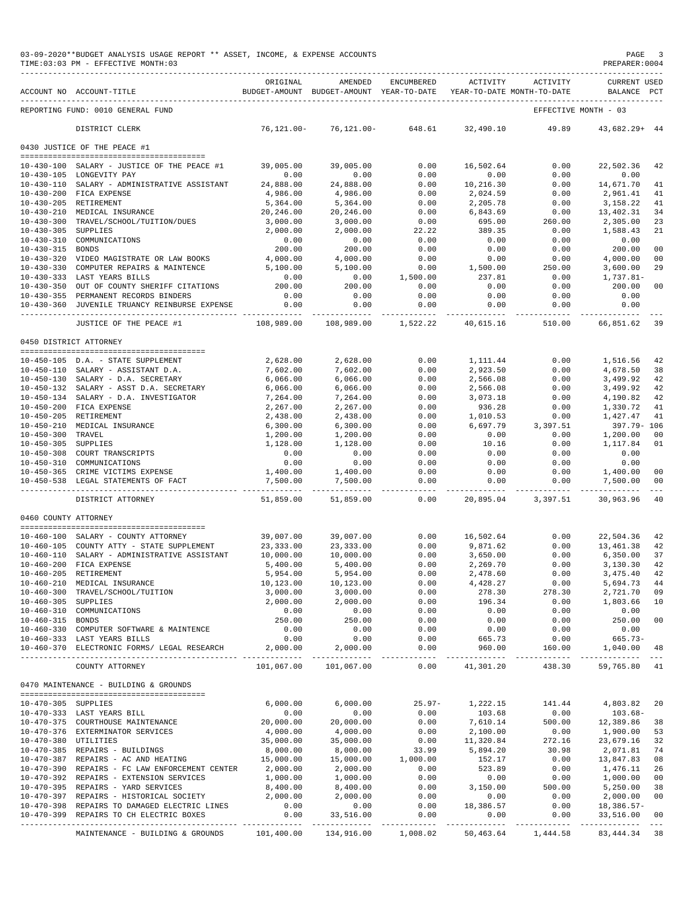|                      | 03-09-2020**BUDGET ANALYSIS USAGE REPORT ** ASSET, INCOME, & EXPENSE ACCOUNTS<br>TIME: 03:03 PM - EFFECTIVE MONTH: 03 |                           |                                                                                |                        |                        |                     | PAGE<br>PREPARER: 0004             | -3             |
|----------------------|-----------------------------------------------------------------------------------------------------------------------|---------------------------|--------------------------------------------------------------------------------|------------------------|------------------------|---------------------|------------------------------------|----------------|
|                      | ACCOUNT NO ACCOUNT-TITLE                                                                                              | ORIGINAL                  | AMENDED<br>BUDGET-AMOUNT BUDGET-AMOUNT YEAR-TO-DATE YEAR-TO-DATE MONTH-TO-DATE | ENCUMBERED             | <b>ACTIVITY</b>        | ACTIVITY            | <b>CURRENT USED</b><br>BALANCE PCT |                |
|                      | REPORTING FUND: 0010 GENERAL FUND                                                                                     |                           |                                                                                |                        |                        |                     | EFFECTIVE MONTH - 03               |                |
|                      | DISTRICT CLERK                                                                                                        | 76,121.00-                |                                                                                | 76,121.00- 648.61      | 32,490.10              | 49.89               | $43,682.29+44$                     |                |
|                      | 0430 JUSTICE OF THE PEACE #1                                                                                          |                           |                                                                                |                        |                        |                     |                                    |                |
|                      |                                                                                                                       |                           |                                                                                |                        |                        |                     |                                    |                |
|                      | 10-430-100 SALARY - JUSTICE OF THE PEACE #1<br>10-430-105 LONGEVITY PAY                                               | 39,005.00<br>0.00         | 39,005.00<br>0.00                                                              | 0.00<br>0.00           | 16,502.64<br>0.00      | 0.00<br>0.00        | 22,502.36<br>0.00                  | 42             |
|                      | 10-430-110 SALARY - ADMINISTRATIVE ASSISTANT                                                                          | 24,888.00                 | 24,888.00                                                                      | 0.00                   | 10,216.30              | 0.00                | 14,671.70                          | 41             |
|                      | 10-430-200 FICA EXPENSE                                                                                               | 4,986.00                  | 4,986.00                                                                       | 0.00                   | 2,024.59               | 0.00                | 2,961.41                           | 41             |
|                      | 10-430-205 RETIREMENT                                                                                                 | 5,364.00                  | 5,364.00                                                                       | 0.00                   | 2,205.78               | 0.00                | 3,158.22                           | 41             |
|                      | 10-430-210 MEDICAL INSURANCE                                                                                          | 20,246.00                 | 20,246.00                                                                      | 0.00                   | 6,843.69               | 0.00                | 13,402.31                          | 34             |
|                      | 10-430-300 TRAVEL/SCHOOL/TUITION/DUES                                                                                 | 3,000.00                  | 3,000.00                                                                       | 0.00                   | 695.00                 | 260.00              | 2,305.00                           | 23             |
| 10-430-305 SUPPLIES  |                                                                                                                       | 2,000.00                  | 2,000.00                                                                       | 22.22                  | 389.35                 | 0.00                | 1,588.43                           | 21             |
| 10-430-315 BONDS     | 10-430-310 COMMUNICATIONS                                                                                             | 0.00<br>200.00            | 0.00<br>200.00                                                                 | 0.00<br>0.00           | 0.00<br>0.00           | 0.00<br>0.00        | 0.00<br>200.00                     | 0 <sub>0</sub> |
|                      | 10-430-320 VIDEO MAGISTRATE OR LAW BOOKS                                                                              | 4,000.00                  | 4,000.00                                                                       | 0.00                   | 0.00                   | 0.00                | 4,000.00                           | 0 <sup>0</sup> |
|                      | 10-430-330 COMPUTER REPAIRS & MAINTENCE                                                                               | 5,100.00                  | 5,100.00                                                                       | 0.00                   | 1,500.00               | 250.00              | 3,600.00                           | 29             |
|                      | 10-430-333 LAST YEARS BILLS                                                                                           | 0.00                      | 0.00                                                                           | 1,500.00               | 237.81                 | 0.00                | 1,737.81-                          |                |
|                      | 10-430-350 OUT OF COUNTY SHERIFF CITATIONS                                                                            | 200.00                    | 200.00                                                                         | 0.00                   | 0.00                   | 0.00                | 200.00                             | 00             |
|                      | 10-430-355 PERMANENT RECORDS BINDERS                                                                                  | 0.00                      | 0.00                                                                           | 0.00                   | 0.00                   | 0.00                | 0.00                               |                |
|                      | 10-430-360 JUVENILE TRUANCY REINBURSE EXPENSE                                                                         | 0.00                      | 0.00                                                                           | 0.00                   | 0.00                   | 0.00                | 0.00                               |                |
|                      | JUSTICE OF THE PEACE #1                                                                                               | -----------<br>108,989.00 | 108,989.00                                                                     | ----------<br>1,522.22 | ---------<br>40,615.16 | -------<br>510.00   | 66,851.62 39                       |                |
|                      | 0450 DISTRICT ATTORNEY                                                                                                |                           |                                                                                |                        |                        |                     |                                    |                |
|                      |                                                                                                                       |                           |                                                                                |                        |                        |                     |                                    |                |
|                      | 10-450-105 D.A. - STATE SUPPLEMENT                                                                                    | 2,628.00                  | 2,628.00                                                                       | 0.00                   | 1,111.44               | 0.00                | 1,516.56                           | 42             |
|                      | 10-450-110 SALARY - ASSISTANT D.A.                                                                                    | 7,602.00                  | 7,602.00                                                                       | 0.00                   | 2,923.50               | 0.00                | 4,678.50                           | 38             |
|                      | 10-450-130 SALARY - D.A. SECRETARY                                                                                    | 6,066.00                  | 6,066.00                                                                       | 0.00                   | 2,566.08               | 0.00                | 3,499.92                           | 42             |
|                      | 10-450-132 SALARY - ASST D.A. SECRETARY                                                                               | 6,066.00                  | 6,066.00                                                                       | 0.00                   | 2,566.08               | 0.00                | 3,499.92                           | 42<br>42       |
|                      | 10-450-134 SALARY - D.A. INVESTIGATOR<br>10-450-200 FICA EXPENSE                                                      | 7,264.00<br>2,267.00      | 7,264.00<br>2,267.00                                                           | 0.00<br>0.00           | 3,073.18<br>936.28     | 0.00<br>0.00        | 4,190.82<br>1,330.72               | 41             |
|                      | 10-450-205 RETIREMENT                                                                                                 | 2,438.00                  | 2,438.00                                                                       | 0.00                   | 1,010.53               | 0.00                | 1,427.47                           | 41             |
|                      | 10-450-210 MEDICAL INSURANCE                                                                                          | 6,300.00                  | 6,300.00                                                                       | 0.00                   | 6,697.79               | 3,397.51            | 397.79- 106                        |                |
| 10-450-300 TRAVEL    |                                                                                                                       | 1,200.00                  | 1,200.00                                                                       | 0.00                   | 0.00                   | 0.00                | 1,200.00                           | 0 <sub>0</sub> |
| 10-450-305 SUPPLIES  |                                                                                                                       | 1,128.00                  | 1,128.00                                                                       | 0.00                   | 10.16                  | 0.00                | 1,117.84                           | 01             |
|                      | 10-450-308 COURT TRANSCRIPTS                                                                                          | 0.00                      | 0.00                                                                           | 0.00                   | 0.00                   | 0.00                | 0.00                               |                |
|                      | 10-450-310 COMMUNICATIONS                                                                                             | 0.00                      | 0.00                                                                           | 0.00                   | 0.00                   | 0.00                | 0.00                               |                |
|                      | 10-450-365 CRIME VICTIMS EXPENSE                                                                                      | 1,400.00                  | 1,400.00                                                                       | 0.00                   | 0.00                   | 0.00                | 1,400.00                           | 0 <sub>0</sub> |
|                      | 10-450-538 LEGAL STATEMENTS OF FACT                                                                                   | 7,500.00<br>-----------   | 7,500.00<br>------------                                                       | 0.00<br>-------        | 0.00<br>____________   | 0.00<br>----------- | 7,500.00                           | 0 <sup>0</sup> |
|                      | DISTRICT ATTORNEY                                                                                                     | 51,859.00                 | 51,859.00                                                                      | 0.00                   | 20,895.04              | 3,397.51            | 30,963.96                          | 40             |
| 0460 COUNTY ATTORNEY |                                                                                                                       |                           |                                                                                |                        |                        |                     |                                    |                |
|                      | 10-460-100 SALARY - COUNTY ATTORNEY                                                                                   | 39,007.00                 | 39,007.00                                                                      | 0.00                   | 16,502.64              | 0.00                | 22,504.36                          | 42             |
|                      | 10-460-105 COUNTY ATTY - STATE SUPPLEMENT                                                                             | 23, 333.00                | 23, 333.00                                                                     | 0.00                   | 9,871.62               | 0.00                | 13,461.38                          | 42             |
|                      | 10-460-110 SALARY - ADMINISTRATIVE ASSISTANT                                                                          | 10,000.00                 | 10,000.00                                                                      | 0.00                   | 3,650.00               | 0.00                | 6,350,00                           | 37             |
|                      | 10-460-200 FICA EXPENSE                                                                                               | 5,400.00                  | 5,400.00                                                                       | 0.00                   | 2,269.70               | 0.00                | 3,130.30                           | 42             |
|                      | 10-460-205 RETIREMENT                                                                                                 | 5,954.00                  | 5,954.00                                                                       | 0.00                   | 2,478.60               | 0.00                | 3,475.40                           | 42             |
|                      | 10-460-210 MEDICAL INSURANCE                                                                                          | 10,123.00                 | 10,123.00                                                                      | 0.00                   | 4,428.27               | 0.00                | 5,694.73                           | 44             |
| 10-460-305 SUPPLIES  | 10-460-300 TRAVEL/SCHOOL/TUITION                                                                                      | 3,000.00<br>2,000.00      | 3,000.00<br>2,000.00                                                           | 0.00<br>0.00           | 278.30<br>196.34       | 278.30<br>0.00      | 2,721.70<br>1,803.66               | 09<br>10       |
|                      | 10-460-310 COMMUNICATIONS                                                                                             | 0.00                      | 0.00                                                                           | 0.00                   | 0.00                   | 0.00                | 0.00                               |                |
| 10-460-315 BONDS     |                                                                                                                       | 250.00                    | 250.00                                                                         | 0.00                   | 0.00                   | 0.00                | 250.00                             | 0 <sub>0</sub> |
|                      | 10-460-330 COMPUTER SOFTWARE & MAINTENCE                                                                              | 0.00                      | 0.00                                                                           | 0.00                   | 0.00                   | 0.00                | 0.00                               |                |
|                      | 10-460-333 LAST YEARS BILLS                                                                                           | 0.00                      | 0.00                                                                           | 0.00                   | 665.73                 | 0.00                | $665.73-$                          |                |
|                      | 10-460-370 ELECTRONIC FORMS/ LEGAL RESEARCH                                                                           | 2,000.00                  | 2,000.00<br>____________                                                       | 0.00<br>----------     | 960.00                 | 160.00              | 1,040.00                           | 48             |
|                      | COUNTY ATTORNEY                                                                                                       | 101,067.00                | 101,067.00                                                                     | 0.00                   | 41,301.20              | 438.30              | 59,765.80 41                       |                |
|                      | 0470 MAINTENANCE - BUILDING & GROUNDS                                                                                 |                           |                                                                                |                        |                        |                     |                                    |                |
|                      |                                                                                                                       |                           |                                                                                |                        |                        |                     |                                    |                |
| 10-470-305 SUPPLIES  | 10-470-333 LAST YEARS BILL                                                                                            | 6,000.00<br>0.00          | 6,000.00<br>0.00                                                               | $25.97 -$<br>0.00      | 1,222.15<br>103.68     | 0.00                | $141.44$ $4,803.82$<br>$103.68 -$  | 20             |
|                      | 10-470-375 COURTHOUSE MAINTENANCE                                                                                     | 20,000.00                 | 20,000.00                                                                      | 0.00                   | 7,610.14               |                     | 12,389.86                          | 38             |
|                      | 10-470-376 EXTERMINATOR SERVICES                                                                                      | 4,000.00                  | 4,000.00                                                                       | 0.00                   | 2,100.00               | 500.00<br>0.00      | 1,900.00                           | 53             |
| 10-470-380 UTILITIES |                                                                                                                       | 35,000.00                 | 35,000.00                                                                      | 0.00                   | 11,320.84              | 272.16              | 23,679.16                          | 32             |
|                      | 10-470-385 REPAIRS - BUILDINGS                                                                                        | 8,000.00                  | 8,000.00                                                                       | 33.99                  | 5,894.20               | 30.98               | 2,071.81                           | 74             |
|                      | 10-470-387 REPAIRS - AC AND HEATING                                                                                   | 15,000.00                 | 15,000.00                                                                      | 1,000.00               | 152.17                 | 0.00                | 13,847.83                          | 08             |
|                      | 10-470-390 REPAIRS - FC LAW ENFORCEMENT CENTER                                                                        | 2,000.00                  | 2,000.00                                                                       | 0.00                   | 523.89                 | 0.00                | 1,476.11                           | 26             |
|                      | 10-470-392 REPAIRS - EXTENSION SERVICES                                                                               | 1,000.00                  | 1,000.00<br>8,400.00                                                           | 0.00                   | 0.00                   | 0.00                | 1,000.00                           | 0 <sub>0</sub> |
|                      | 10-470-395 REPAIRS - YARD SERVICES                                                                                    | 8,400.00                  |                                                                                | 0.00                   | 3,150.00               | 500.00              | 5,250.00                           | 38             |
|                      | 10-470-397 REPAIRS - HISTORICAL SOCIETY<br>10-470-398 REPAIRS TO DAMAGED ELECTRIC LINES                               | 2,000.00<br>0.00          | 2,000.00<br>0.00                                                               | 0.00<br>0.00           | 0.00<br>18,386.57      | 0.00<br>0.00        | 2,000.00<br>18,386.57-             | 0 <sub>0</sub> |
|                      | 10-470-399 REPAIRS TO CH ELECTRIC BOXES                                                                               | 0.00                      | 33,516.00                                                                      | 0.00                   | 0.00                   | 0.00                | 33,516.00                          | 0 <sub>0</sub> |
|                      |                                                                                                                       |                           | ______________                                                                 | -------------          |                        |                     |                                    |                |
|                      | MAINTENANCE - BUILDING & GROUNDS                                                                                      | 101,400.00                |                                                                                | 134,916.00 1,008.02    | 50,463.64              | 1,444.58            | 83, 444. 34 38                     |                |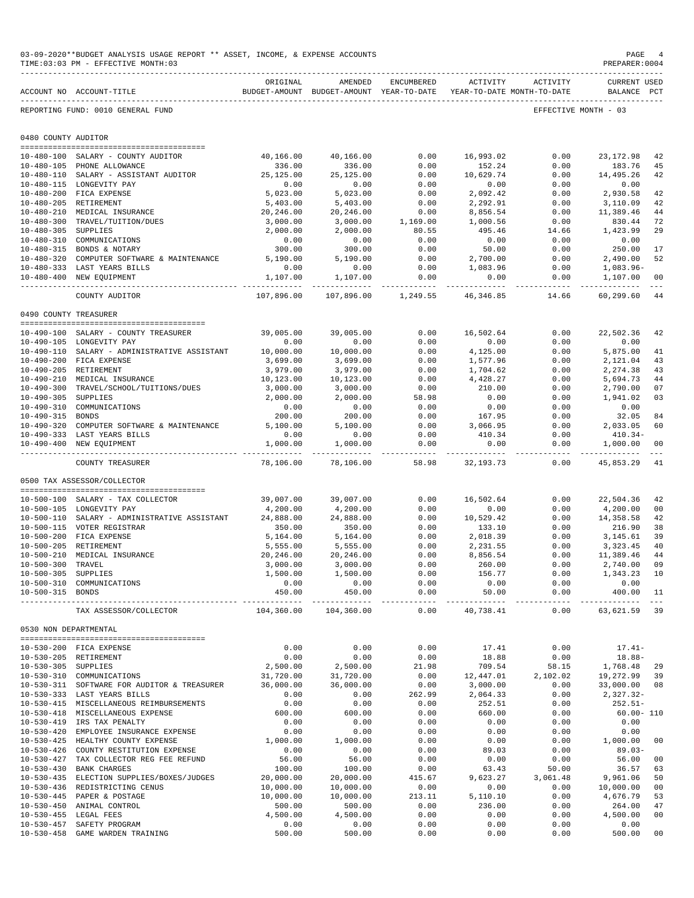|                                          | 03-09-2020**BUDGET ANALYSIS USAGE REPORT ** ASSET, INCOME, & EXPENSE ACCOUNTS<br>TIME: 03:03 PM - EFFECTIVE MONTH: 03 |                                                                                 |                       |                                   |                        |                                    | $\mathop{\mathtt{PAGE}}$<br>PREPARER: 0004 |               |
|------------------------------------------|-----------------------------------------------------------------------------------------------------------------------|---------------------------------------------------------------------------------|-----------------------|-----------------------------------|------------------------|------------------------------------|--------------------------------------------|---------------|
|                                          | ACCOUNT NO ACCOUNT-TITLE                                                                                              | ORIGINAL<br>BUDGET-AMOUNT BUDGET-AMOUNT YEAR-TO-DATE YEAR-TO-DATE MONTH-TO-DATE | AMENDED               | ENCUMBERED                        | ACTIVITY               | ACTIVITY                           | <b>CURRENT USED</b><br>BALANCE             | $_{\rm PCT}$  |
|                                          | REPORTING FUND: 0010 GENERAL FUND                                                                                     |                                                                                 |                       |                                   |                        |                                    | EFFECTIVE MONTH - 03                       |               |
| 0480 COUNTY AUDITOR                      |                                                                                                                       |                                                                                 |                       |                                   |                        |                                    |                                            |               |
|                                          | 10-480-100 SALARY - COUNTY AUDITOR                                                                                    | 40,166.00                                                                       | 40,166.00             | 0.00                              | 16,993.02              | 0.00                               | 23, 172.98                                 | 42            |
|                                          | 10-480-105 PHONE ALLOWANCE                                                                                            | 336.00                                                                          | 336.00                | 0.00                              | 152.24                 | 0.00                               | 183.76                                     | -45           |
|                                          | 10-480-110 SALARY - ASSISTANT AUDITOR                                                                                 | 25,125.00                                                                       | 25, 125.00            | 0.00                              | 10,629.74              | 0.00                               | 14,495.26                                  | 42            |
|                                          | 10-480-115 LONGEVITY PAY                                                                                              | 0.00                                                                            | 0.00                  | 0.00                              | 0.00                   | 0.00                               | 0.00                                       |               |
|                                          | 10-480-200 FICA EXPENSE                                                                                               | 5,023.00                                                                        | 5,023.00              | 0.00                              | 2,092.42               | 0.00                               | 2,930.58                                   | 42            |
|                                          | 10-480-205 RETIREMENT                                                                                                 | 5,403.00                                                                        | 5,403.00              | 0.00                              | 2,292.91               | 0.00                               | 3,110.09                                   | 42            |
|                                          | 10-480-210 MEDICAL INSURANCE<br>10-480-300 TRAVEL/TUITION/DUES                                                        | 20,246.00<br>3,000.00                                                           | 20,246.00<br>3,000.00 | 0.00<br>1,169.00                  | 8,856.54<br>1,000.56   | 0.00<br>0.00                       | 11,389.46<br>830.44                        | 44<br>72      |
| 10-480-305 SUPPLIES                      |                                                                                                                       | 2,000.00                                                                        | 2,000.00              | 80.55                             | 495.46                 | 14.66                              | 1,423.99                                   | 29            |
|                                          | 10-480-310 COMMUNICATIONS                                                                                             | 0.00                                                                            | 0.00                  | 0.00                              | 0.00                   | 0.00                               | 0.00                                       |               |
|                                          | 10-480-315 BONDS & NOTARY                                                                                             | 300.00                                                                          | 300.00                | 0.00                              | 50.00                  | 0.00                               | 250.00                                     | 17            |
|                                          | 10-480-320 COMPUTER SOFTWARE & MAINTENANCE 5,190.00                                                                   |                                                                                 | 5,190.00              | 0.00                              | 2,700.00               | 0.00                               | 2,490.00                                   | 52            |
|                                          | 10-480-333 LAST YEARS BILLS                                                                                           | 0.00                                                                            | 0.00                  | 0.00                              | 1,083.96               | 0.00                               | 1,083.96-                                  |               |
|                                          | 10-480-400 NEW EQUIPMENT<br>------------------------                                                                  | 1,107.00<br>------------                                                        | 1,107.00              | 0.00<br>------------ ------------ | 0.00<br>-------------- | 0.00                               | 1,107.00<br>----------- --------------     | 00            |
|                                          | COUNTY AUDITOR                                                                                                        | 107,896.00                                                                      | 107,896.00            | 1,249.55                          | 46,346.85              | 14.66                              | 60,299.60                                  | 44            |
| 0490 COUNTY TREASURER                    |                                                                                                                       |                                                                                 |                       |                                   |                        |                                    |                                            |               |
|                                          | 10-490-100 SALARY - COUNTY TREASURER                                                                                  | 39,005.00                                                                       | 39,005.00             | 0.00                              | 16,502.64              | 0.00                               | 22,502.36                                  | 42            |
|                                          | 10-490-105 LONGEVITY PAY                                                                                              | 0.00                                                                            | 0.00                  | 0.00                              | 0.00                   | 0.00                               | 0.00                                       |               |
|                                          | 10-490-110 SALARY - ADMINISTRATIVE ASSISTANT                                                                          | 10,000.00                                                                       | 10,000.00             | 0.00                              | 4,125.00               | 0.00                               | 5,875.00                                   | 41            |
|                                          | 10-490-200 FICA EXPENSE                                                                                               | 3,699.00                                                                        | 3,699.00              | 0.00                              | 1,577.96               | 0.00                               | 2,121.04                                   | 43            |
|                                          | 10-490-205 RETIREMENT                                                                                                 | 3,979.00                                                                        | 3,979.00              | 0.00                              | 1,704.62               | 0.00                               | 2,274.38                                   | 43            |
|                                          | 10-490-210 MEDICAL INSURANCE                                                                                          | 10,123.00                                                                       | 10,123.00             | 0.00                              | 4,428.27               | 0.00                               | 5,694.73                                   | 44            |
|                                          | 10-490-300 TRAVEL/SCHOOL/TUITIONS/DUES                                                                                | 3,000.00                                                                        | 3,000.00              | 0.00                              | 210.00                 | 0.00                               | 2,790.00                                   | 07            |
| 10-490-305 SUPPLIES                      | 10-490-310 COMMUNICATIONS                                                                                             | 2,000.00<br>0.00                                                                | 2,000.00<br>0.00      | 58.98<br>0.00                     | 0.00<br>0.00           | 0.00<br>0.00                       | 1,941.02<br>0.00                           | 03            |
| 10-490-315 BONDS                         |                                                                                                                       | 200.00                                                                          | 200.00                | 0.00                              | 167.95                 | 0.00                               | 32.05                                      | 84            |
|                                          | 10-490-320 COMPUTER SOFTWARE & MAINTENANCE                                                                            | 5,100.00                                                                        | 5,100.00              | 0.00                              | 3,066.95               | 0.00                               | 2,033.05                                   | 60            |
|                                          | 10-490-333 LAST YEARS BILLS                                                                                           | 0.00                                                                            | 0.00                  | 0.00                              | 410.34                 | 0.00                               | $410.34-$                                  |               |
|                                          | 10-490-400 NEW EQUIPMENT                                                                                              | 1,000.00                                                                        | 1,000.00              | 0.00                              | 0.00                   | 0.00                               | 1,000.00                                   | 00            |
|                                          | COUNTY TREASURER                                                                                                      | ----------<br>78,106.00                                                         | 78,106.00             | ----------- ------------<br>58.98 | 32, 193. 73            | ------------ -------------<br>0.00 | -------------<br>45,853.29                 | $- - -$<br>41 |
|                                          | 0500 TAX ASSESSOR/COLLECTOR                                                                                           |                                                                                 |                       |                                   |                        |                                    |                                            |               |
|                                          | 10-500-100 SALARY - TAX COLLECTOR                                                                                     | 39,007.00                                                                       | 39,007.00             | 0.00                              | 16,502.64              | 0.00                               | 22,504.36                                  | 42            |
|                                          | 10-500-105 LONGEVITY PAY                                                                                              | 4,200.00                                                                        | 4,200.00              | 0.00                              | 0.00                   | 0.00                               | 4,200.00                                   | 00            |
|                                          | 10-500-110 SALARY - ADMINISTRATIVE ASSISTANT                                                                          | 24,888.00                                                                       | 24,888.00             | 0.00                              | 10,529.42              | 0.00                               | 14,358.58                                  | 42            |
|                                          | 10-500-115 VOTER REGISTRAR                                                                                            | 350.00                                                                          | 350.00                | 0.00                              | 133.10                 | 0.00                               | 216.90                                     | 38            |
|                                          | 10-500-200 FICA EXPENSE                                                                                               | 5,164.00                                                                        | 5,164.00              | 0.00                              | 2,018.39               | 0.00                               | 3,145.61                                   | 39            |
|                                          | 10-500-205 RETIREMENT                                                                                                 | 5,555.00                                                                        | 5,555.00              | 0.00                              | 2,231.55               | 0.00                               | 3,323.45                                   | 40            |
|                                          | 10-500-210 MEDICAL INSURANCE                                                                                          | 20,246.00                                                                       | 20,246.00             | 0.00                              | 8,856.54               | 0.00                               | 11,389.46 44                               |               |
| 10-500-300 TRAVEL<br>10-500-305 SUPPLIES |                                                                                                                       | 3,000.00<br>1,500.00                                                            | 3,000.00<br>1,500.00  | 0.00<br>0.00                      | 260.00<br>156.77       | 0.00<br>0.00                       | 2,740.00 09<br>1,343.23 10                 |               |
|                                          | 10-500-310 COMMUNICATIONS                                                                                             | 0.00                                                                            | 0.00                  | 0.00                              | 0.00                   | 0.00                               | 0.00                                       |               |
| 10-500-315 BONDS                         |                                                                                                                       | 450.00                                                                          | 450.00                | 0.00                              | 50.00                  | 0.00                               | 400.00                                     | 11            |
|                                          | TAX ASSESSOR/COLLECTOR                                                                                                |                                                                                 | 104,360.00 104,360.00 | 0.00                              | 40.738.41              |                                    | $0.00$ 63,621.59 39                        |               |
| 0530 NON DEPARTMENTAL                    |                                                                                                                       |                                                                                 |                       |                                   |                        |                                    |                                            |               |
|                                          | --------------------------------------<br>10-530-200 FICA EXPENSE                                                     | 0.00                                                                            | 0.00                  | 0.00                              | 17.41                  | 0.00                               | $17.41-$                                   |               |
|                                          | 10-530-205 RETIREMENT                                                                                                 | 0.00                                                                            | 0.00                  | 0.00                              | 18.88                  | 0.00                               | $18.88 -$                                  |               |
| 10-530-305 SUPPLIES                      |                                                                                                                       | 2,500.00                                                                        | 2,500.00              | 21.98                             | 709.54                 | 58.15                              | 1,768.48 29                                |               |
|                                          | 10-530-310 COMMUNICATIONS                                                                                             | 31,720.00                                                                       | 31,720.00             | 0.00                              | 12,447.01              | 2,102.02                           | 19,272.99 39                               |               |
|                                          | 10-530-311 SOFTWARE FOR AUDITOR & TREASURER                                                                           | 36,000.00                                                                       | 36,000.00             | 0.00                              | 3,000.00               | 0.00                               | 33,000.00 08                               |               |
|                                          | 10-530-333 LAST YEARS BILLS                                                                                           | 0.00                                                                            | 0.00                  | 262.99                            | 2,064.33               | 0.00                               | 2,327.32-                                  |               |
|                                          | 10-530-415 MISCELLANEOUS REIMBURSEMENTS                                                                               | 0.00                                                                            | 0.00                  | 0.00                              | 252.51                 | 0.00                               | $252.51-$                                  |               |
|                                          | 10-530-418 MISCELLANEOUS EXPENSE                                                                                      | 600.00                                                                          | 600.00                | 0.00                              | 660.00                 | 0.00                               | $60.00 - 110$                              |               |
|                                          | 10-530-419 IRS TAX PENALTY<br>10-530-420 EMPLOYEE INSURANCE EXPENSE                                                   | 0.00<br>0.00                                                                    | 0.00<br>0.00          | 0.00<br>0.00                      | 0.00<br>0.00           | 0.00<br>0.00                       | 0.00<br>0.00                               |               |
|                                          | 10-530-425 HEALTHY COUNTY EXPENSE                                                                                     | 1,000.00                                                                        | 1,000.00              | 0.00                              | 0.00                   | 0.00                               | 1,000.00                                   | 00            |
|                                          | 10-530-426 COUNTY RESTITUTION EXPENSE                                                                                 | 0.00                                                                            | 0.00                  | 0.00                              | 89.03                  | 0.00                               | $89.03 -$                                  |               |
|                                          | 10-530-427 TAX COLLECTOR REG FEE REFUND                                                                               | 56.00                                                                           | 56.00                 | 0.00                              | 0.00                   | 0.00                               | 56.00                                      | 00            |
|                                          | 10-530-430 BANK CHARGES                                                                                               | 100.00                                                                          | 100.00                | 0.00                              | 63.43                  | 50.00                              | 36.57                                      | 63            |
|                                          | 10-530-435 ELECTION SUPPLIES/BOXES/JUDGES                                                                             | 20,000.00                                                                       | 20,000.00             | 415.67                            | 9,623.27               | 3,061.48                           | 9,961.06 50                                |               |
|                                          | 10-530-436 REDISTRICTING CENUS                                                                                        | 10,000.00                                                                       | 10,000.00             | 0.00                              | 0.00                   | 0.00                               | 10,000.00 00                               |               |
|                                          | 10-530-445 PAPER & POSTAGE<br>10-530-450 ANIMAL CONTROL                                                               | 10,000.00<br>500.00                                                             | 10,000.00<br>500.00   | 213.11<br>0.00                    | 5,110.10<br>236.00     | 0.00<br>0.00                       | 4,676.79<br>264.00                         | 53<br>47      |
|                                          | 10-530-455 LEGAL FEES                                                                                                 | 4,500.00                                                                        | 4,500.00              | 0.00                              | 0.00                   | 0.00                               | 4,500.00                                   | 00            |
|                                          | 10-530-457 SAFETY PROGRAM                                                                                             | 0.00                                                                            | 0.00                  | 0.00                              | 0.00                   | 0.00                               | 0.00                                       |               |
|                                          | 10-530-458 GAME WARDEN TRAINING                                                                                       | 500.00                                                                          | 500.00                | 0.00                              | 0.00                   | 0.00                               | 500.00                                     | 00            |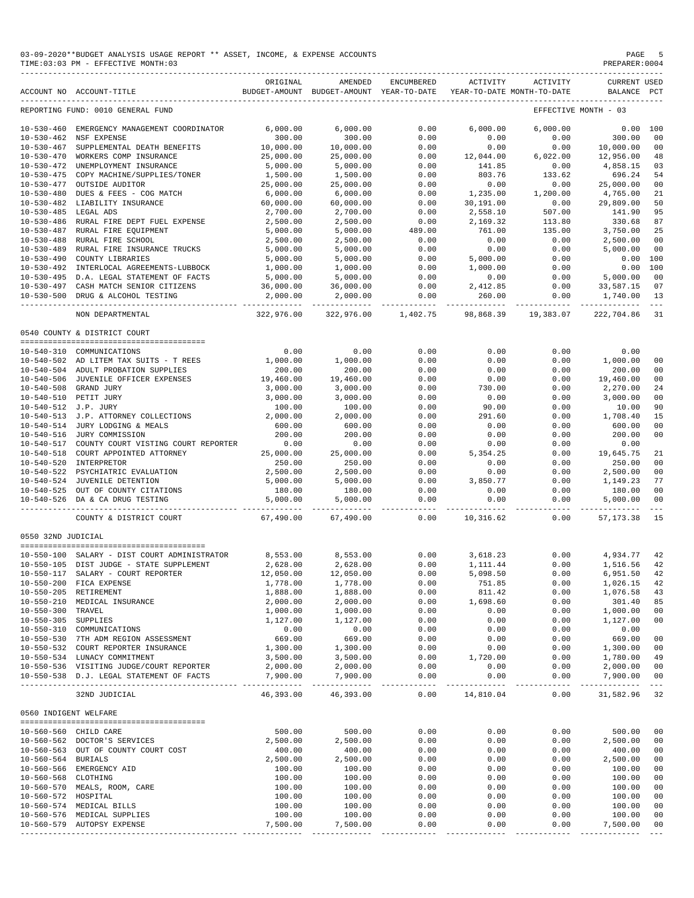#### 03-09-2020\*\*BUDGET ANALYSIS USAGE REPORT \*\* ASSET, INCOME, & EXPENSE ACCOUNTS PAGE 5 PAGE 5 PAGE 5 PAGE 5 PAGE 5  $TIME:03:03 PM - EFFECTIVE MOMTH:03$

|                       | ACCOUNT NO ACCOUNT-TITLE                                                                                                                    | ORIGINAL               | AMENDED<br>BUDGET-AMOUNT BUDGET-AMOUNT YEAR-TO-DATE | ENCUMBERED               | ACTIVITY  | ACTIVITY<br>YEAR-TO-DATE MONTH-TO-DATE | <b>CURRENT USED</b><br>BALANCE PCT |                |
|-----------------------|---------------------------------------------------------------------------------------------------------------------------------------------|------------------------|-----------------------------------------------------|--------------------------|-----------|----------------------------------------|------------------------------------|----------------|
|                       | REPORTING FUND: 0010 GENERAL FUND                                                                                                           |                        |                                                     |                          |           |                                        | EFFECTIVE MONTH - 03               |                |
|                       | 10-530-460 EMERGENCY MANAGEMENT COORDINATOR                                                                                                 | 6,000.00               | 6,000.00                                            | 0.00                     | 6,000.00  | 6,000.00                               | $0.00$ 100                         |                |
|                       | 10-530-462 NSF EXPENSE                                                                                                                      | 300.00                 | 300.00                                              | 0.00                     | 0.00      | 0.00                                   | 300.00                             | 0 <sup>0</sup> |
|                       | 10-530-467 SUPPLEMENTAL DEATH BENEFITS                                                                                                      | 10,000.00              | 10,000.00                                           | 0.00                     | 0.00      | 0.00                                   | 10,000.00                          | 0 <sub>0</sub> |
|                       | 10-530-470 WORKERS COMP INSURANCE                                                                                                           | 25,000.00              | 25,000.00                                           | 0.00                     | 12,044.00 | 6,022.00                               | 12,956.00                          | 48             |
|                       | 10-530-472 UNEMPLOYMENT INSURANCE                                                                                                           | 5,000.00               | 5,000.00                                            | 0.00                     | 141.85    | 0.00                                   | 4,858.15                           | 03             |
|                       | 10-530-475 COPY MACHINE/SUPPLIES/TONER                                                                                                      | 1,500.00               | 1,500.00                                            | 0.00                     | 803.76    | 133.62                                 | 696.24                             | 54             |
|                       | 10-530-477 OUTSIDE AUDITOR                                                                                                                  | 25,000.00              | 25,000.00                                           | 0.00                     | 0.00      | 0.00                                   | 25,000.00                          | 00             |
|                       | 10-530-480 DUES & FEES - COG MATCH                                                                                                          | 6,000.00               | 6,000.00                                            | 0.00                     | 1,235.00  | 1,200.00                               | 4,765.00                           | 21             |
|                       | 10-530-482 LIABILITY INSURANCE                                                                                                              | 60,000.00              | 60,000.00                                           | 0.00                     | 30,191.00 | 0.00                                   | 29,809.00                          | 50             |
| 10-530-485 LEGAL ADS  |                                                                                                                                             | 2,700.00               | 2,700.00                                            | 0.00                     | 2,558.10  | 507.00                                 | 141.90                             | 95             |
|                       | 10-530-486 RURAL FIRE DEPT FUEL EXPENSE                                                                                                     | 2,500.00               | 2,500.00                                            | 0.00                     | 2,169.32  | 113.80                                 | 330.68                             | 87             |
|                       | 10-530-487 RURAL FIRE EQUIPMENT                                                                                                             | 5,000.00               | 5,000.00                                            | 489.00                   | 761.00    | 135.00                                 | 3,750.00                           | 25             |
|                       | 10-530-488 RURAL FIRE SCHOOL                                                                                                                | 2,500.00               | 2,500.00                                            | 0.00                     | 0.00      | 0.00                                   | 2,500.00                           | 00             |
|                       | 10-530-489 RURAL FIRE INSURANCE TRUCKS                                                                                                      | 5,000.00               | 5,000.00                                            | 0.00                     | 0.00      | 0.00                                   | 5,000.00                           | 0 <sub>0</sub> |
|                       | 10-530-490 COUNTY LIBRARIES                                                                                                                 | 5,000.00               | 5,000.00                                            | 0.00                     | 5,000.00  | 0.00                                   | 0.00 100                           |                |
|                       | 10-530-492 INTERLOCAL AGREEMENTS-LUBBOCK                                                                                                    | 1,000.00               | 1,000.00                                            | 0.00                     | 1,000.00  | 0.00                                   | $0.00$ 100                         |                |
|                       | 10-530-495 D.A. LEGAL STATEMENT OF FACTS                                                                                                    | 5,000.00               | 5,000.00                                            | 0.00                     | 0.00      | 0.00                                   | 5,000.00                           | 0 <sub>0</sub> |
|                       | 10-530-497 CASH MATCH SENIOR CITIZENS                                                                                                       | 36,000.00              | 36,000.00                                           | 0.00                     | 2,412.85  | 0.00                                   | 33,587.15                          | 07             |
|                       | 10-530-500 DRUG & ALCOHOL TESTING                                                                                                           | 2,000.00               | 2,000.00                                            | 0.00                     | 260.00    | 0.00                                   | 1,740.00                           | 13             |
|                       | NON DEPARTMENTAL                                                                                                                            | 322,976.00             | 322,976.00                                          | ____________<br>1,402.75 |           | 98,868.39 19,383.07                    | 222,704.86                         | $- - -$<br>31  |
|                       |                                                                                                                                             |                        |                                                     |                          |           |                                        |                                    |                |
|                       | 0540 COUNTY & DISTRICT COURT                                                                                                                |                        |                                                     |                          |           |                                        |                                    |                |
|                       | 10-540-310 COMMUNICATIONS                                                                                                                   | 0.00                   | 0.00                                                | 0.00                     | 0.00      | 0.00                                   | 0.00                               |                |
|                       | 10-540-502 AD LITEM TAX SUITS - T REES                                                                                                      | 1,000.00               | 1,000.00                                            | 0.00                     | 0.00      | 0.00                                   | 1,000.00                           | 0 <sub>0</sub> |
|                       | 10-540-504 ADULT PROBATION SUPPLIES                                                                                                         | 200.00                 | 200.00                                              | 0.00                     | 0.00      | 0.00                                   | 200.00                             | 00             |
|                       | 10-540-506 JUVENILE OFFICER EXPENSES                                                                                                        | 19,460.00              | 19,460.00                                           | 0.00                     | 0.00      | 0.00                                   | 19,460.00                          | 0 <sub>0</sub> |
|                       | 10-540-508 GRAND JURY                                                                                                                       | 3,000.00               | 3,000.00                                            | 0.00                     | 730.00    | 0.00                                   | 2,270.00                           | 24             |
|                       | 10-540-510 PETIT JURY                                                                                                                       | 3,000.00               | 3,000.00                                            | 0.00                     | 0.00      | 0.00                                   | 3,000.00                           | 0 <sub>0</sub> |
| 10-540-512 J.P. JURY  |                                                                                                                                             | 100.00                 | 100.00                                              | 0.00                     | 90.00     | 0.00                                   | 10.00                              | 90             |
|                       | $10-540-512$ J.P. ATTORNEY COLLECTIONS<br>$10-540-513$ J.P. ATTORNEY COLLECTIONS                                                            | 2,000.00               | 2,000.00                                            | 0.00                     | 291.60    | 0.00                                   | 1,708.40                           | 15             |
|                       | 10-540-514 JURY LODGING & MEALS                                                                                                             | 600.00                 | 600.00                                              | 0.00                     | 0.00      | 0.00                                   | 600.00                             | 00             |
|                       | 10-540-516 JURY COMMISSION                                                                                                                  | 200.00                 | 200.00                                              | 0.00                     | 0.00      | 0.00                                   | 200.00                             | 0 <sub>0</sub> |
|                       | 10-540-517 COUNTY COURT VISTING COURT REPORTER                                                                                              | 0.00                   | 0.00                                                | 0.00                     | 0.00      | 0.00                                   | 0.00                               |                |
|                       | 10-540-518 COURT APPOINTED ATTORNEY                                                                                                         | 25,000.00              | 25,000.00                                           | 0.00                     | 5, 354.25 | 0.00                                   | 19,645.75                          | 21             |
|                       | 10-540-520 INTERPRETOR                                                                                                                      | 250.00                 | 250.00                                              | 0.00                     | 0.00      | 0.00                                   | 250.00                             | 0 <sub>0</sub> |
|                       |                                                                                                                                             | 2,500.00               | 2,500.00                                            | 0.00                     | 0.00      | 0.00                                   | 2,500.00                           | 0 <sub>0</sub> |
|                       |                                                                                                                                             | 5,000.00               | 5,000.00                                            | 0.00                     | 3,850.77  | 0.00                                   | 1,149.23                           | 77             |
|                       |                                                                                                                                             | 180.00                 | 180.00                                              | 0.00                     | 0.00      | 0.00                                   | 180.00                             | 0 <sub>0</sub> |
|                       | 10-540-522 PSYCHIATRIC EVALUATION<br>10-540-524 JUVENILE DETENTION<br>10-540-525 OUT OF COUNTY CITATIONS<br>10-540-526 DA & CA DRUG TESTING | 5,000.00               | 5,000.00                                            | 0.00                     | 0.00      | 0.00                                   | 5,000.00                           | 0 <sub>0</sub> |
|                       | COUNTY & DISTRICT COURT                                                                                                                     | 67,490.00              | 67,490.00                                           | 0.00                     |           | 10,316.62 0.00                         | 57, 173.38                         | 15             |
|                       |                                                                                                                                             |                        |                                                     |                          |           |                                        |                                    |                |
| 0550 32ND JUDICIAL    |                                                                                                                                             |                        |                                                     |                          |           |                                        |                                    |                |
|                       | 10-550-100 SALARY - DIST COURT ADMINISTRATOR                                                                                                | 8,553.00               | 8,553.00                                            | 0.00                     | 3,618.23  | 0.00                                   | 4,934.77                           | 42             |
|                       | 10-550-105 DIST JUDGE - STATE SUPPLEMENT                                                                                                    | 2,628.00               | 2,628.00                                            | 0.00                     | 1,111.44  | 0.00                                   | 1,516.56                           | 42             |
|                       | 10-550-117 SALARY - COURT REPORTER                                                                                                          | 12,050.00              | 12,050.00                                           | 0.00                     | 5,098.50  | 0.00                                   | 6,951.50                           | 42             |
|                       | 10-550-200 FICA EXPENSE                                                                                                                     | 1,778.00               | 1,778.00                                            | 0.00                     | 751.85    | 0.00                                   | 1,026.15                           | 42             |
|                       | 10-550-205 RETIREMENT                                                                                                                       | 1,888.00               | 1,888.00                                            | 0.00                     | 811.42    | 0.00                                   | 1,076.58                           | 43             |
|                       | 10-550-210 MEDICAL INSURANCE                                                                                                                | 2,000.00               | 2,000.00                                            | 0.00                     | 1,698.60  | 0.00                                   | 301.40                             | 85             |
| 10-550-300 TRAVEL     |                                                                                                                                             | 1,000.00               | 1,000.00                                            | 0.00                     | 0.00      | 0.00                                   | 1,000.00                           | 0 <sub>0</sub> |
| 10-550-305 SUPPLIES   |                                                                                                                                             | 1,127.00               | 1,127.00                                            | 0.00                     | 0.00      | 0.00                                   | 1,127.00                           | 0 <sub>0</sub> |
|                       | 10-550-310 COMMUNICATIONS                                                                                                                   | 0.00                   | 0.00                                                | 0.00                     | 0.00      | 0.00                                   | 0.00                               |                |
|                       | 10-550-530 7TH ADM REGION ASSESSMENT                                                                                                        | 669.00                 | 669.00                                              | 0.00                     | 0.00      | 0.00                                   | 669.00                             | 0 <sub>0</sub> |
|                       | 10-550-532 COURT REPORTER INSURANCE                                                                                                         | 1,300.00               | 1,300.00                                            | 0.00                     | 0.00      | 0.00                                   | 1,300.00                           | 0 <sub>0</sub> |
|                       | 10-550-534 LUNACY COMMITMENT                                                                                                                | 3,500.00               | 3,500.00                                            | 0.00                     | 1,720.00  | 0.00                                   | 1,780.00                           | 49             |
|                       | 10-550-536 VISITING JUDGE/COURT REPORTER                                                                                                    | 2,000.00               | 2,000.00                                            | 0.00                     | 0.00      | 0.00                                   | 2,000.00                           | 0 <sub>0</sub> |
|                       | 10-550-538 D.J. LEGAL STATEMENT OF FACTS                                                                                                    | 7,900.00               | 7,900.00                                            | 0.00                     | 0.00      | 0.00                                   | 7,900.00                           | 0 <sub>0</sub> |
|                       | 32ND JUDICIAL                                                                                                                               | ---------<br>46,393.00 | ---------<br>46,393.00                              | $---$<br>0.00            | 14,810.04 | 0.00                                   | 31,582.96                          | $- - -$<br>32  |
| 0560 INDIGENT WELFARE |                                                                                                                                             |                        |                                                     |                          |           |                                        |                                    |                |
|                       |                                                                                                                                             |                        |                                                     |                          |           |                                        |                                    |                |
|                       | 10-560-560 CHILD CARE                                                                                                                       | 500.00                 | 500.00                                              | 0.00                     | 0.00      | 0.00                                   | 500.00                             | 0 <sub>0</sub> |
|                       | 10-560-562 DOCTOR'S SERVICES                                                                                                                | 2,500.00               | 2,500.00                                            | 0.00                     | 0.00      | 0.00                                   | 2,500.00                           | 0 <sub>0</sub> |
|                       | 10-560-563 OUT OF COUNTY COURT COST                                                                                                         | 400.00                 | 400.00                                              | 0.00                     | 0.00      | 0.00                                   | 400.00                             | 0 <sub>0</sub> |
| 10-560-564 BURIALS    |                                                                                                                                             | 2,500.00               | 2,500.00                                            | 0.00                     | 0.00      | 0.00                                   | 2,500.00                           | 0 <sub>0</sub> |
|                       | 10-560-566 EMERGENCY AID                                                                                                                    | 100.00                 | 100.00                                              | 0.00                     | 0.00      | 0.00                                   | 100.00                             | 0 <sub>0</sub> |
| 10-560-568 CLOTHING   |                                                                                                                                             | 100.00                 | 100.00                                              | 0.00                     | 0.00      | 0.00                                   | 100.00                             | 0 <sub>0</sub> |
|                       | 10-560-570 MEALS, ROOM, CARE                                                                                                                | 100.00                 | 100.00                                              | 0.00                     | 0.00      | 0.00                                   | 100.00                             | 0 <sub>0</sub> |
| 10-560-572 HOSPITAL   |                                                                                                                                             | 100.00                 | 100.00                                              | 0.00                     | 0.00      | 0.00                                   | 100.00                             | 00             |
|                       | 10-560-574 MEDICAL BILLS                                                                                                                    | 100.00                 | 100.00                                              | 0.00                     | 0.00      | 0.00                                   | 100.00                             | 0 <sub>0</sub> |
|                       | 10-560-576 MEDICAL SUPPLIES                                                                                                                 | 100.00                 | 100.00                                              | 0.00                     | 0.00      | 0.00                                   | 100.00                             | 0 <sub>0</sub> |
|                       | 10-560-579 AUTOPSY EXPENSE                                                                                                                  | 7,500.00               | 7,500.00                                            | 0.00                     | 0.00      | 0.00                                   | 7,500.00                           | 0 <sub>0</sub> |
|                       |                                                                                                                                             |                        |                                                     |                          |           |                                        |                                    |                |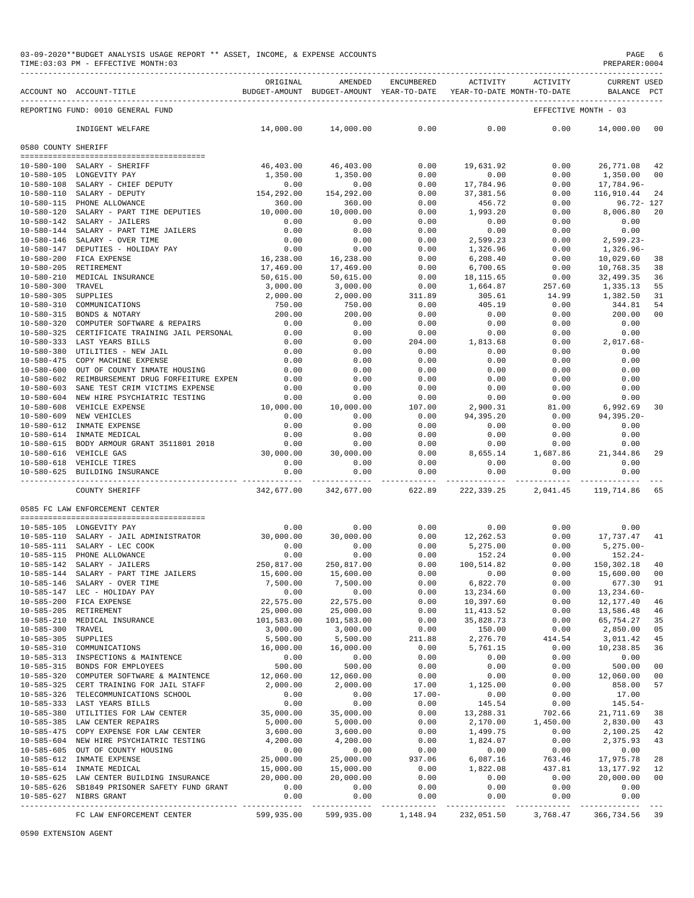|                                      | TIME:03:03 PM - EFFECTIVE MONTH:03                                                |                         |                         |                |                                                                     |                   | PREPARER: 0004                          |                |
|--------------------------------------|-----------------------------------------------------------------------------------|-------------------------|-------------------------|----------------|---------------------------------------------------------------------|-------------------|-----------------------------------------|----------------|
|                                      | ACCOUNT NO ACCOUNT-TITLE                                                          | ORIGINAL                | AMENDED                 | ENCUMBERED     | BUDGET-AMOUNT BUDGET-AMOUNT YEAR-TO-DATE YEAR-TO-DATE MONTH-TO-DATE | ACTIVITY ACTIVITY | <b>CURRENT USED</b><br>BALANCE PCT      |                |
|                                      | REPORTING FUND: 0010 GENERAL FUND                                                 |                         |                         |                |                                                                     |                   | EFFECTIVE MONTH - 03                    |                |
|                                      | INDIGENT WELFARE                                                                  | 14,000.00               | 14,000.00               | 0.00           | 0.00                                                                | 0.00              | 14,000.00 00                            |                |
| 0580 COUNTY SHERIFF                  |                                                                                   |                         |                         |                |                                                                     |                   |                                         |                |
|                                      | -------------------------------------<br>10-580-100 SALARY - SHERIFF              | 46,403.00               | 46,403.00               | 0.00           | 19,631.92                                                           | 0.00              | 26,771.08                               | 42             |
|                                      | 10-580-105 LONGEVITY PAY                                                          | 1,350.00                | 1,350.00                | 0.00           | 0.00                                                                | 0.00              | 1,350.00                                | 00             |
| $10 - 580 - 108$                     | SALARY - CHIEF DEPUTY                                                             | 0.00                    | 0.00                    | 0.00           | 17,784.96                                                           | 0.00              | 17,784.96-                              |                |
|                                      | 10-580-110 SALARY - DEPUTY                                                        | 0.00<br>154,292.00      | 154,292.00              | 0.00           | 37,381.56                                                           | 0.00              | 116,910.44                              | 24             |
|                                      | 10-580-115 PHONE ALLOWANCE                                                        | 360.00                  | 360.00                  | 0.00           | 456.72                                                              | 0.00              | $96.72 - 127$                           |                |
|                                      | $10-580-120$ SALARY - PART TIME DEPUTIES $10,000.00$                              |                         | 10,000.00               | 0.00           | 1,993.20                                                            | 0.00              | 8,006.80                                | 20             |
|                                      | 10-580-142 SALARY - JAILERS                                                       | 0.00                    | 0.00                    | 0.00           | 0.00                                                                | 0.00              | 0.00                                    |                |
| $10 - 580 - 144$                     | SALARY - JAILERS<br>SALARY - PART TIME JAILERS<br>ALARY - ALERED TIME             | 0.00                    | 0.00                    | 0.00           | 0.00                                                                | 0.00              | 0.00                                    |                |
|                                      | 10-580-146 SALARY - OVER TIME<br>10-580-147 DEPUTIES - HOLIDAY PAY                | 0.00<br>0.00            | 0.00<br>0.00            | 0.00<br>0.00   | 2,599.23<br>1,326.96                                                | 0.00<br>0.00      | $2,599.23-$<br>1,326.96-                |                |
|                                      | 10-580-200 FICA EXPENSE                                                           | 16,238.00               | 16,238.00               | 0.00           | 6, 208.40                                                           | 0.00              | 10,029.60                               | 38             |
| $10 - 580 - 205$                     | RETIREMENT                                                                        | 17,469.00               | 17,469.00               | 0.00           | 6,700.65                                                            | 0.00              | 10,768.35                               | 38             |
|                                      | 10-580-210 MEDICAL INSURANCE                                                      | 50,615.00               | 50,615.00               | 0.00           | 18,115.65                                                           | 0.00              | 32,499.35                               | 36             |
| $10 - 580 - 300$                     | TRAVEL                                                                            | 3,000.00                | 3,000.00                | 0.00           | 1,664.87                                                            | 257.60            | 1,335.13                                | 55             |
| $10 - 580 - 305$                     | SUPPLIES                                                                          | 2,000.00                | 2,000.00                | 311.89         | 305.61                                                              | 14.99             | 1,382.50                                | 31             |
| $10 - 580 - 310$                     | COMMUNICATIONS                                                                    | 750.00                  | 750.00                  | 0.00           | 405.19                                                              | 0.00              | 344.81                                  | 54             |
|                                      | 10-580-315 BONDS & NOTARY<br>COMPUTER SOFTWARE & REPAIRS                          | 200.00                  | 200.00                  | 0.00           | 0.00                                                                | 0.00              | 200.00                                  | 00             |
| $10 - 580 - 320$<br>$10 - 580 - 325$ | CERTIFICATE TRAINING JAIL PERSONAL                                                | 0.00<br>0.00            | 0.00<br>0.00            | 0.00<br>0.00   | 0.00<br>0.00                                                        | 0.00<br>0.00      | 0.00<br>0.00                            |                |
|                                      | 10-580-333 LAST YEARS BILLS                                                       | 0.00                    | 0.00                    | 204.00         | 1,813.68                                                            | 0.00              | $2,017.68-$                             |                |
|                                      | 10-580-380 UTILITIES - NEW JAIL                                                   | 0.00                    | 0.00                    | 0.00           | 0.00                                                                | 0.00              | 0.00                                    |                |
| 10-580-475                           | COPY MACHINE EXPENSE                                                              | 0.00                    | 0.00                    | 0.00           | 0.00                                                                | 0.00              | 0.00                                    |                |
| $10 - 580 - 600$                     | OUT OF COUNTY INMATE HOUSING                                                      | 0.00                    | 0.00                    | 0.00           | 0.00                                                                | 0.00              | 0.00                                    |                |
|                                      | 10-580-602 REIMBURSEMENT DRUG FORFEITURE EXPEN                                    | 0.00                    | 0.00                    | 0.00           | 0.00                                                                | 0.00              | 0.00                                    |                |
| $10 - 580 - 603$                     | SANE TEST CRIM VICTIMS EXPENSE                                                    | 0.00                    | 0.00                    | 0.00           | 0.00                                                                | 0.00              | 0.00                                    |                |
|                                      | 10-580-604 NEW HIRE PSYCHIATRIC TESTING                                           | 0.00                    | 0.00                    | 0.00           | 0.00                                                                | 0.00              | 0.00                                    |                |
|                                      | 10-580-608 VEHICLE EXPENSE<br>10-580-609 NEW VEHICLES                             | 10,000.00<br>0.00       | 10,000.00<br>0.00       | 107.00<br>0.00 | 2,900.31<br>94,395.20                                               | 81.00<br>0.00     | 6,992.69<br>$94, 395.20 -$              | 30             |
|                                      | 10-580-612 INMATE EXPENSE                                                         | 0.00                    | 0.00                    | 0.00           | 0.00                                                                | 0.00              | 0.00                                    |                |
|                                      | 10-580-614 INMATE MEDICAL                                                         | 0.00                    | 0.00                    | 0.00           | 0.00                                                                | 0.00              | 0.00                                    |                |
|                                      | 10-580-615 BODY ARMOUR GRANT 3511801 2018                                         | 0.00                    | 0.00                    | 0.00           | 0.00                                                                | 0.00              | 0.00                                    |                |
|                                      | 10-580-616 VEHICLE GAS                                                            | 30,000.00               | 30,000.00               | 0.00           | 8,655.14                                                            | 1,687.86          | 21,344.86                               | 29             |
|                                      | 10-580-618 VEHICLE TIRES<br>10-580-625 BUILDING INSURANCE                         | 0.00<br>0.00            | 0.00<br>0.00            | 0.00<br>0.00   | 0.00<br>0.00                                                        | 0.00<br>0.00      | 0.00<br>0.00                            |                |
|                                      | COUNTY SHERIFF                                                                    | 342,677.00              | 342,677.00              | 622.89         | 222,339.25                                                          | 2,041.45          | ----------- -------------<br>119,714.86 | 65             |
|                                      | 0585 FC LAW ENFORCEMENT CENTER                                                    |                         |                         |                |                                                                     |                   |                                         |                |
|                                      | --------------------------------------                                            |                         |                         |                |                                                                     |                   |                                         |                |
|                                      | 10-585-105 LONGEVITY PAY                                                          | 0.00                    | 0.00                    | 0.00           | 0.00                                                                | 0.00              | 0.00                                    |                |
|                                      | 10-585-110 SALARY - JAIL ADMINISTRATOR                                            | 30,000.00               | 30,000.00               | 0.00           | 12,262.53                                                           | 0.00              | 17,737.47 41                            |                |
|                                      | 10-585-111 SALARY - LEC COOK                                                      | 0.00                    | 0.00                    | 0.00           | 5,275.00                                                            | 0.00              | $5,275.00-$                             |                |
|                                      | 10-585-115 PHONE ALLOWANCE                                                        | 0.00                    | 0.00                    | 0.00           | 152.24                                                              | 0.00              | 152.24-<br>150,302.18                   |                |
|                                      | 10-585-142 SALARY - JAILERS<br>10-585-144 SALARY - PART TIME JAILERS              | 250,817.00<br>15,600.00 | 250,817.00<br>15,600.00 | 0.00<br>0.00   | 100,514.82<br>0.00                                                  | 0.00<br>0.00      | 15,600.00                               | 40<br>00       |
|                                      | 10-585-146 SALARY - OVER TIME                                                     | 7,500.00                | 7,500.00                | 0.00           | 6,822.70                                                            | 0.00              | 677.30                                  | 91             |
|                                      | 10-585-147 LEC - HOLIDAY PAY                                                      | 0.00                    | 0.00                    | 0.00           | 13,234.60                                                           | 0.00              | $13, 234.60 -$                          |                |
|                                      | 10-585-200 FICA EXPENSE                                                           | 22,575.00               | 22,575.00               | 0.00           | 10,397.60                                                           | 0.00              | 12,177.40                               | 46             |
|                                      | 10-585-205 RETIREMENT                                                             | 25,000.00               | 25,000.00               | 0.00           | 11, 413.52                                                          | 0.00              | 13,586.48                               | 46             |
|                                      | 10-585-210 MEDICAL INSURANCE                                                      | 101,583.00              | 101,583.00              | 0.00           | 35,828.73                                                           | 0.00              | 65,754.27                               | 35             |
| 10-585-300 TRAVEL                    |                                                                                   | 3,000.00                | 3,000.00                | 0.00           | 150.00                                                              | 0.00              | 2,850.00                                | 05             |
| $10 - 585 - 305$                     | SUPPLIES                                                                          | 5,500.00                | 5,500.00                | 211.88         | 2,276.70                                                            | 414.54            | 3,011.42                                | 45             |
|                                      | 10-585-310 COMMUNICATIONS<br>10-585-313 INSPECTIONS & MAINTENCE                   | 16,000.00<br>0.00       | 16,000.00<br>0.00       | 0.00<br>0.00   | 5,761.15<br>0.00                                                    | 0.00<br>0.00      | 10,238.85<br>0.00                       | 36             |
|                                      | 10-585-315 BONDS FOR EMPLOYEES                                                    | 500.00                  | 500.00                  | 0.00           | 0.00                                                                | 0.00              | 500.00                                  | 00             |
| $10 - 585 - 320$                     | COMPUTER SOFTWARE & MAINTENCE                                                     | 12,060.00               | 12,060.00               | 0.00           | 0.00                                                                | 0.00              | 12,060.00                               | 00             |
|                                      | 10-585-325 CERT TRAINING FOR JAIL STAFF                                           | 2,000.00                | 2,000.00                | 17.00          | 1,125.00                                                            | 0.00              | 858.00                                  | 57             |
|                                      | 10-585-326 TELECOMMUNICATIONS SCHOOL                                              | 0.00                    | 0.00                    | $17.00 -$      | 0.00                                                                | 0.00              | 17.00                                   |                |
|                                      | 10-585-333 LAST YEARS BILLS                                                       | 0.00                    | 0.00                    | 0.00           | 145.54                                                              | 0.00              | $145.54-$                               |                |
|                                      | 10-585-380 UTILITIES FOR LAW CENTER                                               | 35,000.00               | 35,000.00               | 0.00           | 13,288.31                                                           | 702.66            | 21,711.69                               | 38             |
|                                      | 10-585-385 LAW CENTER REPAIRS                                                     | 5,000.00                | 5,000.00                | 0.00           | 2,170.00                                                            | 1,450.00          | 2,830.00                                | 43             |
|                                      | 10-585-475 COPY EXPENSE FOR LAW CENTER<br>10-585-604 NEW HIRE PSYCHIATRIC TESTING | 3,600.00<br>4,200.00    | 3,600.00<br>4,200.00    | 0.00<br>0.00   | 1,499.75<br>1,824.07                                                | 0.00<br>0.00      | 2,100.25<br>2,375.93                    | 42<br>43       |
|                                      | 10-585-605 OUT OF COUNTY HOUSING                                                  | 0.00                    | 0.00                    | 0.00           | 0.00                                                                | 0.00              | 0.00                                    |                |
|                                      | 10-585-612 INMATE EXPENSE                                                         | 25,000.00               | 25,000.00               | 937.06         | 6,087.16                                                            | 763.46            | 17,975.78                               | 28             |
|                                      | 10-585-614 INMATE MEDICAL                                                         | 15,000.00               | 15,000.00               | 0.00           | 1,822.08                                                            | 437.81            | 13, 177.92                              | 12             |
|                                      | 10-585-625 LAW CENTER BUILDING INSURANCE $20,000.00$                              |                         | 20,000.00               | 0.00           | 0.00                                                                | 0.00              | 20,000.00                               | 0 <sub>0</sub> |
|                                      | 10-585-626 SB1849 PRISONER SAFETY FUND GRANT                                      | 0.00                    | 0.00                    | 0.00           | 0.00                                                                | 0.00              | 0.00                                    |                |
|                                      | 10-585-627 NIBRS GRANT                                                            | 0.00                    | 0.00                    | 0.00           | 0.00<br>-------------                                               | 0.00              | 0.00<br>------------ -------------      |                |
|                                      | FC LAW ENFORCEMENT CENTER                                                         |                         |                         |                | 599,935.00 599,935.00 1,148.94 232,051.50 3,768.47 366,734.56 39    |                   |                                         |                |

0590 EXTENSION AGENT

#### 03-09-2020\*\*BUDGET ANALYSIS USAGE REPORT \*\* ASSET, INCOME, & EXPENSE ACCOUNTS PAGE AND PAGE 6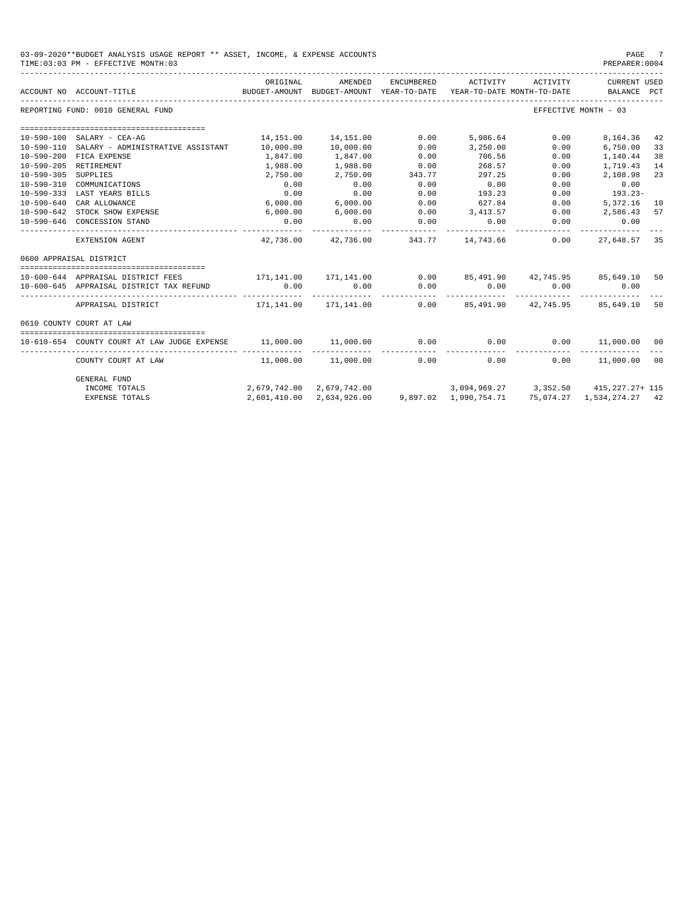| 03-09-2020**BUDGET ANALYSIS USAGE REPORT ** ASSET, INCOME, & EXPENSE ACCOUNTS<br>PAGE<br>PREPARER: 0004<br>TIME: 03:03 PM - EFFECTIVE MONTH: 03 |                                                            |                      |                                                                                          |            |                    |                        |                                       |    |
|-------------------------------------------------------------------------------------------------------------------------------------------------|------------------------------------------------------------|----------------------|------------------------------------------------------------------------------------------|------------|--------------------|------------------------|---------------------------------------|----|
|                                                                                                                                                 | ACCOUNT NO ACCOUNT-TITLE<br>------------------------------ | ORIGINAL             | AMENDED<br>BUDGET-AMOUNT BUDGET-AMOUNT YEAR-TO-DATE YEAR-TO-DATE MONTH-TO-DATE           | ENCUMBERED | ACTIVITY           | ACTIVITY               | <b>CURRENT USED</b><br>BALANCE PCT    |    |
|                                                                                                                                                 | REPORTING FUND: 0010 GENERAL FUND                          |                      |                                                                                          |            |                    |                        | EFFECTIVE MONTH - 03                  |    |
|                                                                                                                                                 |                                                            |                      |                                                                                          |            |                    |                        |                                       |    |
| $10 - 590 - 100$                                                                                                                                | SALARY - CEA-AG                                            | 14,151.00            | 14,151.00                                                                                | 0.00       | 5,986.64           | 0.00                   | 8,164.36                              | 42 |
| $10 - 590 - 110$                                                                                                                                | SALARY - ADMINISTRATIVE ASSISTANT                          | 10,000.00            | 10,000.00                                                                                | 0.00       | 3,250.00           | 0.00                   | 6,750.00                              | 33 |
| $10 - 590 - 200$                                                                                                                                | FICA EXPENSE                                               | 1,847.00             | 1,847.00                                                                                 | 0.00       | 706.56             | 0.00                   | 1,140.44                              | 38 |
| $10 - 590 - 205$                                                                                                                                | RETIREMENT                                                 | 1,988.00             | 1,988.00                                                                                 | 0.00       | 268.57             | 0.00                   | 1,719.43                              | 14 |
| $10 - 590 - 305$                                                                                                                                | SUPPLIES                                                   | 2,750.00             | 2,750.00                                                                                 | 343.77     | 297.25             | 0.00                   | 2,108.98                              | 23 |
| $10 - 590 - 310$                                                                                                                                | COMMUNICATIONS                                             | 0.00                 | 0.00                                                                                     | 0.00       | 0.00               | 0.00                   | 0.00                                  |    |
| $10 - 590 - 333$                                                                                                                                | LAST YEARS BILLS                                           | 0.00                 | 0.00                                                                                     | 0.00       | 193.23             | 0.00                   | 193.23-                               |    |
| $10 - 590 - 640$                                                                                                                                | CAR ALLOWANCE                                              | 6,000.00             | 6,000.00                                                                                 | 0.00       | 627.84             | 0.00                   | 5,372.16                              | 10 |
|                                                                                                                                                 | 10-590-642 STOCK SHOW EXPENSE                              | 6,000.00             | 6,000.00                                                                                 | 0.00       | 3, 413.57          | 0.00                   | 2,586.43                              | 57 |
| 10-590-646                                                                                                                                      | CONCESSION STAND                                           | 0.00<br>---------    | 0.00                                                                                     | 0.00       | 0.00               | 0.00                   | 0.00<br>---------                     |    |
|                                                                                                                                                 | EXTENSION AGENT                                            | 42,736.00            | 42,736.00                                                                                | 343.77     | 14,743.66          | 0.00                   | 27,648.57 35                          |    |
|                                                                                                                                                 | 0600 APPRAISAL DISTRICT                                    |                      |                                                                                          |            |                    |                        |                                       |    |
|                                                                                                                                                 |                                                            |                      |                                                                                          |            |                    |                        |                                       |    |
|                                                                                                                                                 | 10-600-644 APPRAISAL DISTRICT FEES                         |                      | 171,141.00 171,141.00 0.00 85,491.90 42,745.95 85,649.10                                 |            |                    |                        |                                       | 50 |
|                                                                                                                                                 | 10-600-645 APPRAISAL DISTRICT TAX REFUND                   | 0.00<br>------------ | 0.00                                                                                     | 0.00       | 0.00<br>. <u>.</u> | 0.00<br>-------------- | 0.00                                  |    |
|                                                                                                                                                 | APPRAISAL DISTRICT                                         |                      | 171,141.00 171,141.00         0.00         85,491.90         42,745.95         85,649.10 |            |                    |                        |                                       | 50 |
|                                                                                                                                                 | 0610 COUNTY COURT AT LAW                                   |                      |                                                                                          |            |                    |                        |                                       |    |
|                                                                                                                                                 |                                                            |                      |                                                                                          |            |                    |                        |                                       |    |
|                                                                                                                                                 | 10-610-654 COUNTY COURT AT LAW JUDGE EXPENSE               | 11,000.00 11,000.00  |                                                                                          | 0.00       | 0.00               |                        | 0.00 11,000.00 00                     |    |
|                                                                                                                                                 | COUNTY COURT AT LAW                                        |                      | $11,000.00$ $11,000.00$                                                                  | 0.00       | 0.00               |                        | $0.00$ 11,000.00 00                   |    |
|                                                                                                                                                 | <b>GENERAL FUND</b>                                        |                      |                                                                                          |            |                    |                        |                                       |    |
|                                                                                                                                                 | INCOME TOTALS                                              |                      | 2,679,742.00 2,679,742.00                                                                |            |                    |                        | 3,094,969.27 3,352.50 415,227.27+ 115 |    |
|                                                                                                                                                 | <b>EXPENSE TOTALS</b>                                      |                      | 2,601,410.00 2,634,926.00 9,897.02 1,090,754.71 75,074.27 1,534,274.27 42                |            |                    |                        |                                       |    |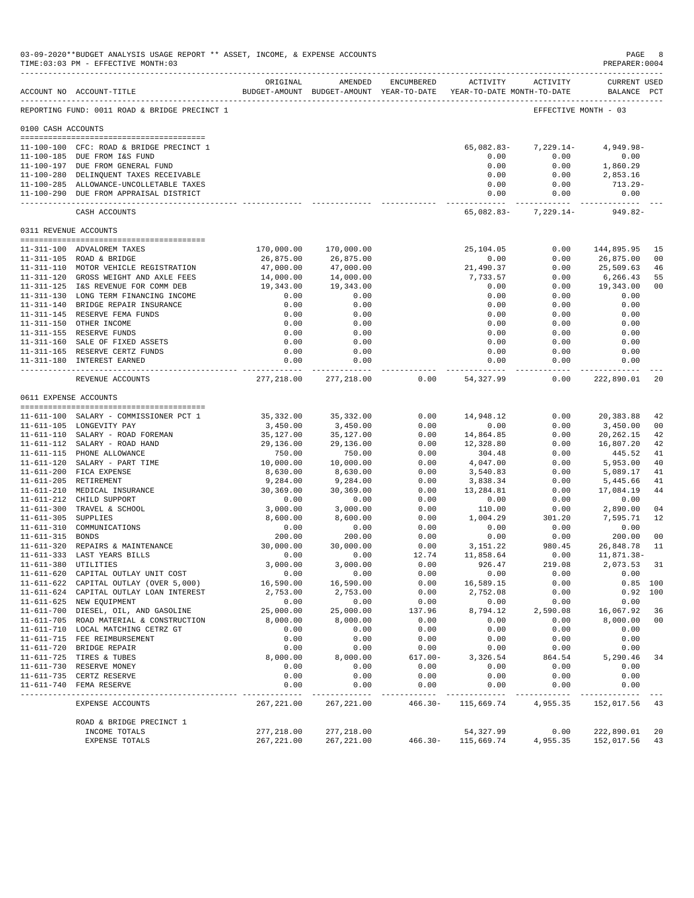|                       | 03-09-2020**BUDGET ANALYSIS USAGE REPORT ** ASSET, INCOME, & EXPENSE ACCOUNTS<br>TIME: 03:03 PM - EFFECTIVE MONTH: 03<br>------------------------------------                                                                                                                                                                                          |                                                                                                        |                                                                                                        |              |                                                                                            |                                                                              | PAGE<br>PREPARER: 0004                                                                                | 8                                      |
|-----------------------|--------------------------------------------------------------------------------------------------------------------------------------------------------------------------------------------------------------------------------------------------------------------------------------------------------------------------------------------------------|--------------------------------------------------------------------------------------------------------|--------------------------------------------------------------------------------------------------------|--------------|--------------------------------------------------------------------------------------------|------------------------------------------------------------------------------|-------------------------------------------------------------------------------------------------------|----------------------------------------|
|                       | ACCOUNT NO ACCOUNT-TITLE                                                                                                                                                                                                                                                                                                                               | ORIGINAL                                                                                               | AMENDED                                                                                                | ENCUMBERED   | BUDGET-AMOUNT BUDGET-AMOUNT YEAR-TO-DATE YEAR-TO-DATE MONTH-TO-DATE                        | ACTIVITY ACTIVITY                                                            | <b>CURRENT USED</b><br>BALANCE PCT                                                                    |                                        |
|                       | REPORTING FUND: 0011 ROAD & BRIDGE PRECINCT 1                                                                                                                                                                                                                                                                                                          |                                                                                                        |                                                                                                        |              |                                                                                            | EFFECTIVE MONTH - 03                                                         |                                                                                                       |                                        |
| 0100 CASH ACCOUNTS    |                                                                                                                                                                                                                                                                                                                                                        |                                                                                                        |                                                                                                        |              |                                                                                            |                                                                              |                                                                                                       |                                        |
|                       | 11-100-100 CFC: ROAD & BRIDGE PRECINCT 1<br>11-100-185 DUE FROM I&S FUND<br>11-100-197 DUE FROM GENERAL FUND<br>11-100-280 DELINQUENT TAXES RECEIVABLE<br>11-100-285 ALLOWANCE-UNCOLLETABLE TAXES                                                                                                                                                      |                                                                                                        |                                                                                                        |              | 65,082.83-<br>0.00<br>0.00<br>0.00<br>0.00                                                 | 7,229.14-<br>0.00<br>0.00<br>0.00<br>0.00                                    | $4,949.98 -$<br>0.00<br>1,860.29<br>2,853.16<br>$713.29-$                                             |                                        |
|                       | 11-100-290 DUE FROM APPRAISAL DISTRICT                                                                                                                                                                                                                                                                                                                 |                                                                                                        |                                                                                                        |              | 0.00                                                                                       | 0.00                                                                         | 0.00                                                                                                  |                                        |
|                       | CASH ACCOUNTS                                                                                                                                                                                                                                                                                                                                          |                                                                                                        |                                                                                                        |              | 65,082.83-                                                                                 | 7,229.14-                                                                    | 949.82-                                                                                               |                                        |
| 0311 REVENUE ACCOUNTS |                                                                                                                                                                                                                                                                                                                                                        |                                                                                                        |                                                                                                        |              |                                                                                            |                                                                              |                                                                                                       |                                        |
|                       | 11-311-100 ADVALOREM TAXES<br>11-311-105 ROAD & BRIDGE<br>11-311-110 MOTOR VEHICLE REGISTRATION<br>11-311-120 GROSS WEIGHT AND AXLE FEES<br>11-311-125 I&S REVENUE FOR COMM DEB<br>11-311-130 LONG TERM FINANCING INCOME<br>11-311-140 BRIDGE REPAIR INSURANCE<br>11-311-145 RESERVE FEMA FUNDS<br>11-311-150 OTHER INCOME<br>11-311-155 RESERVE FUNDS | 170,000.00<br>26,875.00<br>47,000.00<br>14,000.00<br>19,343.00<br>0.00<br>0.00<br>0.00<br>0.00<br>0.00 | 170,000.00<br>26,875.00<br>47,000.00<br>14,000.00<br>19,343.00<br>0.00<br>0.00<br>0.00<br>0.00<br>0.00 |              | 25,104.05<br>0.00<br>21,490.37<br>7,733.57<br>0.00<br>0.00<br>0.00<br>0.00<br>0.00<br>0.00 | 0.00<br>0.00<br>0.00<br>0.00<br>0.00<br>0.00<br>0.00<br>0.00<br>0.00<br>0.00 | 144,895.95<br>26,875.00<br>25,509.63<br>6,266.43<br>19,343.00<br>0.00<br>0.00<br>0.00<br>0.00<br>0.00 | 15<br>00<br>46<br>55<br>0 <sub>0</sub> |
|                       | 11-311-160 SALE OF FIXED ASSETS                                                                                                                                                                                                                                                                                                                        | 0.00                                                                                                   | 0.00                                                                                                   |              | 0.00                                                                                       | 0.00                                                                         | 0.00                                                                                                  |                                        |
|                       | 11-311-165 RESERVE CERTZ FUNDS<br>11-311-180 INTEREST EARNED                                                                                                                                                                                                                                                                                           | 0.00<br>0.00                                                                                           | 0.00<br>0.00                                                                                           |              | 0.00<br>0.00                                                                               | 0.00<br>0.00                                                                 | 0.00<br>0.00                                                                                          |                                        |
|                       | REVENUE ACCOUNTS                                                                                                                                                                                                                                                                                                                                       | 277,218.00                                                                                             | ------------<br>277,218.00                                                                             | 0.00         | .<br>54,327.99                                                                             | ----------<br>0.00                                                           | -----------<br>222,890.01                                                                             | 20                                     |
|                       | 0611 EXPENSE ACCOUNTS                                                                                                                                                                                                                                                                                                                                  |                                                                                                        |                                                                                                        |              |                                                                                            |                                                                              |                                                                                                       |                                        |
|                       |                                                                                                                                                                                                                                                                                                                                                        |                                                                                                        |                                                                                                        |              |                                                                                            |                                                                              |                                                                                                       |                                        |
|                       | 11-611-100 SALARY - COMMISSIONER PCT 1                                                                                                                                                                                                                                                                                                                 | 35,332.00                                                                                              | 35, 332.00                                                                                             | 0.00         | 14,948.12                                                                                  | 0.00                                                                         | 20,383.88                                                                                             | 42                                     |
|                       | 11-611-105 LONGEVITY PAY<br>11-611-110 SALARY - ROAD FOREMAN                                                                                                                                                                                                                                                                                           | 3,450.00<br>35,127.00                                                                                  | 3,450.00<br>35,127.00                                                                                  | 0.00<br>0.00 | 0.00<br>14,864.85                                                                          | 0.00<br>0.00                                                                 | 3,450.00<br>20, 262. 15                                                                               | 0 <sup>0</sup><br>42                   |
|                       | 11-611-112 SALARY - ROAD HAND                                                                                                                                                                                                                                                                                                                          | 29,136.00                                                                                              | 29,136.00                                                                                              | 0.00         | 12,328.80                                                                                  | 0.00                                                                         | 16,807.20                                                                                             | 42                                     |
|                       | 11-611-115 PHONE ALLOWANCE                                                                                                                                                                                                                                                                                                                             | 750.00                                                                                                 | 750.00                                                                                                 | 0.00         | 304.48                                                                                     | 0.00                                                                         | 445.52                                                                                                | 41                                     |
|                       | 11-611-120 SALARY - PART TIME                                                                                                                                                                                                                                                                                                                          | 10,000.00                                                                                              | 10,000.00                                                                                              | 0.00         | 4,047.00                                                                                   | 0.00                                                                         | 5,953.00                                                                                              | 40                                     |
|                       | 11-611-200 FICA EXPENSE                                                                                                                                                                                                                                                                                                                                | 8,630.00                                                                                               | 8,630.00                                                                                               | 0.00         | 3,540.83                                                                                   | 0.00                                                                         | 5,089.17                                                                                              | 41                                     |
|                       | 11-611-205 RETIREMENT                                                                                                                                                                                                                                                                                                                                  | 9,284.00                                                                                               | 9,284.00                                                                                               | 0.00         | 3,838.34                                                                                   | 0.00                                                                         | 5,445.66                                                                                              | 41                                     |
|                       | 11-611-210 MEDICAL INSURANCE<br>11-611-212 CHILD SUPPORT                                                                                                                                                                                                                                                                                               | 30,369.00<br>0.00                                                                                      | 30,369.00                                                                                              | 0.00<br>0.00 | 13,284.81<br>0.00                                                                          | 0.00<br>0.00                                                                 | 17,084.19                                                                                             | 44                                     |
|                       | 11-611-300 TRAVEL & SCHOOL                                                                                                                                                                                                                                                                                                                             | 3,000.00                                                                                               | 0.00<br>3,000.00                                                                                       | 0.00         | 110.00                                                                                     | 0.00                                                                         | 0.00<br>2,890.00                                                                                      | 04                                     |
| 11-611-305 SUPPLIES   |                                                                                                                                                                                                                                                                                                                                                        | 8,600.00                                                                                               | 8,600.00                                                                                               | 0.00         | 1,004.29                                                                                   | 301.20                                                                       | 7.595.71                                                                                              | 12                                     |
|                       | 11-611-310 COMMUNICATIONS                                                                                                                                                                                                                                                                                                                              | 0.00                                                                                                   | 0.00                                                                                                   | 0.00         | 0.00                                                                                       | 0.00                                                                         | 0.00                                                                                                  |                                        |
| 11-611-315 BONDS      |                                                                                                                                                                                                                                                                                                                                                        | 200.00                                                                                                 | 200.00                                                                                                 | 0.00         | 0.00                                                                                       | 0.00                                                                         | 200.00                                                                                                | 0 <sub>0</sub>                         |
|                       | 11-611-320 REPAIRS & MAINTENANCE                                                                                                                                                                                                                                                                                                                       | 30,000.00                                                                                              | 30,000.00                                                                                              | 0.00         | 3,151.22                                                                                   | 980.45                                                                       | 26,848.78                                                                                             | 11                                     |
|                       | 11-611-333 LAST YEARS BILLS                                                                                                                                                                                                                                                                                                                            | 0.00                                                                                                   | 0.00                                                                                                   | 12.74        | 11,858.64                                                                                  | 0.00                                                                         | 11,871.38-                                                                                            |                                        |
|                       | 11-611-380 UTILITIES<br>11-611-620 CAPITAL OUTLAY UNIT COST                                                                                                                                                                                                                                                                                            | 3,000.00<br>0.00                                                                                       | 3,000.00<br>0.00                                                                                       | 0.00<br>0.00 | 926.47<br>0.00                                                                             | 219.08<br>0.00                                                               | 2,073.53<br>0.00                                                                                      | 31                                     |
|                       | 11-611-622 CAPITAL OUTLAY (OVER 5,000)                                                                                                                                                                                                                                                                                                                 | 16,590.00                                                                                              | 16,590.00                                                                                              | 0.00         | 16,589.15                                                                                  | 0.00                                                                         | $0.85$ 100                                                                                            |                                        |
|                       | 11-611-624 CAPITAL OUTLAY LOAN INTEREST                                                                                                                                                                                                                                                                                                                | 2,753.00                                                                                               | 2,753.00                                                                                               | 0.00         | 2,752.08                                                                                   | 0.00                                                                         | 0.92 100                                                                                              |                                        |
|                       | 11-611-625 NEW EQUIPMENT                                                                                                                                                                                                                                                                                                                               | 0.00                                                                                                   | 0.00                                                                                                   | 0.00         | 0.00                                                                                       | 0.00                                                                         | 0.00                                                                                                  |                                        |
|                       | 11-611-700 DIESEL, OIL, AND GASOLINE                                                                                                                                                                                                                                                                                                                   | 25,000.00                                                                                              | 25,000.00                                                                                              | 137.96       | 8,794.12                                                                                   | 2,590.08                                                                     | 16,067.92                                                                                             | 36                                     |
|                       | 11-611-705 ROAD MATERIAL & CONSTRUCTION                                                                                                                                                                                                                                                                                                                | 8,000.00                                                                                               | 8,000.00                                                                                               | 0.00         | 0.00                                                                                       | 0.00                                                                         | 8,000.00                                                                                              | 0 <sub>0</sub>                         |
|                       | 11-611-710 LOCAL MATCHING CETRZ GT                                                                                                                                                                                                                                                                                                                     | 0.00                                                                                                   | 0.00                                                                                                   | 0.00         | 0.00                                                                                       | 0.00                                                                         | 0.00                                                                                                  |                                        |
|                       | 11-611-715 FEE REIMBURSEMENT<br>11-611-720 BRIDGE REPAIR                                                                                                                                                                                                                                                                                               | 0.00<br>0.00                                                                                           | 0.00<br>0.00                                                                                           | 0.00<br>0.00 | 0.00<br>0.00                                                                               | 0.00<br>0.00                                                                 | 0.00<br>0.00                                                                                          |                                        |
|                       | 11-611-725 TIRES & TUBES                                                                                                                                                                                                                                                                                                                               | 8,000.00                                                                                               | 8,000.00                                                                                               | $617.00 -$   | 3,326.54                                                                                   | 864.54                                                                       | 5,290.46                                                                                              | 34                                     |
|                       | 11-611-730 RESERVE MONEY                                                                                                                                                                                                                                                                                                                               | 0.00                                                                                                   | 0.00                                                                                                   | 0.00         | 0.00                                                                                       | 0.00                                                                         | 0.00                                                                                                  |                                        |
|                       | 11-611-735 CERTZ RESERVE                                                                                                                                                                                                                                                                                                                               | 0.00                                                                                                   | 0.00                                                                                                   | 0.00         | 0.00                                                                                       | 0.00                                                                         | 0.00                                                                                                  |                                        |
|                       | 11-611-740 FEMA RESERVE                                                                                                                                                                                                                                                                                                                                | 0.00                                                                                                   | 0.00                                                                                                   | 0.00         | 0.00                                                                                       | 0.00                                                                         | 0.00                                                                                                  |                                        |
|                       | EXPENSE ACCOUNTS                                                                                                                                                                                                                                                                                                                                       | 267, 221.00                                                                                            | 267, 221.00                                                                                            | $466.30 -$   | 115,669.74                                                                                 | 4,955.35                                                                     | 152,017.56                                                                                            | 43                                     |
|                       | ROAD & BRIDGE PRECINCT 1                                                                                                                                                                                                                                                                                                                               |                                                                                                        |                                                                                                        |              |                                                                                            |                                                                              |                                                                                                       |                                        |
|                       | INCOME TOTALS                                                                                                                                                                                                                                                                                                                                          | 277,218.00                                                                                             | 277,218.00                                                                                             |              | 54, 327.99                                                                                 | 0.00                                                                         | 222,890.01                                                                                            | 20                                     |
|                       | EXPENSE TOTALS                                                                                                                                                                                                                                                                                                                                         | 267, 221.00                                                                                            | 267, 221.00                                                                                            | $466.30 -$   | 115,669.74                                                                                 | 4,955.35                                                                     | 152,017.56                                                                                            | 43                                     |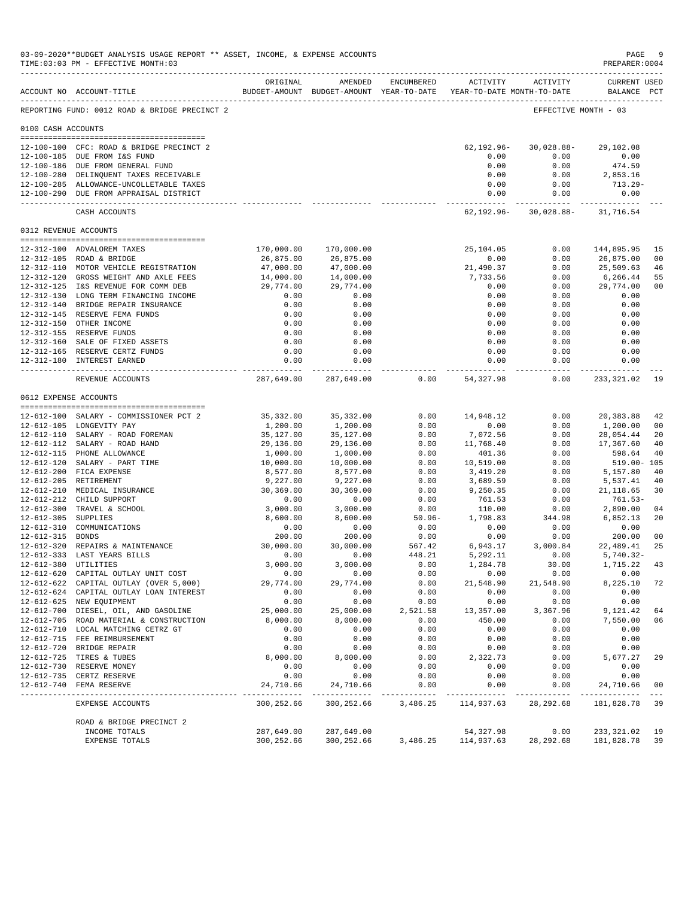|                       | 03-09-2020**BUDGET ANALYSIS USAGE REPORT ** ASSET, INCOME, & EXPENSE ACCOUNTS<br>TIME: 03:03 PM - EFFECTIVE MONTH: 03<br>------------------------------------ |                          |                           |                  |                                                                     |                     | $\mathtt{PAGE}$<br>PREPARER: 0004      | - 9                  |
|-----------------------|---------------------------------------------------------------------------------------------------------------------------------------------------------------|--------------------------|---------------------------|------------------|---------------------------------------------------------------------|---------------------|----------------------------------------|----------------------|
|                       | ACCOUNT NO ACCOUNT-TITLE                                                                                                                                      | ORIGINAL                 | AMENDED                   | ENCUMBERED       | BUDGET-AMOUNT BUDGET-AMOUNT YEAR-TO-DATE YEAR-TO-DATE MONTH-TO-DATE | ACTIVITY ACTIVITY   | <b>CURRENT USED</b><br>BALANCE PCT     |                      |
|                       | REPORTING FUND: 0012 ROAD & BRIDGE PRECINCT 2                                                                                                                 |                          |                           |                  |                                                                     |                     | EFFECTIVE MONTH - 03                   |                      |
| 0100 CASH ACCOUNTS    |                                                                                                                                                               |                          |                           |                  |                                                                     |                     |                                        |                      |
|                       |                                                                                                                                                               |                          |                           |                  |                                                                     |                     |                                        |                      |
|                       | 12-100-100 CFC: ROAD & BRIDGE PRECINCT 2                                                                                                                      |                          |                           |                  | 62,192.96-                                                          | 30,028.88-          | 29,102.08                              |                      |
|                       | 12-100-185 DUE FROM I&S FUND<br>12-100-186 DUE FROM GENERAL FUND                                                                                              |                          |                           |                  | 0.00                                                                | 0.00                | 0.00                                   |                      |
|                       | 12-100-280 DELINQUENT TAXES RECEIVABLE                                                                                                                        |                          |                           |                  | 0.00<br>0.00                                                        | 0.00<br>0.00        | 474.59<br>2,853.16                     |                      |
|                       | 12-100-285 ALLOWANCE-UNCOLLETABLE TAXES                                                                                                                       |                          |                           |                  | 0.00                                                                | 0.00                | 713.29-                                |                      |
|                       | 12-100-290 DUE FROM APPRAISAL DISTRICT                                                                                                                        |                          |                           |                  | 0.00                                                                | 0.00                | 0.00<br>____________                   |                      |
|                       | CASH ACCOUNTS                                                                                                                                                 |                          |                           |                  |                                                                     |                     | $62, 192.96 - 30, 028.88 - 31, 716.54$ |                      |
| 0312 REVENUE ACCOUNTS |                                                                                                                                                               |                          |                           |                  |                                                                     |                     |                                        |                      |
|                       |                                                                                                                                                               |                          |                           |                  |                                                                     |                     |                                        |                      |
|                       | 12-312-100 ADVALOREM TAXES<br>12-312-105 ROAD & BRIDGE                                                                                                        | 170,000.00<br>26,875.00  | 170,000.00<br>26,875.00   |                  | 25,104.05<br>0.00                                                   | 0.00<br>0.00        | 144,895.95<br>26,875.00                | 15<br>0 <sub>0</sub> |
|                       | 12-312-110 MOTOR VEHICLE REGISTRATION                                                                                                                         | 47,000.00                | 47,000.00                 |                  | 21,490.37                                                           | 0.00                | 25,509.63                              | 46                   |
|                       | 12-312-120 GROSS WEIGHT AND AXLE FEES                                                                                                                         | 14,000.00                | 14,000.00                 |                  | 7,733.56                                                            | 0.00                | 6,266.44                               | 55                   |
|                       | 12-312-125 I&S REVENUE FOR COMM DEB                                                                                                                           | 29,774.00                | 29,774.00                 |                  | 0.00                                                                | 0.00                | 29,774.00                              | 0 <sub>0</sub>       |
|                       | 12-312-130 LONG TERM FINANCING INCOME                                                                                                                         | 0.00                     | 0.00                      |                  | 0.00                                                                | 0.00                | 0.00                                   |                      |
|                       | 12-312-140 BRIDGE REPAIR INSURANCE                                                                                                                            | 0.00                     | 0.00                      |                  | 0.00                                                                | 0.00                | 0.00                                   |                      |
|                       | 12-312-145 RESERVE FEMA FUNDS                                                                                                                                 | 0.00                     | 0.00                      |                  | 0.00                                                                | 0.00                | 0.00                                   |                      |
|                       | 12-312-150 OTHER INCOME                                                                                                                                       | 0.00                     | 0.00                      |                  | 0.00                                                                | 0.00                | 0.00                                   |                      |
|                       | 12-312-155 RESERVE FUNDS                                                                                                                                      | 0.00                     | 0.00                      |                  | 0.00                                                                | 0.00                | 0.00                                   |                      |
|                       | 12-312-160 SALE OF FIXED ASSETS                                                                                                                               | 0.00                     | 0.00                      |                  | 0.00                                                                | 0.00                | 0.00                                   |                      |
|                       | 12-312-165 RESERVE CERTZ FUNDS                                                                                                                                | 0.00                     | 0.00                      |                  | 0.00                                                                | 0.00                | 0.00                                   |                      |
|                       | 12-312-180 INTEREST EARNED                                                                                                                                    | 0.00                     | 0.00                      |                  | 0.00<br>-------------                                               | 0.00<br>----------- | 0.00<br>. _ _ _ _ _ _ _ _ _ _ _ _      |                      |
|                       | REVENUE ACCOUNTS                                                                                                                                              | 287,649.00               | 287,649.00                | 0.00             | 54,327.98                                                           | 0.00                | 233,321.02                             | -19                  |
|                       | 0612 EXPENSE ACCOUNTS                                                                                                                                         |                          |                           |                  |                                                                     |                     |                                        |                      |
|                       |                                                                                                                                                               |                          |                           |                  |                                                                     |                     |                                        |                      |
|                       | 12-612-100 SALARY - COMMISSIONER PCT 2                                                                                                                        | 35,332.00                | 35,332.00                 | 0.00             | 14,948.12                                                           | 0.00                | 20,383.88                              | 42                   |
|                       | 12-612-105 LONGEVITY PAY                                                                                                                                      | 1,200.00                 | 1,200.00                  | 0.00             | 0.00                                                                | 0.00                | 1,200.00                               | 0 <sub>0</sub>       |
|                       | 12-612-110 SALARY - ROAD FOREMAN                                                                                                                              | 35,127.00                | 35,127.00                 | 0.00             | 7,072.56                                                            | 0.00                | 28,054.44                              | 20                   |
|                       | 12-612-112 SALARY - ROAD HAND<br>12-612-115 PHONE ALLOWANCE                                                                                                   | 29,136.00                | 29,136.00                 | 0.00<br>0.00     | 11,768.40                                                           | 0.00                | 17,367.60                              | 40                   |
|                       | 12-612-120 SALARY - PART TIME                                                                                                                                 | 1,000.00<br>10,000.00    | 1,000.00<br>10,000.00     | 0.00             | 401.36<br>10,519.00                                                 | 0.00<br>0.00        | 598.64<br>$519.00 - 105$               | 40                   |
|                       | 12-612-200 FICA EXPENSE                                                                                                                                       | 8,577.00                 | 8,577.00                  | 0.00             | 3,419.20                                                            | 0.00                | 5,157.80                               | 40                   |
|                       | 12-612-205 RETIREMENT                                                                                                                                         | 9,227.00                 | 9,227.00                  | 0.00             | 3,689.59                                                            | 0.00                | 5,537.41                               | 40                   |
|                       | 12-612-210 MEDICAL INSURANCE                                                                                                                                  | 30,369.00                | 30,369.00                 | 0.00             | 9,250.35                                                            | 0.00                | 21, 118.65                             | 30                   |
|                       | 12-612-212 CHILD SUPPORT                                                                                                                                      | 0.00                     | 0.00                      | 0.00             | 761.53                                                              | 0.00                | 761.53-                                |                      |
|                       | 12-612-300 TRAVEL & SCHOOL                                                                                                                                    | 3,000.00                 | 3,000.00                  | 0.00             | 110.00                                                              | 0.00                | 2,890.00                               | 04                   |
| 12-612-305 SUPPLIES   |                                                                                                                                                               | 8,600.00                 | 8,600.00                  | $50.96 -$        | 1,798.83                                                            | 344.98              | 6,852.13                               | 20                   |
|                       | 12-612-310 COMMUNICATIONS                                                                                                                                     | 0.00                     | 0.00                      | 0.00             | 0.00                                                                | 0.00                | 0.00                                   |                      |
| 12-612-315 BONDS      |                                                                                                                                                               | 200.00                   | 200.00                    | 0.00             | 0.00                                                                | 0.00                | 200.00                                 | 0 <sub>0</sub>       |
|                       | 12-612-320 REPAIRS & MAINTENANCE                                                                                                                              | 30,000.00                | 30,000.00                 | 567.42           | 6,943.17                                                            | 3,000.84            | 22,489.41                              | 25                   |
|                       | 12-612-333 LAST YEARS BILLS                                                                                                                                   | 0.00                     | 0.00                      | 448.21           | 5,292.11                                                            | 0.00                | $5,740.32 -$                           |                      |
|                       | 12-612-380 UTILITIES                                                                                                                                          | 3,000.00                 | 3,000.00                  | 0.00             | 1,284.78                                                            | 30.00               | 1,715.22                               | 43                   |
|                       | 12-612-620 CAPITAL OUTLAY UNIT COST                                                                                                                           | 0.00                     | 0.00                      | 0.00             | 0.00                                                                | 0.00                | 0.00                                   |                      |
|                       | 12-612-622 CAPITAL OUTLAY (OVER 5,000)                                                                                                                        | 29,774.00                | 29,774.00                 | 0.00             | 21,548.90                                                           | 21,548.90           | 8,225.10                               | 72                   |
|                       | 12-612-624 CAPITAL OUTLAY LOAN INTEREST                                                                                                                       | 0.00                     | 0.00                      | 0.00             | 0.00                                                                | 0.00                | 0.00                                   |                      |
|                       | 12-612-625 NEW EQUIPMENT                                                                                                                                      | 0.00                     | 0.00                      | 0.00             | 0.00                                                                | 0.00                | 0.00                                   |                      |
|                       | 12-612-700 DIESEL, OIL, AND GASOLINE<br>12-612-705 ROAD MATERIAL & CONSTRUCTION                                                                               | 25,000.00<br>8,000.00    | 25,000.00<br>8,000.00     | 2,521.58<br>0.00 | 13,357.00<br>450.00                                                 | 3,367.96<br>0.00    | 9,121.42<br>7,550.00                   | 64<br>06             |
|                       | 12-612-710 LOCAL MATCHING CETRZ GT                                                                                                                            | 0.00                     | 0.00                      | 0.00             | 0.00                                                                | 0.00                | 0.00                                   |                      |
|                       | 12-612-715 FEE REIMBURSEMENT                                                                                                                                  | 0.00                     | 0.00                      | 0.00             | 0.00                                                                | 0.00                | 0.00                                   |                      |
|                       | 12-612-720 BRIDGE REPAIR                                                                                                                                      | 0.00                     | 0.00                      | 0.00             | 0.00                                                                | 0.00                | 0.00                                   |                      |
|                       | 12-612-725 TIRES & TUBES                                                                                                                                      | 8,000.00                 | 8,000.00                  | 0.00             | 2,322.73                                                            | 0.00                | 5,677.27                               | 29                   |
|                       | 12-612-730 RESERVE MONEY                                                                                                                                      | 0.00                     | 0.00                      | 0.00             | 0.00                                                                | 0.00                | 0.00                                   |                      |
|                       | 12-612-735 CERTZ RESERVE                                                                                                                                      | 0.00                     | 0.00                      | 0.00             | 0.00                                                                | 0.00                | 0.00                                   |                      |
|                       | 12-612-740 FEMA RESERVE                                                                                                                                       | 24,710.66<br>----------- | 24,710.66<br>------------ | 0.00             | 0.00                                                                | 0.00                | 24,710.66                              | 0 <sub>0</sub>       |
|                       | EXPENSE ACCOUNTS                                                                                                                                              | 300,252.66               | 300,252.66                | 3,486.25         | 114,937.63                                                          | 28, 292.68          | 181,828.78                             | 39                   |
|                       | ROAD & BRIDGE PRECINCT 2                                                                                                                                      |                          |                           |                  |                                                                     |                     |                                        |                      |
|                       | INCOME TOTALS                                                                                                                                                 | 287,649.00               | 287,649.00                |                  | 54,327.98                                                           | 0.00                | 233,321.02                             | 19                   |
|                       | EXPENSE TOTALS                                                                                                                                                | 300,252.66               | 300,252.66                | 3,486.25         | 114,937.63                                                          | 28, 292.68          | 181,828.78                             | 39                   |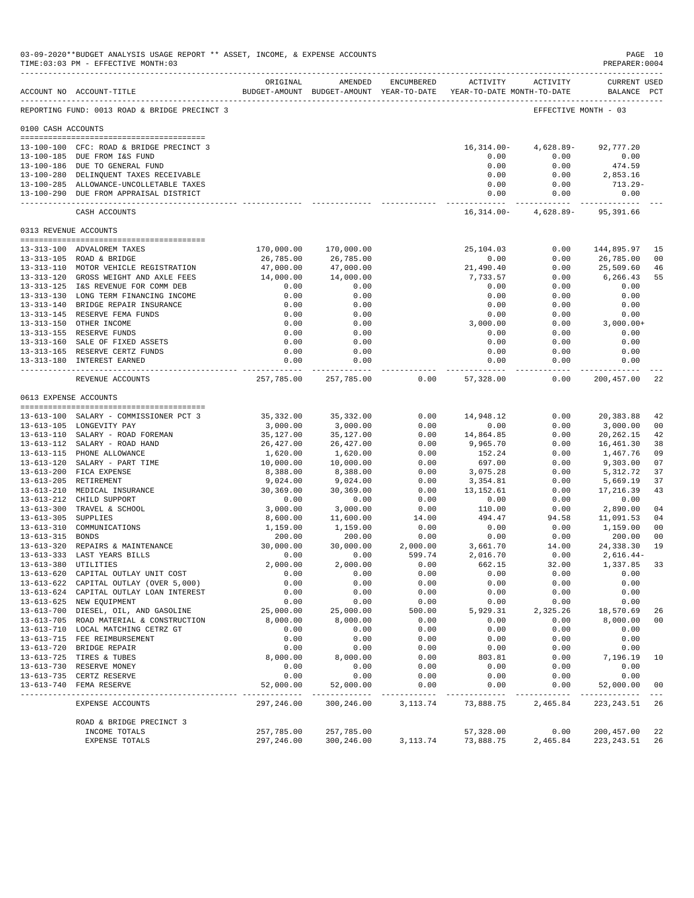|                     | 03-09-2020**BUDGET ANALYSIS USAGE REPORT ** ASSET, INCOME, & EXPENSE ACCOUNTS<br>TIME: 03:03 PM - EFFECTIVE MONTH: 03 |                         |                                                                                |              |                             |                                     | PREPARER: 0004              | PAGE 10              |
|---------------------|-----------------------------------------------------------------------------------------------------------------------|-------------------------|--------------------------------------------------------------------------------|--------------|-----------------------------|-------------------------------------|-----------------------------|----------------------|
|                     | ACCOUNT NO ACCOUNT-TITLE                                                                                              | ORIGINAL                | AMENDED<br>BUDGET-AMOUNT BUDGET-AMOUNT YEAR-TO-DATE YEAR-TO-DATE MONTH-TO-DATE | ENCUMBERED   |                             | ACTIVITY ACTIVITY                   | CURRENT USED<br>BALANCE PCT |                      |
|                     | REPORTING FUND: 0013 ROAD & BRIDGE PRECINCT 3                                                                         |                         |                                                                                |              |                             |                                     | EFFECTIVE MONTH - 03        |                      |
| 0100 CASH ACCOUNTS  |                                                                                                                       |                         |                                                                                |              |                             |                                     |                             |                      |
|                     |                                                                                                                       |                         |                                                                                |              |                             |                                     |                             |                      |
|                     | 13-100-100 CFC: ROAD & BRIDGE PRECINCT 3                                                                              |                         |                                                                                |              | 16,314.00-<br>0.00          | 4,628.89-                           | 92,777.20                   |                      |
|                     | 13-100-185 DUE FROM I&S FUND<br>13-100-186 DUE TO GENERAL FUND                                                        |                         |                                                                                |              | 0.00                        | 0.00<br>0.00                        | 0.00<br>474.59              |                      |
|                     | 13-100-280 DELINQUENT TAXES RECEIVABLE                                                                                |                         |                                                                                |              | 0.00                        | 0.00                                | 2,853.16                    |                      |
|                     | 13-100-285 ALLOWANCE-UNCOLLETABLE TAXES                                                                               |                         |                                                                                |              | 0.00                        | 0.00                                | 713.29-                     |                      |
|                     | 13-100-290 DUE FROM APPRAISAL DISTRICT                                                                                |                         |                                                                                |              | 0.00                        | 0.00                                | 0.00                        |                      |
|                     | CASH ACCOUNTS                                                                                                         |                         |                                                                                |              | ------------ -              | 16, 314.00 - 4, 628.89 - 95, 391.66 | ----------- -------------   |                      |
|                     | 0313 REVENUE ACCOUNTS                                                                                                 |                         |                                                                                |              |                             |                                     |                             |                      |
|                     | 13-313-100 ADVALOREM TAXES                                                                                            | 170,000.00              | 170,000.00                                                                     |              | 25,104.03                   | 0.00                                | 144,895.97                  | 15                   |
|                     | 13-313-105 ROAD & BRIDGE                                                                                              | 26,785.00               | 26,785.00                                                                      |              | 0.00                        | 0.00                                | 26,785.00                   | 00                   |
|                     | 13-313-110 MOTOR VEHICLE REGISTRATION                                                                                 | 47,000.00               | 47,000.00                                                                      |              | 21,490.40                   | 0.00                                | 25,509.60                   | 46                   |
|                     | 13-313-120 GROSS WEIGHT AND AXLE FEES                                                                                 | 14,000.00               | 14,000.00                                                                      |              | 7,733.57                    | 0.00                                | 6,266.43                    | 55                   |
|                     | 13-313-125 I&S REVENUE FOR COMM DEB                                                                                   | 0.00                    | 0.00                                                                           |              | 0.00                        | 0.00                                | 0.00                        |                      |
|                     | 13-313-130 LONG TERM FINANCING INCOME                                                                                 | 0.00                    | 0.00                                                                           |              | 0.00                        | 0.00                                | 0.00                        |                      |
|                     | 13-313-140 BRIDGE REPAIR INSURANCE                                                                                    | 0.00                    | 0.00                                                                           |              | 0.00                        | 0.00                                | 0.00                        |                      |
|                     | 13-313-145 RESERVE FEMA FUNDS                                                                                         | 0.00                    | 0.00                                                                           |              | 0.00                        | 0.00                                | 0.00                        |                      |
|                     | 13-313-150 OTHER INCOME                                                                                               | 0.00                    | 0.00                                                                           |              | 3,000.00                    | 0.00                                | $3,000.00+$                 |                      |
|                     | 13-313-155 RESERVE FUNDS                                                                                              | 0.00                    | 0.00                                                                           |              | 0.00                        | 0.00                                | 0.00                        |                      |
|                     | 13-313-160 SALE OF FIXED ASSETS<br>13-313-165 RESERVE CERTZ FUNDS                                                     | 0.00<br>0.00            | 0.00<br>0.00                                                                   |              | 0.00<br>0.00                | 0.00<br>0.00                        | 0.00<br>0.00                |                      |
|                     | 13-313-180 INTEREST EARNED                                                                                            | 0.00                    | 0.00                                                                           |              | 0.00                        | 0.00                                | 0.00                        |                      |
|                     | REVENUE ACCOUNTS                                                                                                      | .                       | ------------<br>257,785.00 257,785.00                                          | 0.00         | --------------<br>57,328.00 | -----------<br>0.00                 | -----------<br>200,457.00   | 22                   |
|                     | 0613 EXPENSE ACCOUNTS                                                                                                 |                         |                                                                                |              |                             |                                     |                             |                      |
|                     |                                                                                                                       |                         |                                                                                |              |                             |                                     |                             |                      |
|                     | 13-613-100 SALARY - COMMISSIONER PCT 3<br>13-613-105 LONGEVITY PAY                                                    | 35,332.00<br>3,000.00   | 35,332.00<br>3,000.00                                                          | 0.00<br>0.00 | 14,948.12<br>0.00           | 0.00<br>0.00                        | 20,383.88<br>3,000.00       | 42<br>0 <sup>0</sup> |
|                     | 13-613-110 SALARY - ROAD FOREMAN                                                                                      | 35,127.00               | 35,127.00                                                                      | 0.00         | 14,864.85                   | 0.00                                | 20, 262. 15                 | 42                   |
|                     | 13-613-112 SALARY - ROAD HAND                                                                                         | 26,427.00               | 26,427.00                                                                      | 0.00         | 9,965.70                    | 0.00                                | 16,461.30                   | 38                   |
|                     | 13-613-115 PHONE ALLOWANCE                                                                                            | 1,620.00                | 1,620.00                                                                       | 0.00         | 152.24                      | 0.00                                | 1,467.76                    | 09                   |
|                     | 13-613-120 SALARY - PART TIME                                                                                         | 10,000.00               | 10,000.00                                                                      | 0.00         | 697.00                      | 0.00                                | 9,303.00                    | 07                   |
|                     | 13-613-200 FICA EXPENSE                                                                                               | 8,388.00                | 8,388.00                                                                       | 0.00         | 3,075.28                    | 0.00                                | 5,312.72                    | 37                   |
|                     | 13-613-205 RETIREMENT                                                                                                 | 9,024.00                | 9,024.00                                                                       | 0.00         | 3,354.81                    | 0.00                                | 5,669.19                    | 37                   |
|                     | 13-613-210 MEDICAL INSURANCE                                                                                          | 30,369.00               | 30,369.00                                                                      | 0.00         | 13,152.61                   | 0.00                                | 17,216.39                   | 43                   |
|                     | 13-613-212 CHILD SUPPORT                                                                                              | 0.00                    | 0.00                                                                           | 0.00         | 0.00                        | 0.00                                | 0.00                        |                      |
|                     | 13-613-300 TRAVEL & SCHOOL                                                                                            | 3,000.00                | 3,000.00                                                                       | 0.00         | 110.00                      | 0.00                                | 2,890.00                    | 04                   |
| 13-613-305 SUPPLIES | 13-613-310 COMMUNICATIONS                                                                                             | 8,600.00                | 11,600.00<br>1,159.00                                                          | 14.00        | 494.47<br>0.00              | 94.58<br>0.00                       | 11,091.53                   | 04<br>0 <sup>0</sup> |
| 13-613-315 BONDS    |                                                                                                                       | 1,159.00<br>200.00      | 200.00                                                                         | 0.00<br>0.00 | 0.00                        | 0.00                                | 1,159.00<br>200.00          | 0 <sup>0</sup>       |
|                     | 13-613-320 REPAIRS & MAINTENANCE                                                                                      | 30,000.00               | 30,000.00                                                                      | 2,000.00     | 3,661.70                    | 14.00                               | 24,338.30                   | 19                   |
|                     | 13-613-333 LAST YEARS BILLS                                                                                           | 0.00                    | 0.00                                                                           | 599.74       | 2,016.70                    | 0.00                                | $2.616.44-$                 |                      |
|                     | 13-613-380 UTILITIES                                                                                                  | 2,000.00                | 2,000.00                                                                       | 0.00         | 662.15                      | 32.00                               | 1,337.85                    | 33                   |
|                     | 13-613-620 CAPITAL OUTLAY UNIT COST                                                                                   | 0.00                    | 0.00                                                                           | 0.00         | 0.00                        | 0.00                                | 0.00                        |                      |
|                     | 13-613-622 CAPITAL OUTLAY (OVER 5,000)                                                                                | 0.00                    | 0.00                                                                           | 0.00         | 0.00                        | 0.00                                | 0.00                        |                      |
|                     | 13-613-624 CAPITAL OUTLAY LOAN INTEREST                                                                               | 0.00                    | 0.00                                                                           | 0.00         | 0.00                        | 0.00                                | 0.00                        |                      |
|                     | 13-613-625 NEW EQUIPMENT                                                                                              | 0.00                    | 0.00                                                                           | 0.00         | 0.00                        | 0.00                                | 0.00                        |                      |
|                     | 13-613-700 DIESEL, OIL, AND GASOLINE                                                                                  | 25,000.00               | 25,000.00                                                                      | 500.00       | 5,929.31                    | 2,325.26                            | 18,570.69                   | 26                   |
|                     | 13-613-705 ROAD MATERIAL & CONSTRUCTION<br>13-613-710 LOCAL MATCHING CETRZ GT                                         | 8,000.00                | 8,000.00                                                                       | 0.00         | 0.00<br>0.00                | 0.00                                | 8,000.00                    | 0 <sub>0</sub>       |
|                     | 13-613-715 FEE REIMBURSEMENT                                                                                          | 0.00<br>0.00            | 0.00<br>0.00                                                                   | 0.00<br>0.00 | 0.00                        | 0.00<br>0.00                        | 0.00<br>0.00                |                      |
|                     | 13-613-720 BRIDGE REPAIR                                                                                              | 0.00                    | 0.00                                                                           | 0.00         | 0.00                        | 0.00                                | 0.00                        |                      |
|                     | 13-613-725 TIRES & TUBES                                                                                              | 8,000.00                | 8,000.00                                                                       | 0.00         | 803.81                      | 0.00                                | 7,196.19                    | 10                   |
|                     | 13-613-730 RESERVE MONEY                                                                                              | 0.00                    | 0.00                                                                           | 0.00         | 0.00                        | 0.00                                | 0.00                        |                      |
|                     | 13-613-735 CERTZ RESERVE                                                                                              | 0.00                    | 0.00                                                                           | 0.00         | 0.00                        | 0.00                                | 0.00                        |                      |
|                     | 13-613-740 FEMA RESERVE                                                                                               | 52,000.00<br>---------- | 52,000.00                                                                      | 0.00         | 0.00                        | 0.00                                | 52,000.00                   | 0 <sub>0</sub>       |
|                     | EXPENSE ACCOUNTS                                                                                                      | 297,246.00              | 300,246.00                                                                     | 3, 113.74    | 73,888.75                   | 2,465.84                            | 223, 243.51                 | 26                   |
|                     | ROAD & BRIDGE PRECINCT 3                                                                                              |                         |                                                                                |              |                             |                                     |                             |                      |
|                     | INCOME TOTALS                                                                                                         | 257,785.00              | 257,785.00                                                                     |              | 57,328.00                   | 0.00                                | 200,457.00                  | 22                   |
|                     | EXPENSE TOTALS                                                                                                        | 297,246.00              | 300,246.00                                                                     | 3,113.74     | 73,888.75                   | 2,465.84                            | 223, 243.51                 | 26                   |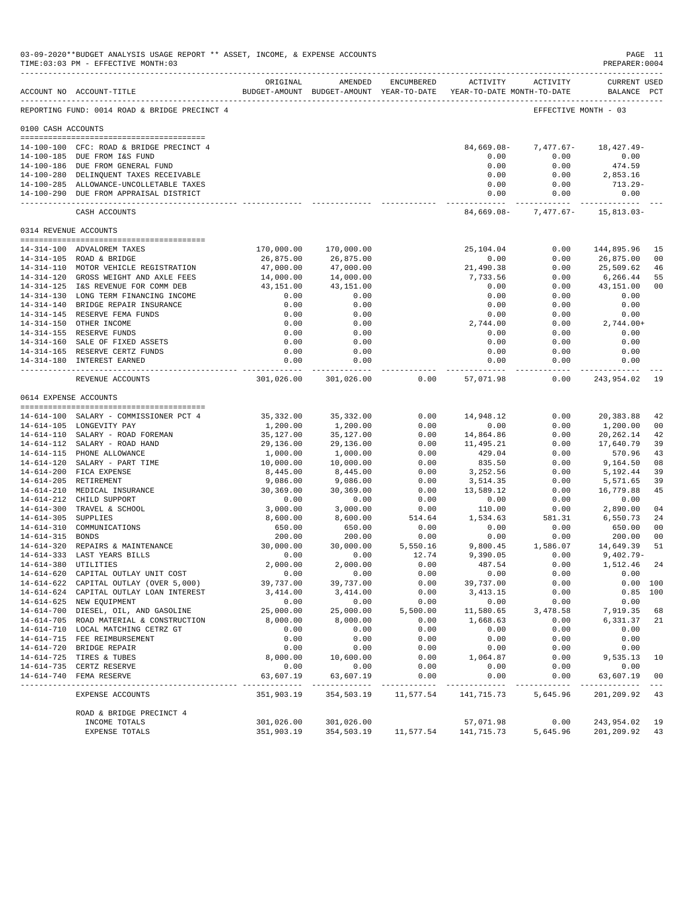|                     | 03-09-2020**BUDGET ANALYSIS USAGE REPORT ** ASSET, INCOME, & EXPENSE ACCOUNTS<br>TIME: 03:03 PM - EFFECTIVE MONTH: 03 |                           |                             |              |                                                                     |                      | PAGE 11<br>PREPARER: 0004        |                |
|---------------------|-----------------------------------------------------------------------------------------------------------------------|---------------------------|-----------------------------|--------------|---------------------------------------------------------------------|----------------------|----------------------------------|----------------|
|                     | ACCOUNT NO ACCOUNT-TITLE                                                                                              | ORIGINAL                  | AMENDED                     | ENCUMBERED   | BUDGET-AMOUNT BUDGET-AMOUNT YEAR-TO-DATE YEAR-TO-DATE MONTH-TO-DATE | ACTIVITY ACTIVITY    | CURRENT USED<br>BALANCE PCT      |                |
|                     | --------------------------------------<br>REPORTING FUND: 0014 ROAD & BRIDGE PRECINCT 4                               |                           |                             |              |                                                                     | EFFECTIVE MONTH - 03 |                                  |                |
| 0100 CASH ACCOUNTS  |                                                                                                                       |                           |                             |              |                                                                     |                      |                                  |                |
|                     |                                                                                                                       |                           |                             |              |                                                                     |                      |                                  |                |
|                     | 14-100-100 CFC: ROAD & BRIDGE PRECINCT 4<br>14-100-185 DUE FROM I&S FUND                                              |                           |                             |              | 84,669.08-<br>0.00                                                  | 0.00                 | $7,477.67 - 18,427.49 -$<br>0.00 |                |
|                     | 14-100-186 DUE FROM GENERAL FUND                                                                                      |                           |                             |              | 0.00                                                                | 0.00                 | 474.59                           |                |
|                     | 14-100-280 DELINQUENT TAXES RECEIVABLE                                                                                |                           |                             |              | 0.00                                                                | 0.00                 | 2,853.16                         |                |
|                     | 14-100-285 ALLOWANCE-UNCOLLETABLE TAXES                                                                               |                           |                             |              | 0.00                                                                | 0.00                 | 713.29-                          |                |
|                     | 14-100-290 DUE FROM APPRAISAL DISTRICT                                                                                |                           |                             |              | 0.00                                                                | 0.00                 | 0.00                             |                |
|                     | CASH ACCOUNTS                                                                                                         |                           |                             |              | 84,669.08-                                                          |                      | $7,477.67 - 15,813.03 -$         |                |
|                     | 0314 REVENUE ACCOUNTS                                                                                                 |                           |                             |              |                                                                     |                      |                                  |                |
|                     | 14-314-100 ADVALOREM TAXES                                                                                            | 170,000.00                | 170,000.00                  |              | 25,104.04                                                           | 0.00                 | 144,895.96                       | 15             |
|                     | 14-314-105 ROAD & BRIDGE                                                                                              | 26,875.00                 | 26,875.00                   |              | 0.00                                                                | 0.00                 | 26,875.00                        | 00             |
|                     | 14-314-110 MOTOR VEHICLE REGISTRATION                                                                                 | 47,000.00                 | 47,000.00                   |              | 21,490.38                                                           | 0.00                 | 25,509.62                        | 46             |
|                     | 14-314-120 GROSS WEIGHT AND AXLE FEES                                                                                 | 14,000.00<br>43,151.00    | 14,000.00                   |              | 7,733.56                                                            | 0.00                 | 6,266.44                         | 55             |
|                     | 14-314-125 I&S REVENUE FOR COMM DEB<br>14-314-130 LONG TERM FINANCING INCOME                                          | 0.00                      | 43,151.00<br>0.00           |              | 0.00<br>0.00                                                        | 0.00<br>0.00         | 43,151.00<br>0.00                | 0 <sub>0</sub> |
|                     | 14-314-140 BRIDGE REPAIR INSURANCE                                                                                    | 0.00                      | 0.00                        |              | 0.00                                                                | 0.00                 | 0.00                             |                |
|                     | 14-314-145 RESERVE FEMA FUNDS                                                                                         | 0.00                      | 0.00                        |              | 0.00                                                                | 0.00                 | 0.00                             |                |
|                     | 14-314-150 OTHER INCOME                                                                                               | 0.00                      | 0.00                        |              | 2,744.00                                                            | 0.00                 | $2,744.00+$                      |                |
|                     | 14-314-155 RESERVE FUNDS                                                                                              | 0.00                      | 0.00                        |              | 0.00                                                                | 0.00                 | 0.00                             |                |
|                     | 14-314-160 SALE OF FIXED ASSETS                                                                                       | 0.00                      | 0.00                        |              | 0.00                                                                | 0.00                 | 0.00                             |                |
|                     | 14-314-165 RESERVE CERTZ FUNDS                                                                                        | 0.00                      | 0.00                        |              | 0.00                                                                | 0.00                 | 0.00                             |                |
|                     | 14-314-180 INTEREST EARNED                                                                                            | 0.00<br>.                 | 0.00<br>------------        |              | 0.00<br>--------------                                              | 0.00<br>-----------  | 0.00<br>-----------              |                |
|                     | REVENUE ACCOUNTS                                                                                                      |                           | 301,026.00 301,026.00       | 0.00         | 57,071.98                                                           | 0.00                 | 243,954.02                       | 19             |
|                     | 0614 EXPENSE ACCOUNTS                                                                                                 |                           |                             |              |                                                                     |                      |                                  |                |
|                     | 14-614-100 SALARY - COMMISSIONER PCT 4                                                                                | 35,332.00                 | 35,332.00                   | 0.00         | 14,948.12                                                           | 0.00                 | 20,383.88                        | 42             |
|                     | 14-614-105 LONGEVITY PAY                                                                                              | 1,200.00                  | 1,200.00                    | 0.00         | 0.00                                                                | 0.00                 | 1,200.00                         | 00             |
|                     | 14-614-110 SALARY - ROAD FOREMAN<br>14-614-112 SALARY - ROAD HAND                                                     | 35,127.00                 | 35,127.00                   | 0.00<br>0.00 | 14,864.86<br>11,495.21                                              | 0.00<br>0.00         | 20,262.14                        | 42<br>39       |
|                     | 14-614-115 PHONE ALLOWANCE                                                                                            | 29,136.00<br>1,000.00     | 29,136.00<br>1,000.00       | 0.00         | 429.04                                                              | 0.00                 | 17,640.79<br>570.96              | 43             |
|                     | 14-614-120 SALARY - PART TIME                                                                                         | 10,000.00                 | 10,000.00                   | 0.00         | 835.50                                                              | 0.00                 | 9,164.50                         | 08             |
|                     | 14-614-200 FICA EXPENSE                                                                                               | 8,445.00                  | 8,445.00                    | 0.00         | 3,252.56                                                            | 0.00                 | 5,192.44                         | 39             |
|                     | 14-614-205 RETIREMENT                                                                                                 | 9,086.00                  | 9,086.00                    | 0.00         | 3,514.35                                                            | 0.00                 | 5,571.65                         | 39             |
|                     | 14-614-210 MEDICAL INSURANCE                                                                                          | 30,369.00                 | 30,369.00                   | 0.00         | 13,589.12                                                           | 0.00                 | 16,779.88                        | 45             |
|                     | 14-614-212 CHILD SUPPORT                                                                                              | 0.00                      | 0.00                        | 0.00         | 0.00                                                                | 0.00                 | 0.00                             |                |
|                     | 14-614-300 TRAVEL & SCHOOL                                                                                            | 3,000.00                  | 3,000.00                    | 0.00         | 110.00                                                              | 0.00                 | 2,890.00                         | 04             |
| 14-614-305 SUPPLIES |                                                                                                                       | 8,600.00                  | 8,600.00                    | 514.64       | 1,534.63                                                            | 581.31               | 6,550.73                         | 24             |
| 14-614-315 BONDS    | 14-614-310 COMMUNICATIONS                                                                                             | 650.00<br>200.00          | 650.00<br>200.00            | 0.00<br>0.00 | 0.00<br>0.00                                                        | 0.00<br>0.00         | 650.00<br>200.00                 | 00<br>00       |
|                     | 14-614-320 REPAIRS & MAINTENANCE                                                                                      | 30,000.00                 | 30,000.00                   | 5,550.16     | 9,800.45                                                            | 1,586.07             | 14,649.39                        | 51             |
|                     | 14-614-333 LAST YEARS BILLS                                                                                           | 0.00                      | 0.00                        | 12.74        | 9,390.05                                                            | 0.00                 | $9.402.79 -$                     |                |
|                     | 14-614-380 UTILITIES                                                                                                  | 2,000.00                  | 2,000.00                    | 0.00         | 487.54                                                              | 0.00                 | 1,512.46                         | 24             |
|                     | 14-614-620 CAPITAL OUTLAY UNIT COST                                                                                   | 0.00                      | 0.00                        | 0.00         | 0.00                                                                | 0.00                 | 0.00                             |                |
|                     | 14-614-622 CAPITAL OUTLAY (OVER 5,000)                                                                                | 39,737.00                 | 39,737.00                   | 0.00         | 39,737.00                                                           | 0.00                 | 0.00 100                         |                |
|                     | 14-614-624 CAPITAL OUTLAY LOAN INTEREST                                                                               | 3,414.00                  | 3,414.00                    | 0.00         | 3, 413.15                                                           | 0.00                 | $0.85$ 100                       |                |
|                     | 14-614-625 NEW EQUIPMENT                                                                                              | 0.00                      | 0.00                        | 0.00         | 0.00                                                                | 0.00                 | 0.00                             |                |
|                     | 14-614-700 DIESEL, OIL, AND GASOLINE<br>14-614-705 ROAD MATERIAL & CONSTRUCTION                                       | 25,000.00                 | 25,000.00                   | 5,500.00     | 11,580.65<br>1,668.63                                               | 3,478.58             | 7,919.35                         | 68             |
|                     | 14-614-710 LOCAL MATCHING CETRZ GT                                                                                    | 8,000.00<br>0.00          | 8,000.00<br>0.00            | 0.00<br>0.00 | 0.00                                                                | 0.00<br>0.00         | 6,331.37<br>0.00                 | 21             |
|                     | 14-614-715 FEE REIMBURSEMENT                                                                                          | 0.00                      | 0.00                        | 0.00         | 0.00                                                                | 0.00                 | 0.00                             |                |
|                     | 14-614-720 BRIDGE REPAIR                                                                                              | 0.00                      | 0.00                        | 0.00         | 0.00                                                                | 0.00                 | 0.00                             |                |
|                     | 14-614-725 TIRES & TUBES                                                                                              | 8,000.00                  | 10,600.00                   | 0.00         | 1,064.87                                                            | 0.00                 | 9,535.13                         | 10             |
|                     | 14-614-735 CERTZ RESERVE                                                                                              | 0.00                      | 0.00                        | 0.00         | 0.00                                                                | 0.00                 | 0.00                             |                |
|                     | 14-614-740 FEMA RESERVE                                                                                               | 63,607.19<br>------------ | 63,607.19<br>-------------- | 0.00         | 0.00<br>-----------                                                 | 0.00<br>-----------  | 63,607.19<br>.                   | 00             |
|                     | EXPENSE ACCOUNTS                                                                                                      | 351,903.19                | 354,503.19                  | 11,577.54    | 141,715.73                                                          | 5,645.96             | 201,209.92                       | 43             |
|                     | ROAD & BRIDGE PRECINCT 4                                                                                              |                           |                             |              |                                                                     |                      |                                  |                |
|                     | INCOME TOTALS                                                                                                         | 301,026.00                | 301,026.00                  |              | 57,071.98                                                           | 0.00                 | 243,954.02                       | 19             |
|                     | EXPENSE TOTALS                                                                                                        | 351,903.19                | 354,503.19                  |              | 11,577.54 141,715.73                                                | 5,645.96             | 201,209.92                       | 43             |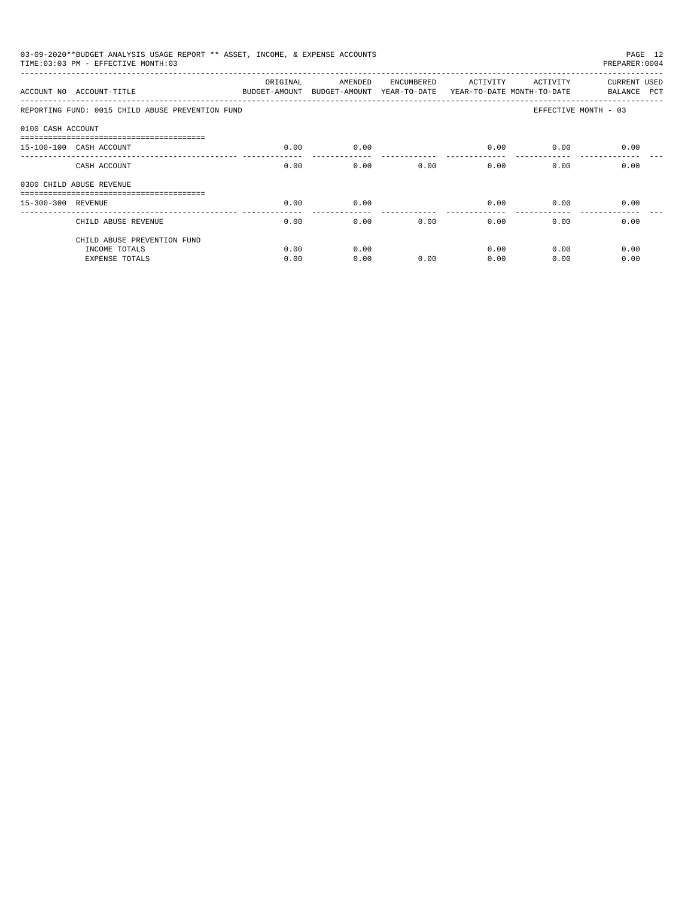|                    | 03-09-2020**BUDGET ANALYSIS USAGE REPORT ** ASSET, INCOME, & EXPENSE ACCOUNTS<br>PAGE 12<br>TIME: 03:03 PM - EFFECTIVE MONTH: 03<br>PREPARER: 0004 |                           |                                       |            |                                        |                      |                             |  |  |  |
|--------------------|----------------------------------------------------------------------------------------------------------------------------------------------------|---------------------------|---------------------------------------|------------|----------------------------------------|----------------------|-----------------------------|--|--|--|
|                    | ACCOUNT NO ACCOUNT-TITLE                                                                                                                           | ORIGINAL<br>BUDGET-AMOUNT | AMENDED<br>BUDGET-AMOUNT YEAR-TO-DATE | ENCUMBERED | ACTIVITY<br>YEAR-TO-DATE MONTH-TO-DATE | ACTIVITY             | CURRENT USED<br>BALANCE PCT |  |  |  |
|                    | REPORTING FUND: 0015 CHILD ABUSE PREVENTION FUND                                                                                                   |                           |                                       |            |                                        | EFFECTIVE MONTH - 03 |                             |  |  |  |
| 0100 CASH ACCOUNT  |                                                                                                                                                    |                           |                                       |            |                                        |                      |                             |  |  |  |
|                    | 15-100-100 CASH ACCOUNT                                                                                                                            | 0.00                      | 0.00                                  |            | 0.00                                   | 0.00                 | 0.00                        |  |  |  |
|                    | CASH ACCOUNT                                                                                                                                       | 0.00                      | 0.00                                  | 0.00       | 0.00                                   | 0.00                 | 0.00                        |  |  |  |
|                    | 0300 CHILD ABUSE REVENUE                                                                                                                           |                           |                                       |            |                                        |                      |                             |  |  |  |
| 15-300-300 REVENUE |                                                                                                                                                    | 0.00                      | 0.00                                  |            | 0.00                                   | 0.00                 | 0.00                        |  |  |  |
|                    | CHILD ABUSE REVENUE                                                                                                                                | 0.00                      | 0.00                                  | 0.00       | 0.00                                   | 0.00                 | 0.00                        |  |  |  |
|                    | CHILD ABUSE PREVENTION FUND                                                                                                                        |                           |                                       |            |                                        |                      |                             |  |  |  |
|                    | INCOME TOTALS                                                                                                                                      | 0.00                      | 0.00                                  |            | 0.00                                   | 0.00                 | 0.00                        |  |  |  |
|                    | <b>EXPENSE TOTALS</b>                                                                                                                              | 0.00                      | 0.00                                  | 0.00       | 0.00                                   | 0.00                 | 0.00                        |  |  |  |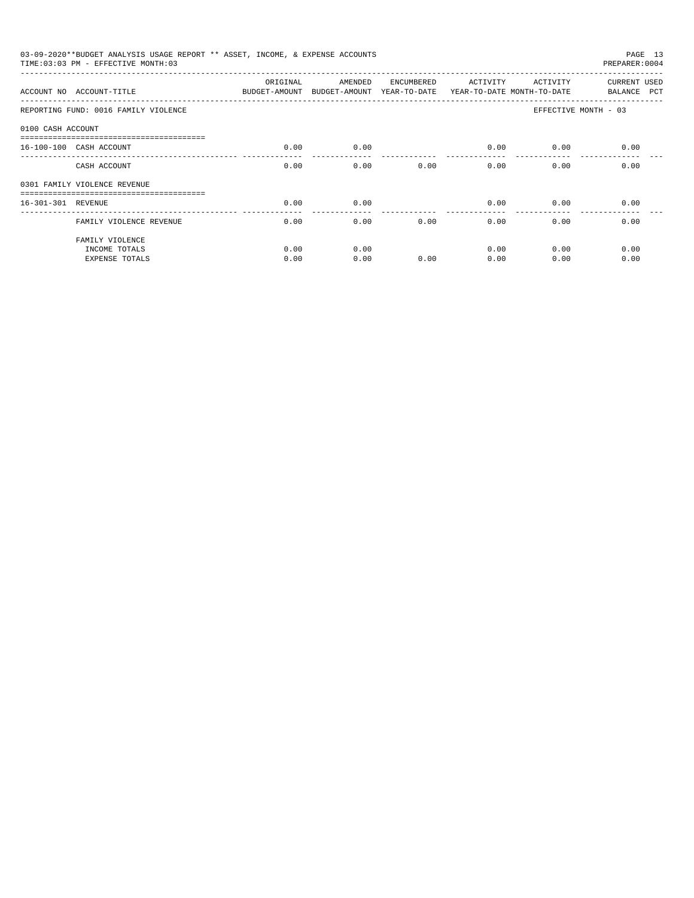| TIME: 03:03 PM - EFFECTIVE MONTH: 03                      |              |              |            |                                                                               |                 | PAGE 13<br>PREPARER: 0004                                                                                                                   |
|-----------------------------------------------------------|--------------|--------------|------------|-------------------------------------------------------------------------------|-----------------|---------------------------------------------------------------------------------------------------------------------------------------------|
| ACCOUNT NO ACCOUNT-TITLE                                  | ORIGINAL     | AMENDED      | ENCUMBERED |                                                                               |                 | CURRENT USED<br>BALANCE PCT                                                                                                                 |
| REPORTING FUND: 0016 FAMILY VIOLENCE                      |              |              |            |                                                                               |                 | EFFECTIVE MONTH - 03                                                                                                                        |
| 0100 CASH ACCOUNT                                         |              |              |            |                                                                               |                 |                                                                                                                                             |
| 16-100-100 CASH ACCOUNT                                   | 0.00         | 0.00         |            |                                                                               | 0.00            | 0.00                                                                                                                                        |
| CASH ACCOUNT                                              | 0.00         | 0.00         | 0.00       |                                                                               | 0.00            | 0.00                                                                                                                                        |
| 0301 FAMILY VIOLENCE REVENUE                              |              |              |            |                                                                               |                 |                                                                                                                                             |
| 16-301-301 REVENUE                                        | 0.00         | 0.00         |            |                                                                               | 0.00            | 0.00                                                                                                                                        |
| FAMILY VIOLENCE REVENUE                                   | 0.00         | 0.00         | 0.00       |                                                                               | 0.00            | 0.00                                                                                                                                        |
| FAMILY VIOLENCE<br>INCOME TOTALS<br><b>EXPENSE TOTALS</b> | 0.00<br>0.00 | 0.00<br>0.00 | 0.00       |                                                                               | 0.00<br>0.00    | 0.00<br>0.00                                                                                                                                |
|                                                           |              |              |            | 03-09-2020**BUDGET ANALYSIS USAGE REPORT ** ASSET, INCOME, & EXPENSE ACCOUNTS | _______________ | ACTIVITY<br>ACTIVITY<br>BUDGET-AMOUNT BUDGET-AMOUNT YEAR-TO-DATE YEAR-TO-DATE MONTH-TO-DATE<br>0.00<br>0.00<br>0.00<br>0.00<br>0.00<br>0.00 |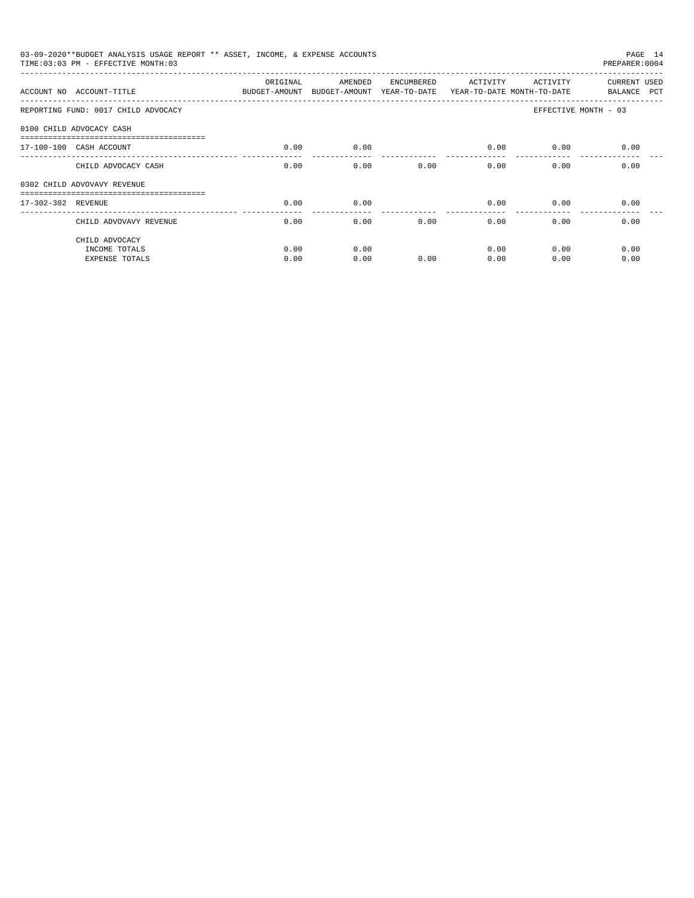|                             | 03-09-2020**BUDGET ANALYSIS USAGE REPORT ** ASSET, INCOME, & EXPENSE ACCOUNTS<br>TIME: 03:03 PM - EFFECTIVE MONTH: 03 |              |              |            |                       |                           | PAGE 14<br>PREPARER: 0004   |
|-----------------------------|-----------------------------------------------------------------------------------------------------------------------|--------------|--------------|------------|-----------------------|---------------------------|-----------------------------|
|                             | ACCOUNT NO ACCOUNT-TITLE COMPUT ANOUNT BUDGET-AMOUNT BUDGET-AMOUNT YEAR-TO-DATE YEAR-TO-DATE MONTH-TO-DATE            | ORIGINAL     | AMENDED      | ENCUMBERED | ACTIVITY              | ACTIVITY                  | CURRENT USED<br>BALANCE PCT |
|                             | REPORTING FUND: 0017 CHILD ADVOCACY                                                                                   |              |              |            |                       |                           | EFFECTIVE MONTH - 03        |
| 0100 CHILD ADVOCACY CASH    |                                                                                                                       |              |              |            |                       |                           |                             |
| 17-100-100 CASH ACCOUNT     |                                                                                                                       | 0.00         | 0.00         |            | 0.00                  | 0.00                      | 0.00                        |
|                             | CHILD ADVOCACY CASH                                                                                                   | 0.00         | 0.00         | 0.00       |                       | 0.00<br>$0.00$ and $0.00$ | 0.00                        |
| 0302 CHILD ADVOVAVY REVENUE |                                                                                                                       |              |              |            |                       |                           |                             |
| 17-302-302 REVENUE          |                                                                                                                       | 0.00         | 0.00         |            | 0.00                  | 0.00                      | 0.00                        |
|                             | CHILD ADVOVAVY REVENUE                                                                                                | 0.00         | 0.00         | 0.00       | $- - - - - -$<br>0.00 | 0.00                      | 0.00                        |
|                             | CHILD ADVOCACY<br>INCOME TOTALS<br><b>EXPENSE TOTALS</b>                                                              | 0.00<br>0.00 | 0.00<br>0.00 | 0.00       | 0.00<br>0.00          | 0.00<br>0.00              | 0.00<br>0.00                |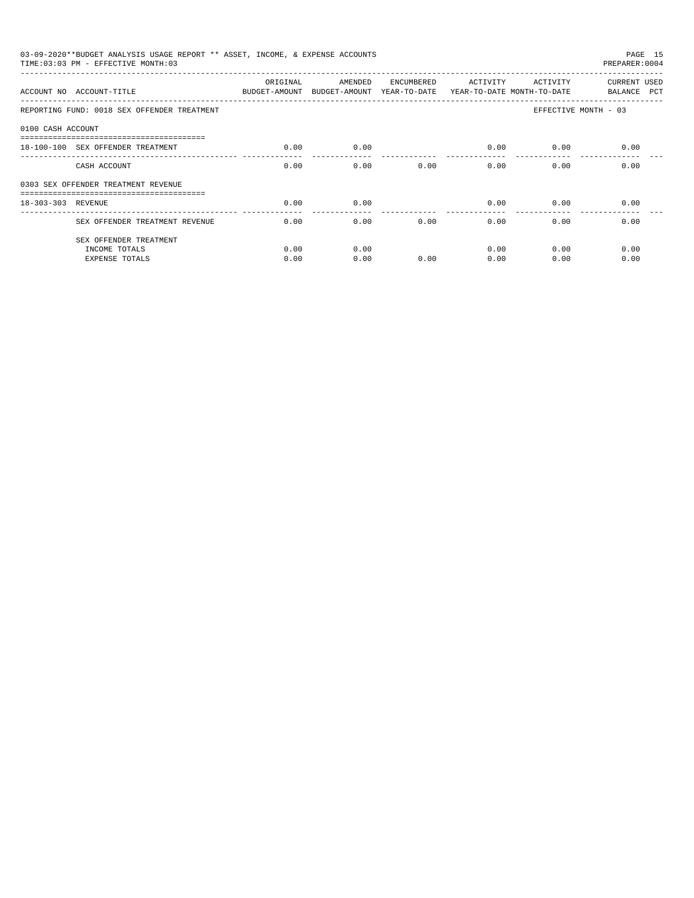|                    | 03-09-2020**BUDGET ANALYSIS USAGE REPORT ** ASSET, INCOME, & EXPENSE ACCOUNTS<br>TIME: 03:03 PM - EFFECTIVE MONTH: 03 |                           |                                                                  |            |                         |          | PAGE 15<br>PREPARER: 0004   |
|--------------------|-----------------------------------------------------------------------------------------------------------------------|---------------------------|------------------------------------------------------------------|------------|-------------------------|----------|-----------------------------|
|                    | ACCOUNT NO ACCOUNT-TITUE                                                                                              | ORIGINAL<br>BUDGET-AMOUNT | AMENDED<br>BUDGET-AMOUNT YEAR-TO-DATE YEAR-TO-DATE MONTH-TO-DATE | ENCUMBERED | ACTIVITY                | ACTIVITY | CURRENT USED<br>BALANCE PCT |
|                    | REPORTING FUND: 0018 SEX OFFENDER TREATMENT                                                                           |                           |                                                                  |            |                         |          | EFFECTIVE MONTH - 03        |
| 0100 CASH ACCOUNT  |                                                                                                                       |                           |                                                                  |            |                         |          |                             |
|                    | 18-100-100 SEX OFFENDER TREATMENT                                                                                     | 0.00                      | 0.00                                                             |            | 0.00                    | 0.00     | 0.00                        |
|                    | CASH ACCOUNT                                                                                                          | 0.00                      | 0.00                                                             | 0.00       | 0.00                    | 0.00     | 0.00                        |
|                    | 0303 SEX OFFENDER TREATMENT REVENUE                                                                                   |                           |                                                                  |            |                         |          |                             |
| 18-303-303 REVENUE |                                                                                                                       | 0.00                      | 0.00                                                             |            | 0.00<br>_______________ | 0.00     | 0.00                        |
|                    | SEX OFFENDER TREATMENT REVENUE                                                                                        | 0.00                      | 0.00                                                             | 0.00       | 0.00                    | 0.00     | 0.00                        |
|                    | SEX OFFENDER TREATMENT                                                                                                |                           |                                                                  |            |                         |          |                             |
|                    | INCOME TOTALS                                                                                                         | 0.00                      | 0.00                                                             |            | 0.00                    | 0.00     | 0.00                        |
|                    | <b>EXPENSE TOTALS</b>                                                                                                 | 0.00                      | 0.00                                                             | 0.00       | 0.00                    | 0.00     | 0.00                        |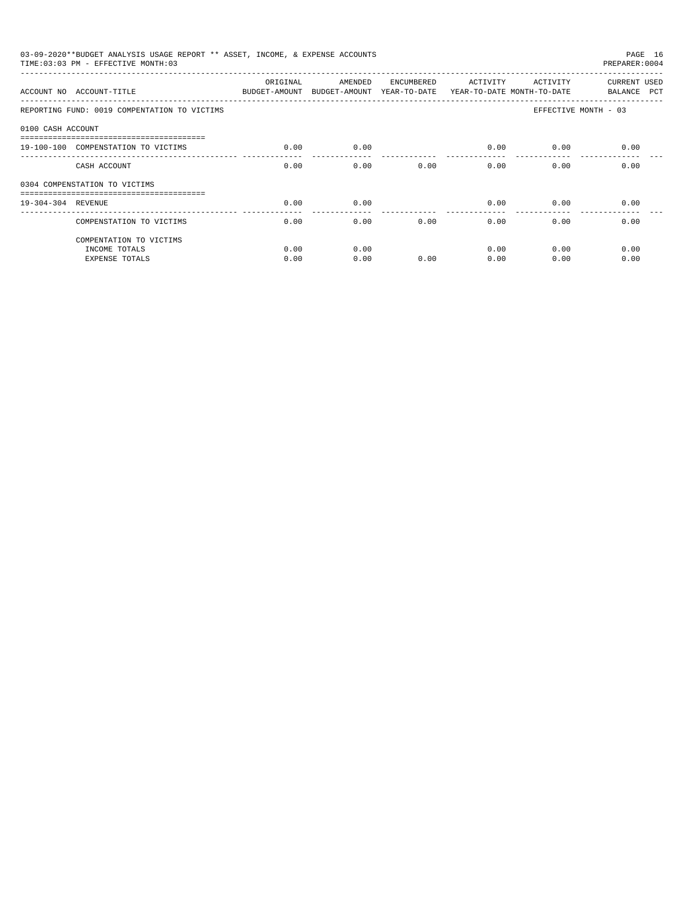|                    | 03-09-2020**BUDGET ANALYSIS USAGE REPORT ** ASSET, INCOME, & EXPENSE ACCOUNTS<br>TIME: 03:03 PM - EFFECTIVE MONTH: 03 |          |         |            |          |          | PAGE 16<br>PREPARER: 0004   |
|--------------------|-----------------------------------------------------------------------------------------------------------------------|----------|---------|------------|----------|----------|-----------------------------|
|                    | ACCOUNT NO ACCOUNT-TITLE<br>BUDGET-AMOUNT BUDGET-AMOUNT YEAR-TO-DATE YEAR-TO-DATE MONTH-TO-DATE                       | ORIGINAL | AMENDED | ENCUMBERED | ACTIVITY | ACTIVITY | CURRENT USED<br>BALANCE PCT |
|                    | REPORTING FUND: 0019 COMPENTATION TO VICTIMS                                                                          |          |         |            |          |          | EFFECTIVE MONTH - 03        |
| 0100 CASH ACCOUNT  |                                                                                                                       |          |         |            |          |          |                             |
|                    | 19-100-100 COMPENSTATION TO VICTIMS                                                                                   | 0.00     | 0.00    |            | 0.00     | 0.00     | 0.00                        |
|                    | CASH ACCOUNT                                                                                                          | 0.00     | 0.00    | 0.00       | 0.00     | 0.00     | 0.00                        |
|                    | 0304 COMPENSTATION TO VICTIMS                                                                                         |          |         |            |          |          |                             |
| 19-304-304 REVENUE |                                                                                                                       | 0.00     | 0.00    |            | 0.00     | 0.00     | 0.00                        |
|                    | COMPENSTATION TO VICTIMS                                                                                              | 0.00     | 0.00    | 0.00       | 0.00     | 0.00     | 0.00                        |
|                    | COMPENTATION TO VICTIMS                                                                                               |          |         |            |          |          |                             |
|                    | INCOME TOTALS                                                                                                         | 0.00     | 0.00    |            | 0.00     | 0.00     | 0.00                        |
|                    | <b>EXPENSE TOTALS</b>                                                                                                 | 0.00     | 0.00    | 0.00       | 0.00     | 0.00     | 0.00                        |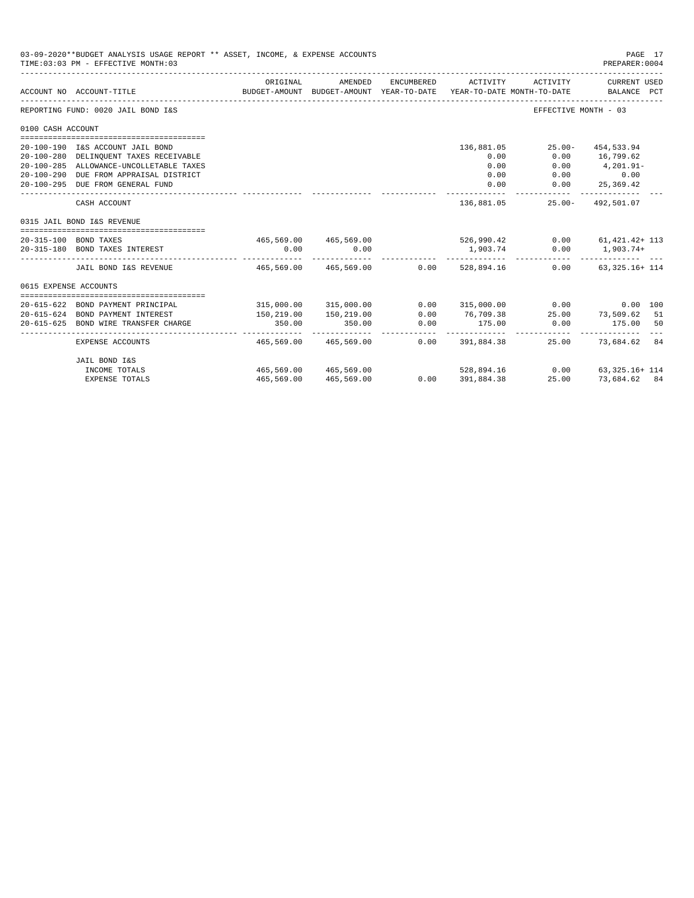|                       | 03-09-2020**BUDGET ANALYSIS USAGE REPORT ** ASSET, INCOME, & EXPENSE ACCOUNTS<br>TIME: 03:03 PM - EFFECTIVE MONTH: 03 |                                               |                                                     |                     |                    |                                                      | PAGE 17<br>PREPARER: 0004     |  |
|-----------------------|-----------------------------------------------------------------------------------------------------------------------|-----------------------------------------------|-----------------------------------------------------|---------------------|--------------------|------------------------------------------------------|-------------------------------|--|
|                       | ACCOUNT NO ACCOUNT-TITLE                                                                                              | ORIGINAL                                      | AMENDED<br>BUDGET-AMOUNT BUDGET-AMOUNT YEAR-TO-DATE | ENCUMBERED          | ACTIVITY           | ACTIVITY<br>YEAR-TO-DATE MONTH-TO-DATE               | CURRENT USED<br>BALANCE PCT   |  |
|                       | REPORTING FUND: 0020 JAIL BOND I&S                                                                                    |                                               |                                                     |                     |                    | EFFECTIVE MONTH - 03                                 |                               |  |
| 0100 CASH ACCOUNT     |                                                                                                                       |                                               |                                                     |                     |                    |                                                      |                               |  |
|                       |                                                                                                                       |                                               |                                                     |                     |                    |                                                      |                               |  |
|                       | 20-100-190 I&S ACCOUNT JAIL BOND                                                                                      |                                               |                                                     |                     | 136,881.05<br>0.00 | $25.00 -$                                            | 454,533.94                    |  |
|                       | 20-100-280 DELINQUENT TAXES RECEIVABLE<br>20-100-285 ALLOWANCE-UNCOLLETABLE TAXES                                     |                                               |                                                     |                     | 0.00               | 0.00                                                 | $0.00$ 16,799.62<br>4,201.91- |  |
|                       | 20-100-290 DUE FROM APPRAISAL DISTRICT                                                                                |                                               |                                                     |                     | 0.00               |                                                      | $0.00$ 0.00                   |  |
|                       | 20-100-295 DUE FROM GENERAL FUND                                                                                      |                                               |                                                     |                     | 0.00               | 0.00                                                 | 25,369.42                     |  |
|                       |                                                                                                                       |                                               |                                                     |                     |                    |                                                      |                               |  |
|                       | CASH ACCOUNT                                                                                                          |                                               |                                                     |                     | 136,881.05         |                                                      | 25.00- 492.501.07             |  |
|                       | 0315 JAIL BOND I&S REVENUE                                                                                            |                                               |                                                     |                     |                    |                                                      |                               |  |
|                       | 20-315-100 BOND TAXES                                                                                                 |                                               |                                                     |                     |                    | 465,569.00 465,569.00 526,990.42 0.00 61,421.42+ 113 |                               |  |
|                       | 20-315-180 BOND TAXES INTEREST                                                                                        | 0.00                                          | 0.00                                                |                     | 1,903.74           |                                                      | $0.00$ 1,903.74+              |  |
|                       | JAIL BOND I&S REVENUE                                                                                                 | $465,569,00$ $465,569,00$ $0.00$ $528,894,16$ |                                                     |                     |                    | 0.00                                                 | $63.325.16 + 114$             |  |
| 0615 EXPENSE ACCOUNTS |                                                                                                                       |                                               |                                                     |                     |                    |                                                      |                               |  |
|                       |                                                                                                                       |                                               |                                                     |                     |                    |                                                      |                               |  |
|                       | 20-615-622 BOND PAYMENT PRINCIPAL                                                                                     |                                               | 315,000.00 315,000.00                               |                     |                    | $0.00$ 315,000.00 0.00 0.00 0.00 100                 |                               |  |
|                       | 20-615-624 BOND PAYMENT INTEREST                                                                                      | 150,219.00                                    | 150,219.00                                          | 0.00                | 76,709.38          |                                                      | 25.00 73,509.62 51            |  |
| $20 - 615 - 625$      | BOND WIRE TRANSFER CHARGE                                                                                             | 350.00                                        | 350.00                                              | 0.00<br>----------- | 175.00<br>.        | 0.00                                                 | 175.00 50                     |  |
|                       | EXPENSE ACCOUNTS                                                                                                      | 465,569.00                                    | 465,569.00                                          |                     | $0.00$ 391,884.38  |                                                      | 25.00 73,684.62 84            |  |
|                       | JAIL BOND I&S                                                                                                         |                                               |                                                     |                     |                    |                                                      |                               |  |
|                       | INCOME TOTALS                                                                                                         | 465,569.00 465,569.00                         |                                                     |                     |                    | $528,894.16$ $0.00$ $63,325.16+114$                  |                               |  |
|                       | <b>EXPENSE TOTALS</b>                                                                                                 | 465,569.00                                    | 465,569.00                                          | 0.0000391,884.38    |                    | 25.00                                                | 73,684.62 84                  |  |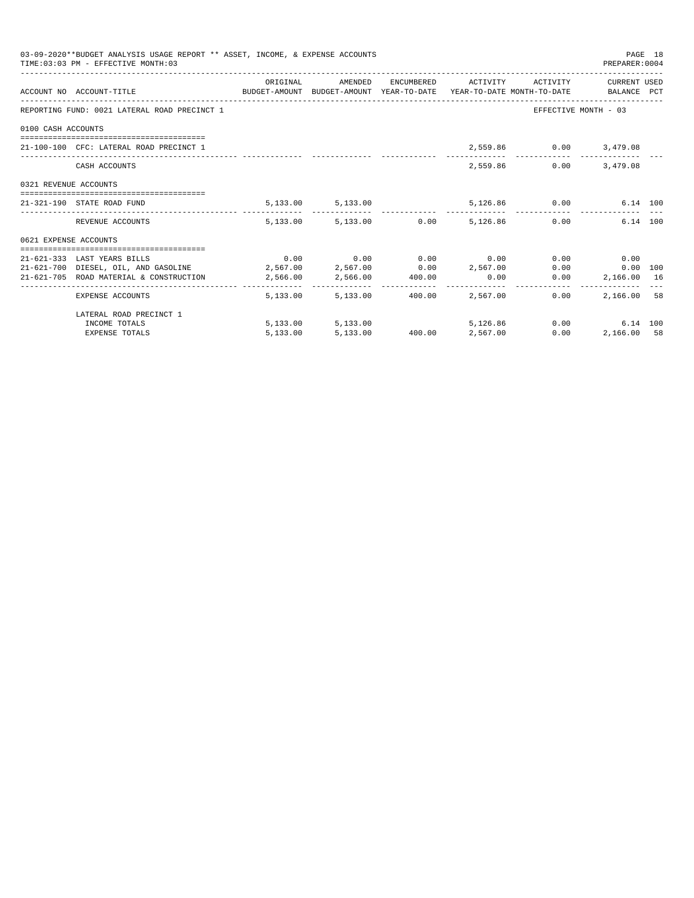|                       | 03-09-2020**BUDGET ANALYSIS USAGE REPORT ** ASSET, INCOME, & EXPENSE ACCOUNTS<br>TIME: 03:03 PM - EFFECTIVE MONTH: 03 |                                                                                                                                     |          |               | PREPARER: 0004         | PAGE 18 |
|-----------------------|-----------------------------------------------------------------------------------------------------------------------|-------------------------------------------------------------------------------------------------------------------------------------|----------|---------------|------------------------|---------|
|                       | ACCOUNT NO ACCOUNT-TITLE CONTROL BUDGET-AMOUNT BUDGET-AMOUNT YEAR-TO-DATE YEAR-TO-DATE MONTH-TO-DATE BALANCE PCT      | ORIGINAL AMENDED ENCUMBERED ACTIVITY ACTIVITY CURRENTUSED                                                                           |          |               |                        |         |
|                       | REPORTING FUND: 0021 LATERAL ROAD PRECINCT 1                                                                          |                                                                                                                                     |          |               | EFFECTIVE MONTH - 03   |         |
| 0100 CASH ACCOUNTS    |                                                                                                                       |                                                                                                                                     |          |               |                        |         |
|                       | 21-100-100 CFC: LATERAL ROAD PRECINCT 1                                                                               |                                                                                                                                     |          |               | 2,559.86 0.00 3,479.08 |         |
|                       | CASH ACCOUNTS                                                                                                         |                                                                                                                                     |          | 2,559.86 0.00 | 3,479.08               |         |
| 0321 REVENUE ACCOUNTS |                                                                                                                       |                                                                                                                                     |          |               |                        |         |
|                       | 21-321-190 STATE ROAD FUND                                                                                            | 5,133.00 5,133.00 5,126.86 0.00 6.14 100                                                                                            |          |               |                        |         |
|                       | REVENUE ACCOUNTS                                                                                                      | 5.133.00 5.133.00 0.00 5.126.86 0.00                                                                                                |          |               | 6.14 100               |         |
| 0621 EXPENSE ACCOUNTS |                                                                                                                       |                                                                                                                                     |          |               |                        |         |
|                       |                                                                                                                       |                                                                                                                                     |          |               |                        |         |
|                       | 21-621-333 LAST YEARS BILLS                                                                                           | $0.00$ $0.00$ $0.00$ $0.00$ $0.00$                                                                                                  |          |               | $0.00$ 0.00            |         |
|                       | $21-621-700$ DIESEL, OIL, AND GASOLINE $2,567.00$ $2,567.00$ $0.00$ $2,567.00$                                        |                                                                                                                                     |          |               | 0.00<br>$0.00$ 100     |         |
|                       | 21-621-705 ROAD MATERIAL & CONSTRUCTION 2,566.00 2,566.00 400.00                                                      |                                                                                                                                     | 0.00     | 0.00          | 2,166.00 16            |         |
|                       | EXPENSE ACCOUNTS                                                                                                      | 5,133.00 5,133.00 400.00 2,567.00                                                                                                   |          | 0.00          | 2,166.00 58            |         |
|                       | LATERAL ROAD PRECINCT 1                                                                                               |                                                                                                                                     |          |               |                        |         |
|                       | INCOME TOTALS                                                                                                         | $\begin{array}{cccccc} 5,13300 & & & & 5,13300 & & & & 5,12686 \\ 5,13300 & & & & 5,13300 & & & 40000 & & & 2,56700 \\ \end{array}$ | 5,126,86 |               | 0.00<br>6.14 100       |         |
|                       | <b>EXPENSE TOTALS</b>                                                                                                 |                                                                                                                                     |          | 0.00          | 2,166.00 58            |         |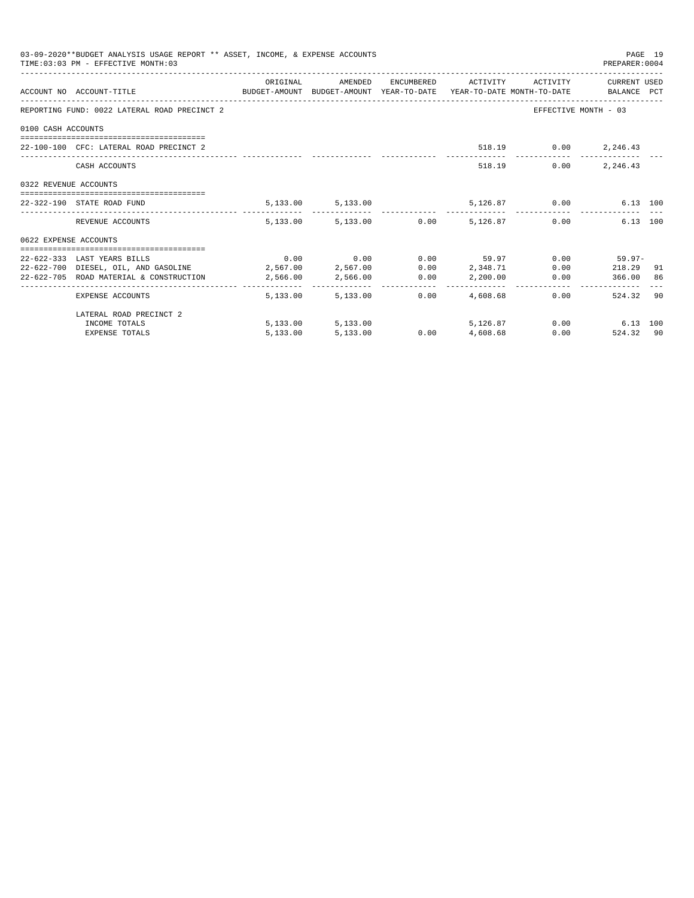|                       | 03-09-2020**BUDGET ANALYSIS USAGE REPORT ** ASSET, INCOME, & EXPENSE ACCOUNTS<br>TIME: 03:03 PM - EFFECTIVE MONTH: 03 |          |                   |      |                                                   |      | PREPARER: 0004       | PAGE 19 |
|-----------------------|-----------------------------------------------------------------------------------------------------------------------|----------|-------------------|------|---------------------------------------------------|------|----------------------|---------|
|                       | ACCOUNT NO ACCOUNT-TITLE CONTROL BUDGET-AMOUNT BUDGET-AMOUNT YEAR-TO-DATE YEAR-TO-DATE MONTH-TO-DATE BALANCE PCT      | ORIGINAL |                   |      | AMENDED ENCUMBERED ACTIVITY ACTIVITY CURRENT USED |      |                      |         |
|                       | REPORTING FUND: 0022 LATERAL ROAD PRECINCT 2                                                                          |          |                   |      |                                                   |      | EFFECTIVE MONTH - 03 |         |
| 0100 CASH ACCOUNTS    |                                                                                                                       |          |                   |      |                                                   |      |                      |         |
|                       | 22-100-100 CFC: LATERAL ROAD PRECINCT 2                                                                               |          |                   |      |                                                   |      | 518.19 0.00 2,246.43 |         |
|                       |                                                                                                                       |          |                   |      |                                                   |      |                      |         |
|                       | CASH ACCOUNTS                                                                                                         |          |                   |      | 518.19                                            | 0.00 | 2,246.43             |         |
| 0322 REVENUE ACCOUNTS |                                                                                                                       |          |                   |      |                                                   |      |                      |         |
|                       | 22-322-190 STATE ROAD FUND                                                                                            |          |                   |      | 5,133.00 5,133.00 5,126.87 0.00                   |      | 6.13 100             |         |
|                       | REVENUE ACCOUNTS                                                                                                      |          |                   |      | 5,133.00 5,133.00 0.00 5,126.87 0.00              |      | 6.13 100             |         |
| 0622 EXPENSE ACCOUNTS |                                                                                                                       |          |                   |      |                                                   |      |                      |         |
|                       | 22-622-333 LAST YEARS BILLS                                                                                           |          |                   |      | $0.00$ $0.00$ $0.00$ $0.00$ $59.97$               |      | $0.00$ 59.97-        |         |
|                       | 22-622-700 DIESEL, OIL, AND GASOLINE 2,567.00 2,567.00                                                                |          |                   |      | $0.00$ 2,348.71                                   |      | $0.00$ 218.29 91     |         |
|                       | 22-622-705 ROAD MATERIAL & CONSTRUCTION 2,566.00                                                                      |          |                   |      | 2,566.00 0.00 2,200.00                            |      | 0.00 366.00 86       |         |
|                       | EXPENSE ACCOUNTS                                                                                                      |          | 5,133,00 5,133,00 | 0.00 | 4,608.68                                          |      | 524.32 90<br>0.00    |         |
|                       | LATERAL ROAD PRECINCT 2                                                                                               |          |                   |      |                                                   |      |                      |         |
|                       | INCOME TOTALS                                                                                                         |          | 5,133.00 5,133.00 |      | 5,126.87                                          |      | $0.00$ 6.13 100      |         |
|                       | <b>EXPENSE TOTALS</b>                                                                                                 | 5,133.00 | 5,133.00          |      | $0.00$ $4,608.68$                                 |      | 0.00<br>524.32 90    |         |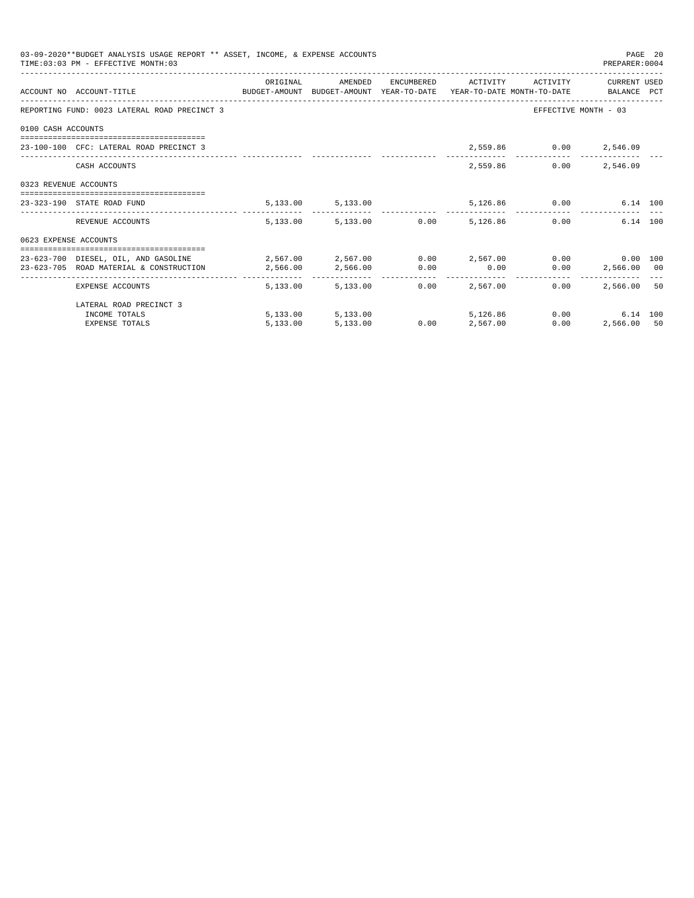|                       | 03-09-2020**BUDGET ANALYSIS USAGE REPORT ** ASSET, INCOME, & EXPENSE ACCOUNTS<br>TIME: 03:03 PM - EFFECTIVE MONTH: 03 |            |                        |                                   |                                 |                              | PREPARER: 0004       | PAGE 20 |
|-----------------------|-----------------------------------------------------------------------------------------------------------------------|------------|------------------------|-----------------------------------|---------------------------------|------------------------------|----------------------|---------|
|                       |                                                                                                                       | ORIGINAL   | AMENDED                |                                   |                                 | ENCUMBERED ACTIVITY ACTIVITY | CURRENT USED         |         |
|                       | ACCOUNT NO ACCOUNT-TITLE CONTROL SUDGET-AMOUNT BUDGET-AMOUNT YEAR-TO-DATE YEAR-TO-DATE MONTH-TO-DATE BALANCE PCT      |            |                        |                                   |                                 |                              |                      |         |
|                       | REPORTING FUND: 0023 LATERAL ROAD PRECINCT 3                                                                          |            |                        |                                   |                                 |                              | EFFECTIVE MONTH - 03 |         |
| 0100 CASH ACCOUNTS    |                                                                                                                       |            |                        |                                   |                                 |                              |                      |         |
|                       | 23-100-100 CFC: LATERAL ROAD PRECINCT 3                                                                               |            |                        |                                   |                                 | 2,559.86 0.00 2,546.09       |                      |         |
|                       | CASH ACCOUNTS                                                                                                         |            |                        |                                   |                                 | 2,559.86                     | $0.00$ 2,546.09      |         |
| 0323 REVENUE ACCOUNTS |                                                                                                                       |            |                        |                                   |                                 |                              |                      |         |
|                       | 23-323-190 STATE ROAD FUND                                                                                            |            | 5, 133.00 5, 133.00    |                                   |                                 | 5,126.86 0.00                | 6.14 100             |         |
|                       | REVENUE ACCOUNTS                                                                                                      |            | 5,133.00 5,133.00 0.00 |                                   | 5,126.86                        |                              | 6.14 100<br>0.00     |         |
| 0623 EXPENSE ACCOUNTS |                                                                                                                       |            |                        |                                   |                                 |                              |                      |         |
|                       | 23-623-700 DIESEL, OIL, AND GASOLINE $2,567.00$ $2,567.00$ $0.00$ $2,567.00$ $0.00$ $0.00$ $0.00$ $0.00$              |            |                        |                                   |                                 |                              |                      |         |
|                       | 23-623-705 ROAD MATERIAL & CONSTRUCTION 2,566.00                                                                      |            | 2,566.00 0.00          |                                   | 0.00                            |                              | $0.00$ 2,566.00 00   |         |
|                       | EXPENSE ACCOUNTS                                                                                                      | -------- - | 5,133,00 5,133,00      | -------------      -------------- | ------------<br>$0.00$ 2.567.00 | 0.00                         | 2,566,00 50          |         |
|                       | LATERAL ROAD PRECINCT 3                                                                                               |            |                        |                                   |                                 |                              |                      |         |
|                       | INCOME TOTALS                                                                                                         |            | 5,133.00 5,133.00      |                                   | 5,126,86                        |                              | 0.00<br>6.14 100     |         |
|                       | <b>EXPENSE TOTALS</b>                                                                                                 | 5.133.00   | 5,133.00               | 0.00                              | 2,567.00                        | 0.00                         | 2,566.00 50          |         |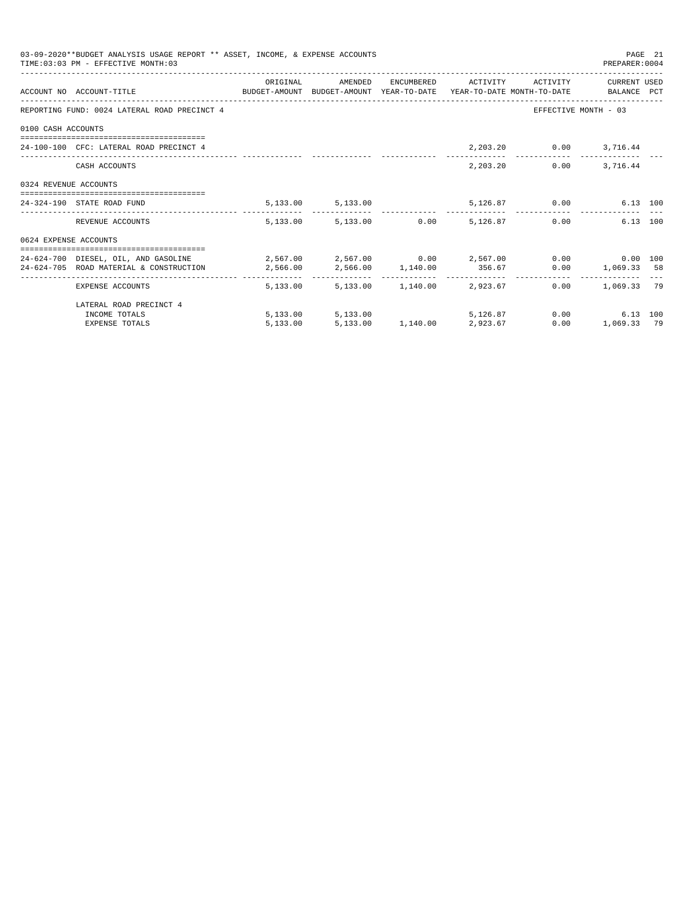|                       | 03-09-2020**BUDGET ANALYSIS USAGE REPORT ** ASSET, INCOME, & EXPENSE ACCOUNTS<br>TIME: 03:03 PM - EFFECTIVE MONTH: 03                                                                                                                                   |          |                                                   |  |                        | PREPARER: 0004                                          | PAGE 21 |
|-----------------------|---------------------------------------------------------------------------------------------------------------------------------------------------------------------------------------------------------------------------------------------------------|----------|---------------------------------------------------|--|------------------------|---------------------------------------------------------|---------|
|                       | ACCOUNT NO ACCOUNT-TITLE CONTROL PROTOCOLLY BUDGET-AMOUNT BUDGET-AMOUNT YEAR-TO-DATE YEAR-TO-DATE MONTH-TO-DATE                                                                                                                                         | ORIGINAL | AMENDED ENCUMBERED ACTIVITY ACTIVITY CURRENT_USED |  |                        |                                                         |         |
|                       | REPORTING FUND: 0024 LATERAL ROAD PRECINCT 4                                                                                                                                                                                                            |          |                                                   |  |                        | EFFECTIVE MONTH - 03                                    |         |
| 0100 CASH ACCOUNTS    |                                                                                                                                                                                                                                                         |          |                                                   |  |                        |                                                         |         |
|                       | 24-100-100 CFC: LATERAL ROAD PRECINCT 4                                                                                                                                                                                                                 |          |                                                   |  | 2,203.20 0.00 3,716.44 |                                                         |         |
|                       | CASH ACCOUNTS                                                                                                                                                                                                                                           |          |                                                   |  | 2,203.20               | $0.00$ 3, 716.44                                        |         |
| 0324 REVENUE ACCOUNTS |                                                                                                                                                                                                                                                         |          |                                                   |  |                        |                                                         |         |
|                       | 24-324-190 STATE ROAD FUND                                                                                                                                                                                                                              |          | 5, 133.00 5, 133.00                               |  | 5,126.87 0.00          | 6.13 100                                                |         |
|                       | REVENUE ACCOUNTS                                                                                                                                                                                                                                        |          | 5,133.00 5,133.00 0.00 5,126.87                   |  |                        | 0.00<br>6.13 100                                        |         |
| 0624 EXPENSE ACCOUNTS |                                                                                                                                                                                                                                                         |          |                                                   |  |                        |                                                         |         |
|                       | 24-624-700 DIESEL, OIL, AND GASOLINE $2,567.00$ $2,567.00$ $0.00$ $2,567.00$ $0.00$ $0.00$ $0.00$ $0.00$<br>$2,566.00 \qquad \qquad 2,566.00 \qquad \qquad 1,140.00 \qquad \qquad 356.67 \qquad \qquad 0.00 \qquad \qquad 1,069.33 \qquad \qquad 58.59$ |          |                                                   |  |                        |                                                         |         |
|                       | EXPENSE ACCOUNTS                                                                                                                                                                                                                                        |          | 5,133.00 5,133.00 1,140.00 2,923.67               |  |                        | _________________________________<br>$0.00$ 1,069.33 79 |         |
|                       | LATERAL ROAD PRECINCT 4                                                                                                                                                                                                                                 |          |                                                   |  |                        |                                                         |         |
|                       | INCOME TOTALS                                                                                                                                                                                                                                           |          | 5,133.00 5,133.00                                 |  | 5.126.87 0.00          | 6.13 100                                                |         |
|                       | <b>EXPENSE TOTALS</b>                                                                                                                                                                                                                                   | 5.133.00 | 5,133.00 1,140.00 2,923.67                        |  | 0.00                   | 1,069.33 79                                             |         |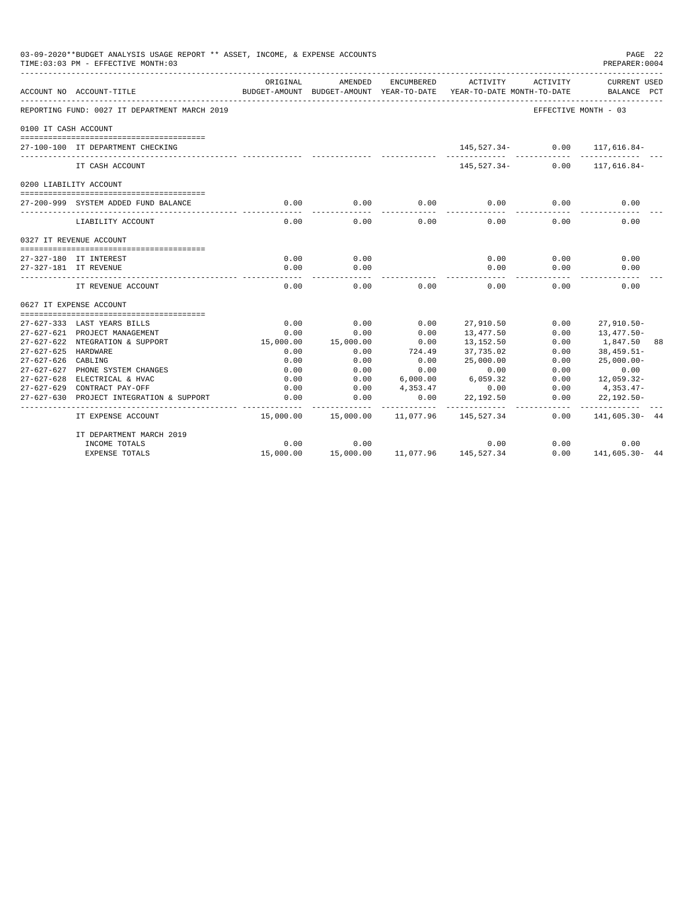|                      | 03-09-2020**BUDGET ANALYSIS USAGE REPORT ** ASSET, INCOME, & EXPENSE ACCOUNTS<br>TIME: 03:03 PM - EFFECTIVE MONTH: 03 |                           |                                       |            |                                        |                      | PAGE 22<br>PREPARER: 0004      |     |
|----------------------|-----------------------------------------------------------------------------------------------------------------------|---------------------------|---------------------------------------|------------|----------------------------------------|----------------------|--------------------------------|-----|
|                      | ACCOUNT NO ACCOUNT-TITLE                                                                                              | ORIGINAL<br>BUDGET-AMOUNT | AMENDED<br>BUDGET-AMOUNT YEAR-TO-DATE | ENCUMBERED | ACTIVITY<br>YEAR-TO-DATE MONTH-TO-DATE | ACTIVITY             | <b>CURRENT USED</b><br>BALANCE | PCT |
|                      | REPORTING FUND: 0027 IT DEPARTMENT MARCH 2019                                                                         |                           |                                       |            |                                        | EFFECTIVE MONTH - 03 |                                |     |
| 0100 IT CASH ACCOUNT |                                                                                                                       |                           |                                       |            |                                        |                      |                                |     |
|                      | 27-100-100 IT DEPARTMENT CHECKING                                                                                     |                           |                                       |            | 145,527.34-                            | 0.00                 | 117,616.84-                    |     |
|                      | IT CASH ACCOUNT                                                                                                       |                           |                                       |            | 145,527.34-                            | 0.00                 | 117,616.84-                    |     |
|                      | 0200 LIABILITY ACCOUNT                                                                                                |                           |                                       |            |                                        |                      |                                |     |
|                      |                                                                                                                       |                           |                                       |            |                                        |                      |                                |     |
|                      | 27-200-999 SYSTEM ADDED FUND BALANCE                                                                                  | 0.00                      | 0.00                                  | 0.00       | 0.00                                   | 0.00                 | 0.00                           |     |
|                      | LIABILITY ACCOUNT                                                                                                     | 0.00                      | 0.00                                  | 0.00       | 0.00                                   | 0.00                 | 0.00                           |     |
|                      | 0327 IT REVENUE ACCOUNT                                                                                               |                           |                                       |            |                                        |                      |                                |     |
|                      |                                                                                                                       |                           |                                       |            |                                        |                      |                                |     |
|                      | 27-327-180 IT INTEREST                                                                                                | 0.00                      | 0.00                                  |            | 0.00                                   | 0.00                 | 0.00                           |     |
|                      | 27-327-181 IT REVENUE                                                                                                 | 0.00<br>$- - - - -$       | 0.00                                  |            | 0.00<br>$\frac{1}{2}$                  | 0.00                 | 0.00                           |     |
|                      | IT REVENUE ACCOUNT                                                                                                    | 0.00                      | 0.00                                  | 0.00       | 0.00                                   | 0.00                 | 0.00                           |     |
|                      | 0627 IT EXPENSE ACCOUNT                                                                                               |                           |                                       |            |                                        |                      |                                |     |
|                      |                                                                                                                       |                           |                                       |            |                                        |                      |                                |     |
|                      | 27-627-333 LAST YEARS BILLS                                                                                           | 0.00                      | 0.00                                  | 0.00       | 27,910.50                              | 0.00                 | $27,910.50 -$                  |     |
|                      | 27-627-621 PROJECT MANAGEMENT                                                                                         | 0.00                      | 0.00                                  | 0.00       | 13,477.50                              | 0.00                 | $13,477.50-$                   |     |
|                      | 27-627-622 NTEGRATION & SUPPORT                                                                                       | 15,000.00                 | 15,000.00                             | 0.00       | 13,152.50                              | 0.00                 | 1,847.50                       | 88  |
| 27-627-625           | HARDWARE                                                                                                              | 0.00                      | 0.00                                  | 724.49     | 37,735.02                              | 0.00                 | $38,459.51-$                   |     |
| $27 - 627 - 626$     | CABLING                                                                                                               | 0.00                      | 0.00                                  | 0.00       | 25,000.00                              | 0.00                 | $25,000.00 -$                  |     |
| $27 - 627 - 627$     | PHONE SYSTEM CHANGES                                                                                                  | 0.00                      | 0.00                                  | 0.00       | 0.00                                   | 0.00                 | 0.00                           |     |
| $27 - 627 - 628$     | ELECTRICAL & HVAC                                                                                                     | 0.00                      | 0.00                                  | 6,000.00   | 6,059.32                               | 0.00                 | $12,059.32-$                   |     |
| $27 - 627 - 629$     | CONTRACT PAY-OFF                                                                                                      | 0.00                      | 0.00                                  | 4,353.47   | 0.00                                   | 0.00                 | 4,353.47-                      |     |
| $27 - 627 - 630$     | PROJECT INTEGRATION & SUPPORT                                                                                         | 0.00                      | 0.00                                  | 0.00       | 22,192.50                              | 0.00                 | $22,192.50-$                   |     |
|                      | IT EXPENSE ACCOUNT                                                                                                    | 15,000.00                 | 15,000.00                             | 11,077.96  | 145,527.34                             | 0.00                 | ----------<br>141,605.30- 44   |     |
|                      | IT DEPARTMENT MARCH 2019                                                                                              |                           |                                       |            |                                        |                      |                                |     |
|                      | INCOME TOTALS                                                                                                         | 0.00                      | 0.00                                  |            | 0.00                                   | 0.00                 | 0.00                           |     |
|                      | <b>EXPENSE TOTALS</b>                                                                                                 | 15,000.00                 | 15,000.00                             |            | 11,077.96 145,527.34                   | 0.00                 | 141,605.30- 44                 |     |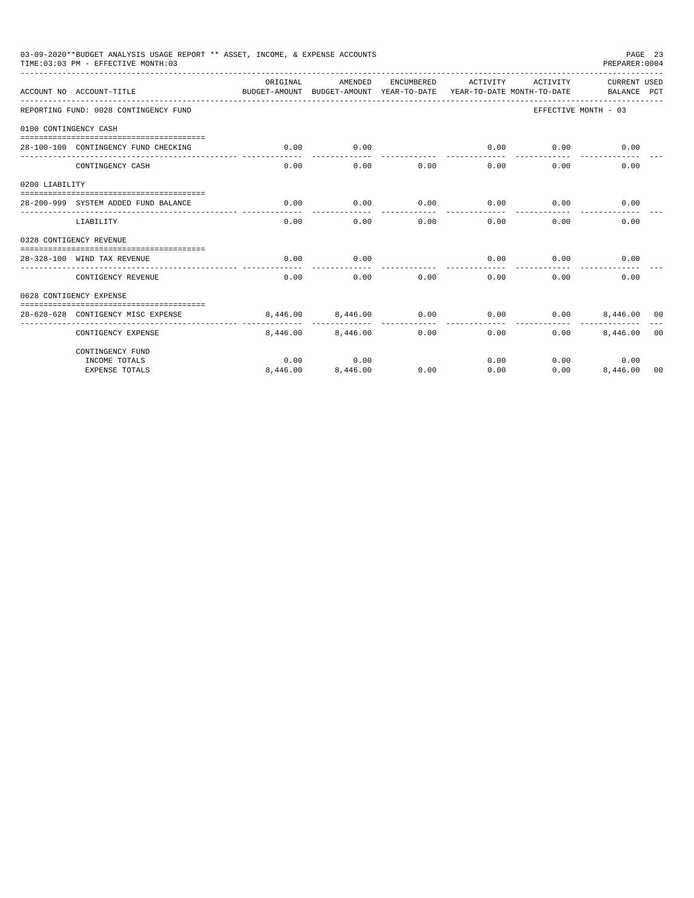|                       | 03-09-2020**BUDGET ANALYSIS USAGE REPORT ** ASSET, INCOME, & EXPENSE ACCOUNTS<br>TIME: 03:03 PM - EFFECTIVE MONTH: 03 |                                                                                 |          |            |                     |          | PREPARER: 0004              | PAGE 23        |
|-----------------------|-----------------------------------------------------------------------------------------------------------------------|---------------------------------------------------------------------------------|----------|------------|---------------------|----------|-----------------------------|----------------|
|                       | ACCOUNT NO ACCOUNT-TITLE                                                                                              | ORTGINAL<br>BUDGET-AMOUNT BUDGET-AMOUNT YEAR-TO-DATE YEAR-TO-DATE MONTH-TO-DATE | AMENDED  | ENCUMBERED | ACTIVITY            | ACTIVITY | CURRENT USED<br>BALANCE PCT |                |
|                       | REPORTING FUND: 0028 CONTINGENCY FUND                                                                                 |                                                                                 |          |            |                     |          | EFFECTIVE MONTH - 03        |                |
| 0100 CONTINGENCY CASH |                                                                                                                       |                                                                                 |          |            |                     |          |                             |                |
|                       | 28-100-100 CONTINGENCY FUND CHECKING                                                                                  | 0.00                                                                            | 0.00     |            | 0.00<br>----------- | 0.00     | 0.00                        |                |
|                       | CONTINGENCY CASH                                                                                                      | 0.00                                                                            | 0.00     | 0.00       | 0.00                | 0.00     | 0.00                        |                |
| 0200 LIABILITY        |                                                                                                                       |                                                                                 |          |            |                     |          |                             |                |
|                       | 28-200-999 SYSTEM ADDED FUND BALANCE                                                                                  | 0.00                                                                            | 0.00     | 0.00       | 0.00                | 0.00     | 0.00                        |                |
|                       | LIABILITY                                                                                                             | 0.00                                                                            | 0.00     | 0.00       | 0.00                | 0.00     | 0.00                        |                |
|                       | 0328 CONTIGENCY REVENUE                                                                                               |                                                                                 |          |            |                     |          |                             |                |
|                       | 28-328-100 WIND TAX REVENUE                                                                                           | 0.00                                                                            | 0.00     |            | 0.00                | 0.00     | 0.00                        |                |
|                       | CONTIGENCY REVENUE                                                                                                    | 0.00                                                                            | 0.00     | 0.00       | 0.00                | 0.00     | 0.00                        |                |
|                       | 0628 CONTIGENCY EXPENSE                                                                                               |                                                                                 |          |            |                     |          |                             |                |
|                       | 28-628-628 CONTIGENCY MISC EXPENSE                                                                                    | 8.446.00                                                                        | 8,446.00 | 0.00       | 0.00                | 0.00     | 8,446,00 00                 |                |
|                       | CONTIGENCY EXPENSE                                                                                                    | 8,446.00                                                                        | 8,446,00 | 0.00       | 0.00                | 0.00     | 8,446.00                    | 0 <sub>0</sub> |
|                       | CONTINGENCY FUND                                                                                                      |                                                                                 |          |            |                     |          |                             |                |
|                       | INCOME TOTALS                                                                                                         | 0.00                                                                            | 0.00     |            | 0.00                |          | 0.00<br>0.00                |                |
|                       | <b>EXPENSE TOTALS</b>                                                                                                 | 8,446.00                                                                        | 8,446.00 | 0.00       | 0.00                | 0.00     | 8,446.00                    | 00             |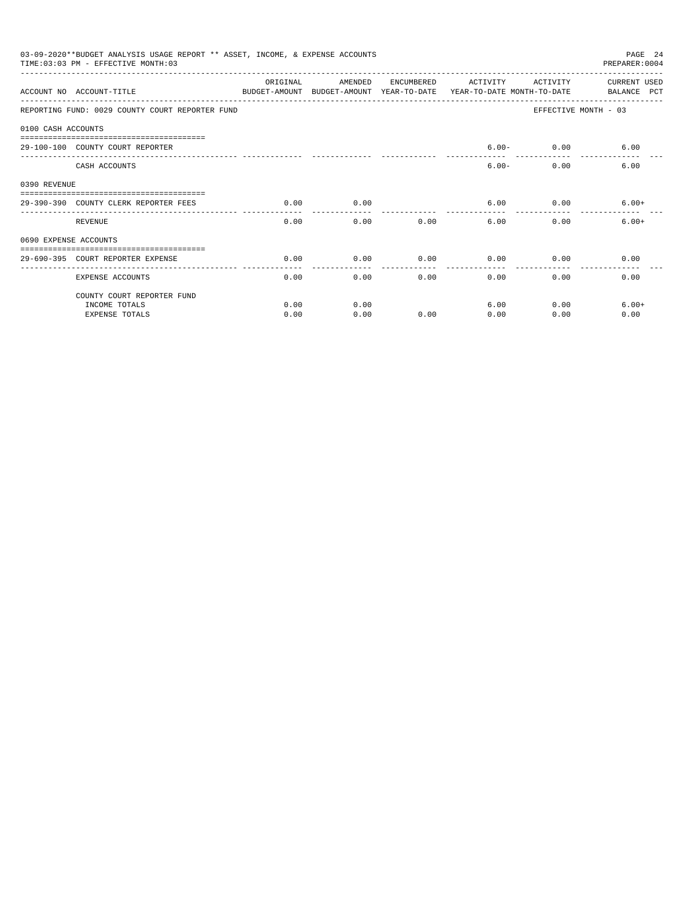|                       | 03-09-2020**BUDGET ANALYSIS USAGE REPORT ** ASSET, INCOME, & EXPENSE ACCOUNTS<br>TIME: 03:03 PM - EFFECTIVE MONTH: 03 |           |                                                     |            |          |                                        | PAGE 24<br>PREPARER: 0004          |
|-----------------------|-----------------------------------------------------------------------------------------------------------------------|-----------|-----------------------------------------------------|------------|----------|----------------------------------------|------------------------------------|
|                       | ACCOUNT NO ACCOUNT-TITLE                                                                                              | OR TGTNAL | AMENDED<br>BUDGET-AMOUNT BUDGET-AMOUNT YEAR-TO-DATE | ENCUMBERED | ACTIVITY | ACTIVITY<br>YEAR-TO-DATE MONTH-TO-DATE | <b>CURRENT USED</b><br>BALANCE PCT |
|                       | REPORTING FUND: 0029 COUNTY COURT REPORTER FUND                                                                       |           |                                                     |            |          |                                        | EFFECTIVE MONTH - 03               |
| 0100 CASH ACCOUNTS    |                                                                                                                       |           |                                                     |            |          |                                        |                                    |
|                       | 29-100-100 COUNTY COURT REPORTER                                                                                      |           |                                                     |            |          | $6.00 - 0.00$ $6.00$                   |                                    |
|                       | CASH ACCOUNTS                                                                                                         |           |                                                     |            | $6.00 -$ | 0.00                                   | 6.00                               |
| 0390 REVENUE          |                                                                                                                       |           |                                                     |            |          |                                        |                                    |
|                       | 29-390-390 COUNTY CLERK REPORTER FEES                                                                                 | 0.00      | 0.00                                                |            | 6.00     | 0.00                                   | $6.00+$                            |
|                       | REVENUE                                                                                                               | 0.00      | 0.00                                                | 0.00       | 6.00     | 0.00                                   | $6.00+$                            |
| 0690 EXPENSE ACCOUNTS |                                                                                                                       |           |                                                     |            |          |                                        |                                    |
|                       | 29-690-395 COURT REPORTER EXPENSE                                                                                     | 0.00      | 0.00                                                | 0.00       | 0.00     | 0.00                                   | 0.00                               |
|                       | <b>EXPENSE ACCOUNTS</b>                                                                                               | 0.00      | 0.00                                                | 0.00       | 0.00     | 0.00                                   | 0.00                               |
|                       | COUNTY COURT REPORTER FUND                                                                                            |           |                                                     |            |          |                                        |                                    |
|                       | INCOME TOTALS                                                                                                         | 0.00      | 0.00                                                |            | 6.00     | 0.00                                   | $6.00+$                            |
|                       | <b>EXPENSE TOTALS</b>                                                                                                 | 0.00      | 0.00                                                | 0.00       | 0.00     | 0.00                                   | 0.00                               |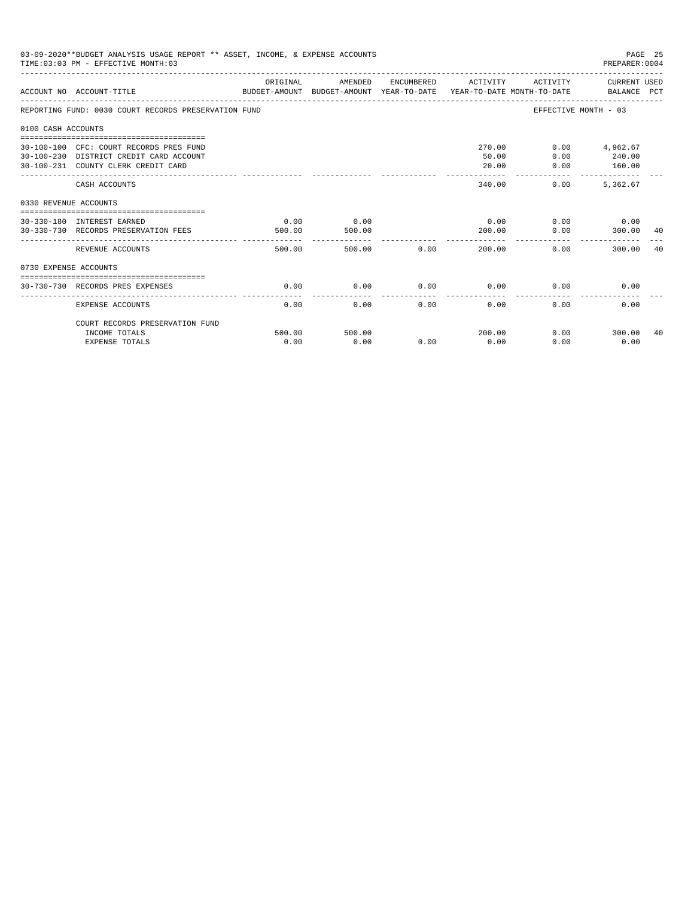|                       | 03-09-2020**BUDGET ANALYSIS USAGE REPORT ** ASSET, INCOME, & EXPENSE ACCOUNTS<br>TIME: 03:03 PM - EFFECTIVE MONTH: 03     |                |                |             |                          |                           | PAGE 25<br>PREPARER:0004            |    |
|-----------------------|---------------------------------------------------------------------------------------------------------------------------|----------------|----------------|-------------|--------------------------|---------------------------|-------------------------------------|----|
|                       | ACCOUNT NO ACCOUNT-TITLE COMPUTE SUDGET-AMOUNT BUDGET-AMOUNT VEAR-TO-DATE VEAR-TO-DATE MONTH-TO-DATE BALANCE PCT          | ORIGINAL       | AMENDED        |             | ENCUMBERED ACTIVITY      |                           | ACTIVITY CURRENT USED               |    |
|                       | REPORTING FUND: 0030 COURT RECORDS PRESERVATION FUND                                                                      |                |                |             |                          | EFFECTIVE MONTH - 03      |                                     |    |
| 0100 CASH ACCOUNTS    |                                                                                                                           |                |                |             |                          |                           |                                     |    |
|                       | 30-100-100 CFC: COURT RECORDS PRES FUND<br>30-100-230 DISTRICT CREDIT CARD ACCOUNT<br>30-100-231 COUNTY CLERK CREDIT CARD |                |                |             | 270.00<br>50.00<br>20.00 | 0.00<br>0.00              | $0.00$ 4,962.67<br>240.00<br>160.00 |    |
|                       | CASH ACCOUNTS                                                                                                             |                |                |             | 340.00                   | ------------<br>0.00      | --------------<br>5.362.67          |    |
|                       |                                                                                                                           |                |                |             |                          |                           |                                     |    |
| 0330 REVENUE ACCOUNTS | 30-330-180 INTEREST EARNED<br>30-330-730 RECORDS PRESERVATION FEES                                                        | 0.00<br>500.00 | 0.00<br>500.00 |             | 0.00<br>200.00           | 0.00                      | $0.00$ 0.00<br>300.00 40            |    |
|                       | REVENUE ACCOUNTS                                                                                                          | 500.00         |                | 500.00 0.00 | -----------<br>200.00    | 0.00                      | 300.00                              | 40 |
| 0730 EXPENSE ACCOUNTS |                                                                                                                           |                |                |             |                          |                           |                                     |    |
|                       | 30-730-730 RECORDS PRES EXPENSES                                                                                          | 0.00           | 0.00           | 0.00        | 0.00                     | 0.00                      | 0.00                                |    |
|                       | <b>EXPENSE ACCOUNTS</b>                                                                                                   | 0.00           | 0.00           | 0.00        | 0.00                     | 0.00                      | 0.00                                |    |
|                       | COURT RECORDS PRESERVATION FUND                                                                                           |                |                |             |                          |                           |                                     |    |
|                       | INCOME TOTALS<br><b>EXPENSE TOTALS</b>                                                                                    | 500.00<br>0.00 | 500.00<br>0.00 | 0.00        | 200.00<br>0.00           | $0.00$ and $0.00$<br>0.00 | 300.00<br>0.00                      | 40 |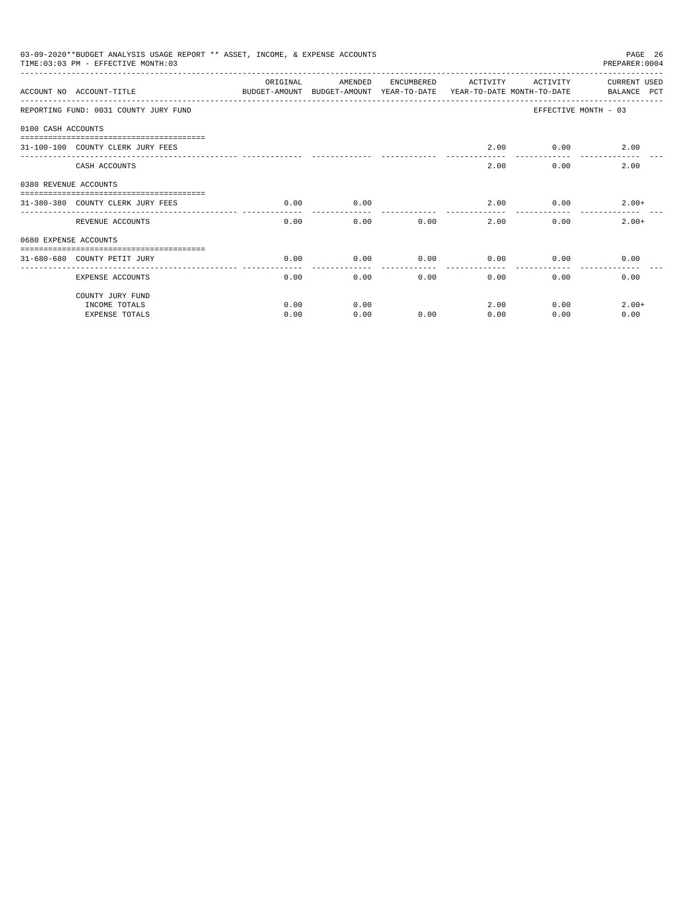|                       | 03-09-2020**BUDGET ANALYSIS USAGE REPORT ** ASSET, INCOME, & EXPENSE ACCOUNTS<br>PAGE 26<br>PREPARER: 0004<br>TIME: 03:03 PM - EFFECTIVE MONTH: 03 |          |                                                                                |            |          |              |                             |
|-----------------------|----------------------------------------------------------------------------------------------------------------------------------------------------|----------|--------------------------------------------------------------------------------|------------|----------|--------------|-----------------------------|
|                       | ACCOUNT NO ACCOUNT-TITLE                                                                                                                           | ORIGINAL | AMENDED<br>BUDGET-AMOUNT BUDGET-AMOUNT YEAR-TO-DATE YEAR-TO-DATE MONTH-TO-DATE | ENCUMBERED | ACTIVITY | ACTIVITY     | CURRENT USED<br>BALANCE PCT |
|                       | REPORTING FUND: 0031 COUNTY JURY FUND                                                                                                              |          |                                                                                |            |          |              | EFFECTIVE MONTH - 03        |
| 0100 CASH ACCOUNTS    |                                                                                                                                                    |          |                                                                                |            |          |              |                             |
|                       | 31-100-100 COUNTY CLERK JURY FEES                                                                                                                  |          |                                                                                |            | 2.00     | 0.00         | 2.00                        |
|                       | CASH ACCOUNTS                                                                                                                                      |          |                                                                                |            | 2.00     | 0.00         | 2.00                        |
| 0380 REVENUE ACCOUNTS |                                                                                                                                                    |          |                                                                                |            |          |              |                             |
|                       | 31-380-380 COUNTY CLERK JURY FEES                                                                                                                  | 0.00     | 0.00                                                                           |            | 2.00     | 0.00         | $2.00+$                     |
|                       | REVENUE ACCOUNTS                                                                                                                                   | 0.00     | 0.00                                                                           | 0.00       |          | 2.00<br>0.00 | $2.00+$                     |
| 0680 EXPENSE ACCOUNTS |                                                                                                                                                    |          |                                                                                |            |          |              |                             |
|                       | 31-680-680 COUNTY PETIT JURY                                                                                                                       | 0.00     | 0.00                                                                           | 0.00       | 0.00     | 0.00         | 0.00                        |
|                       | <b>EXPENSE ACCOUNTS</b>                                                                                                                            | 0.00     | 0.00                                                                           |            | 0.00     | 0.00<br>0.00 | 0.00                        |
|                       | COUNTY JURY FUND                                                                                                                                   |          |                                                                                |            |          |              |                             |
|                       | INCOME TOTALS                                                                                                                                      | 0.00     | 0.00                                                                           |            | 2.00     | 0.00         | $2.00+$                     |
|                       | <b>EXPENSE TOTALS</b>                                                                                                                              | 0.00     | 0.00                                                                           | 0.00       | 0.00     | 0.00         | 0.00                        |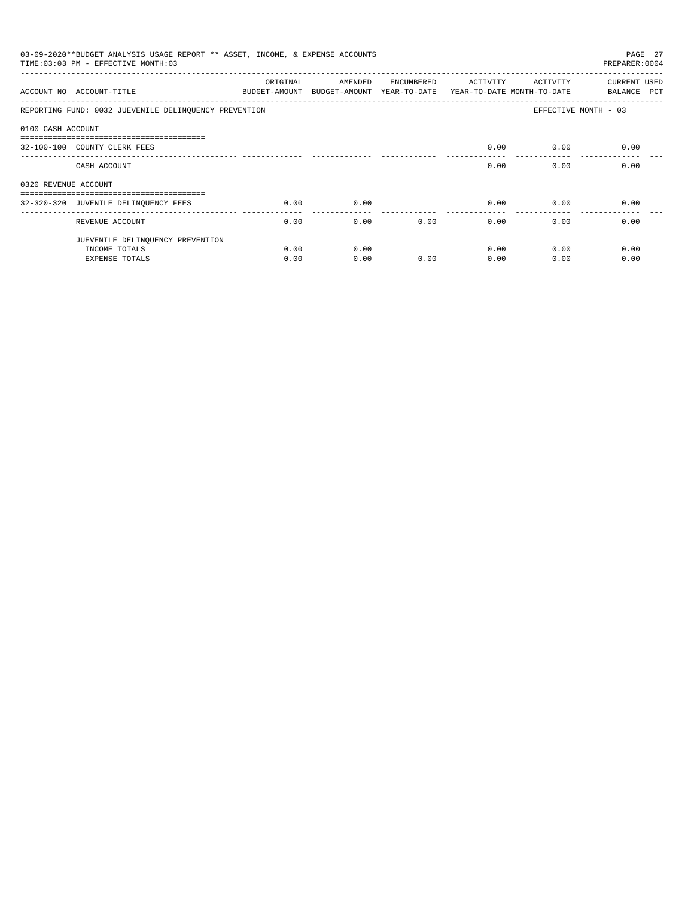| 03-09-2020**BUDGET ANALYSIS USAGE REPORT ** ASSET, INCOME, & EXPENSE ACCOUNTS<br>PAGE 27<br>TIME: 03:03 PM - EFFECTIVE MONTH: 03<br>PREPARER: 0004 |                                                                       |          |                                                     |            |                                        |          |                             |
|----------------------------------------------------------------------------------------------------------------------------------------------------|-----------------------------------------------------------------------|----------|-----------------------------------------------------|------------|----------------------------------------|----------|-----------------------------|
|                                                                                                                                                    | ACCOUNT NO ACCOUNT-TITLE                                              | ORIGINAL | AMENDED<br>BUDGET-AMOUNT BUDGET-AMOUNT YEAR-TO-DATE | ENCUMBERED | ACTIVITY<br>YEAR-TO-DATE MONTH-TO-DATE | ACTIVITY | CURRENT USED<br>BALANCE PCT |
|                                                                                                                                                    | REPORTING FUND: 0032 JUEVENILE DELINQUENCY PREVENTION                 |          |                                                     |            |                                        |          | EFFECTIVE MONTH - 03        |
| 0100 CASH ACCOUNT                                                                                                                                  |                                                                       |          |                                                     |            |                                        |          |                             |
|                                                                                                                                                    | -------------------------------------<br>32-100-100 COUNTY CLERK FEES |          |                                                     |            | 0.00                                   | 0.00     | 0.00                        |
|                                                                                                                                                    | CASH ACCOUNT                                                          |          |                                                     |            | 0.00                                   | 0.00     | 0.00                        |
| 0320 REVENUE ACCOUNT                                                                                                                               |                                                                       |          |                                                     |            |                                        |          |                             |
|                                                                                                                                                    | ------------------------------------                                  |          |                                                     |            |                                        |          |                             |
|                                                                                                                                                    | 32-320-320 JUVENILE DELINQUENCY FEES                                  | 0.00     | 0.00                                                |            | 0.00                                   | 0.00     | 0.00                        |
|                                                                                                                                                    | REVENUE ACCOUNT                                                       | 0.00     | 0.00                                                | 0.00       | 0.00                                   | 0.00     | 0.00                        |
|                                                                                                                                                    | JUEVENILE DELINQUENCY PREVENTION                                      |          |                                                     |            |                                        |          |                             |
|                                                                                                                                                    | INCOME TOTALS                                                         | 0.00     | 0.00                                                |            | 0.00                                   | 0.00     | 0.00                        |
|                                                                                                                                                    | EXPENSE TOTALS                                                        | 0.00     | 0.00                                                | 0.00       | 0.00                                   | 0.00     | 0.00                        |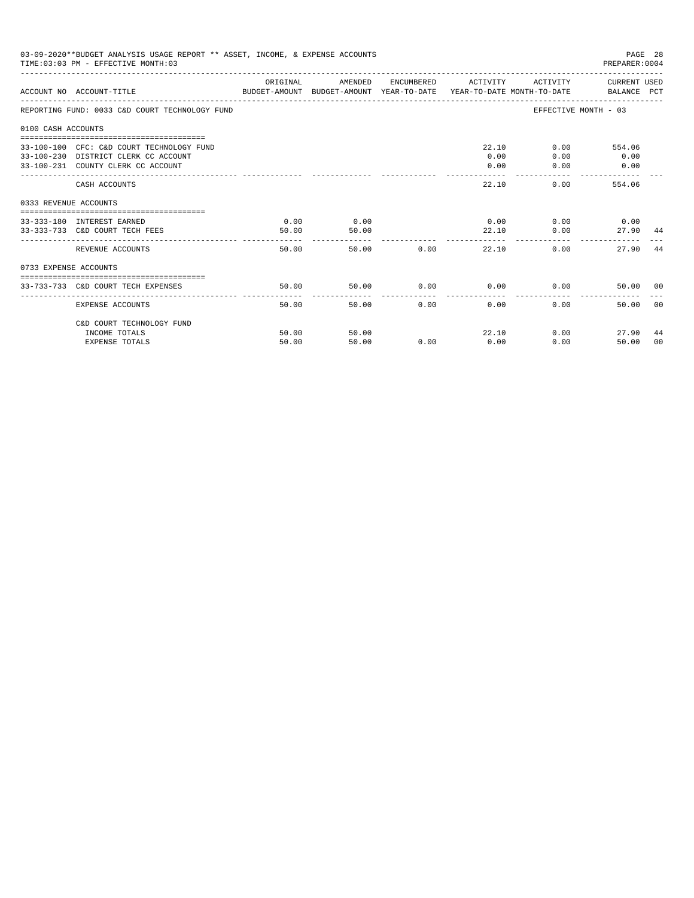|                       | 03-09-2020**BUDGET ANALYSIS USAGE REPORT ** ASSET, INCOME, & EXPENSE ACCOUNTS<br>TIME: 03:03 PM - EFFECTIVE MONTH: 03   |               |               |            |                           |                                      | PAGE 28<br>PREPARER: 0004     |       |
|-----------------------|-------------------------------------------------------------------------------------------------------------------------|---------------|---------------|------------|---------------------------|--------------------------------------|-------------------------------|-------|
|                       | BUDGET-AMOUNT BUDGET-AMOUNT YEAR-TO-DATE  YEAR-TO-DATE MONTH-TO-DATE     BALANCE PCT<br>ACCOUNT NO ACCOUNT-TITLE        | ORIGINAL      | AMENDED       |            | ENCUMBERED ACTIVITY       |                                      | ACTIVITY CURRENT USED         |       |
|                       | REPORTING FUND: 0033 C&D COURT TECHNOLOGY FUND                                                                          |               |               |            |                           |                                      | EFFECTIVE MONTH - 03          |       |
| 0100 CASH ACCOUNTS    |                                                                                                                         |               |               |            |                           |                                      |                               |       |
|                       | 33-100-100 CFC: C&D COURT TECHNOLOGY FUND<br>33-100-230 DISTRICT CLERK CC ACCOUNT<br>33-100-231 COUNTY CLERK CC ACCOUNT |               |               |            | 0.00<br>0.00              | 22.10<br>0.00<br>0.00                | $0.00$ 554.06<br>0.00<br>0.00 |       |
|                       | CASH ACCOUNTS                                                                                                           |               |               |            | 22.10                     |                                      | 0.00<br>554.06                |       |
| 0333 REVENUE ACCOUNTS |                                                                                                                         |               |               |            |                           |                                      |                               |       |
|                       | 33-333-180 INTEREST EARNED<br>33-333-733 C&D COURT TECH FEES                                                            | 0.00<br>50.00 | 0.00<br>50.00 |            |                           | $0.00$ $0.00$ $0.00$ $0.00$<br>22.10 | 0.00<br>27.90 44              |       |
|                       | REVENUE ACCOUNTS                                                                                                        | 50.00         |               | 50.00 0.00 |                           | 22.10                                | 0.00<br>27.90                 | 44    |
| 0733 EXPENSE ACCOUNTS |                                                                                                                         |               |               |            |                           |                                      |                               |       |
|                       | 33-733-733 C&D COURT TECH EXPENSES                                                                                      | 50.00         | 50.00         |            |                           | $0.00$ $0.00$ $0.00$ $0.00$          | 50.00 00                      |       |
|                       | EXPENSE ACCOUNTS                                                                                                        | 50.00         |               | 50.00      | $0.00$ and $0.00$<br>0.00 | ---------------                      | 0.00<br>50.00                 | - 0.0 |
|                       | C&D COURT TECHNOLOGY FUND                                                                                               |               |               |            |                           |                                      |                               |       |
|                       | INCOME TOTALS                                                                                                           | 50.00         | 50.00         |            | 22.10                     |                                      | 0.00<br>27.90                 | 44    |
|                       | <b>EXPENSE TOTALS</b>                                                                                                   | 50.00         | 50.00         | 0.00       | 0.00                      | 0.00                                 | 50.00                         | 00    |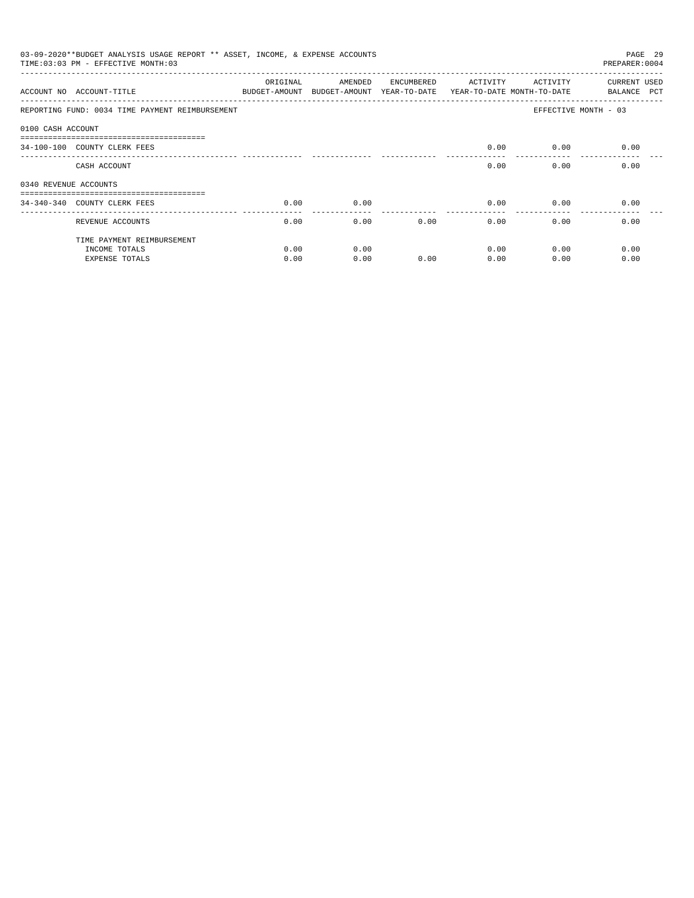|                       | 03-09-2020**BUDGET ANALYSIS USAGE REPORT ** ASSET, INCOME, & EXPENSE ACCOUNTS<br>TIME: 03:03 PM - EFFECTIVE MONTH: 03 |                           |                                       |            |                                        |                       | PAGE 29<br>PREPARER: 0004          |
|-----------------------|-----------------------------------------------------------------------------------------------------------------------|---------------------------|---------------------------------------|------------|----------------------------------------|-----------------------|------------------------------------|
|                       | ACCOUNT NO ACCOUNT-TITLE                                                                                              | ORIGINAL<br>BUDGET-AMOUNT | AMENDED<br>BUDGET-AMOUNT YEAR-TO-DATE | ENCUMBERED | ACTIVITY<br>YEAR-TO-DATE MONTH-TO-DATE | ACTIVITY              | <b>CURRENT USED</b><br>BALANCE PCT |
|                       | REPORTING FUND: 0034 TIME PAYMENT REIMBURSEMENT                                                                       |                           |                                       |            |                                        | EFFECTIVE MONTH - 03  |                                    |
| 0100 CASH ACCOUNT     |                                                                                                                       |                           |                                       |            |                                        |                       |                                    |
|                       | ------------------------------<br>34-100-100 COUNTY CLERK FEES                                                        |                           |                                       |            | 0.00                                   | 0.00                  | 0.00                               |
|                       | CASH ACCOUNT                                                                                                          |                           |                                       |            | 0.00                                   | 0.00                  | 0.00                               |
| 0340 REVENUE ACCOUNTS |                                                                                                                       |                           |                                       |            |                                        |                       |                                    |
|                       | 34-340-340 COUNTY CLERK FEES                                                                                          | 0.00                      | 0.00                                  |            | 0.00                                   | 0.00                  | 0.00                               |
|                       | REVENUE ACCOUNTS                                                                                                      | 0.00                      | 0.00                                  | 0.00       | 0.00                                   | -------------<br>0.00 | 0.00                               |
|                       | TIME PAYMENT REIMBURSEMENT                                                                                            |                           |                                       |            |                                        |                       |                                    |
|                       | INCOME TOTALS                                                                                                         | 0.00                      | 0.00                                  |            | 0.00                                   | 0.00                  | 0.00                               |
|                       | <b>EXPENSE TOTALS</b>                                                                                                 | 0.00                      | 0.00                                  | 0.00       | 0.00                                   | 0.00                  | 0.00                               |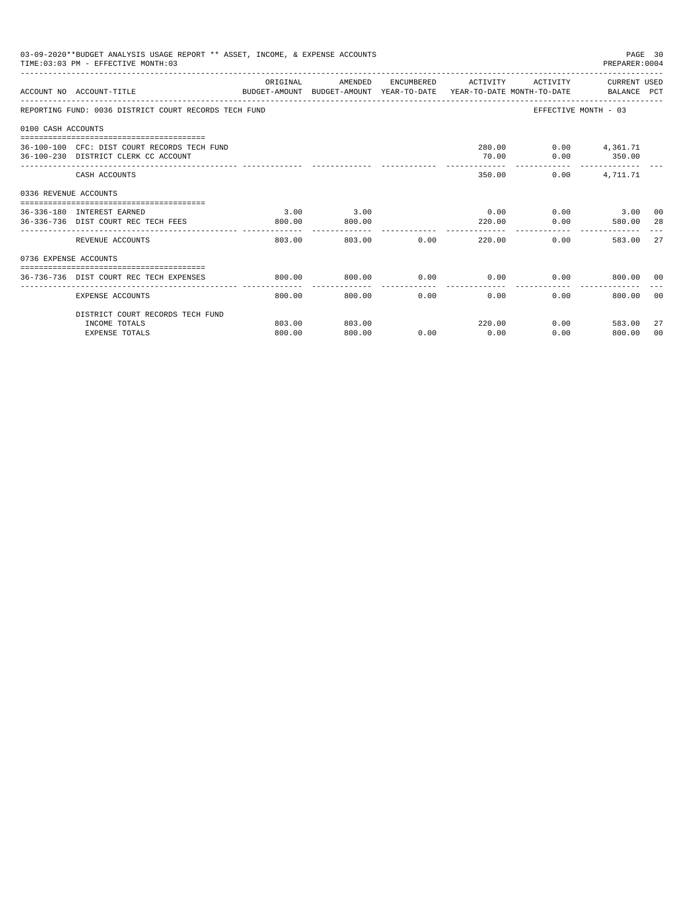|                       | 03-09-2020**BUDGET ANALYSIS USAGE REPORT ** ASSET, INCOME, & EXPENSE ACCOUNTS<br>TIME: 03:03 PM - EFFECTIVE MONTH: 03 |                        |                |                      |                |                          | PAGE 30<br>PREPARER: 0004                               |                |
|-----------------------|-----------------------------------------------------------------------------------------------------------------------|------------------------|----------------|----------------------|----------------|--------------------------|---------------------------------------------------------|----------------|
|                       | ACCOUNT NO ACCOUNT-TITLE COMPRESS TO DUDGET-AMOUNT BUDGET-AMOUNT YEAR-TO-DATE YEAR-TO-DATE MONTH-TO-DATE BALANCE PCT  | ORIGINAL               |                |                      |                |                          | AMENDED ENCUMBERED ACTIVITY ACTIVITY CURRENT USED       |                |
|                       | REPORTING FUND: 0036 DISTRICT COURT RECORDS TECH FUND                                                                 |                        |                |                      |                |                          | EFFECTIVE MONTH - 03                                    |                |
| 0100 CASH ACCOUNTS    |                                                                                                                       |                        |                |                      |                |                          |                                                         |                |
|                       | 36-100-100 CFC: DIST COURT RECORDS TECH FUND<br>36-100-230 DISTRICT CLERK CC ACCOUNT                                  |                        |                |                      | 70.00          | 280.00   0.00   4,361.71 | $0.00$ 350.00                                           |                |
|                       | CASH ACCOUNTS                                                                                                         |                        |                |                      |                | 350.00<br>0.00           | 4,711.71                                                |                |
| 0336 REVENUE ACCOUNTS |                                                                                                                       |                        |                |                      |                |                          |                                                         |                |
|                       | -----------------------------------<br>36-336-180 INTEREST EARNED<br>36-336-736 DIST COURT REC TECH FEES              | 3.00<br>800.00         | 3.00<br>800.00 |                      | 0.00<br>220.00 |                          | $0.00$ 3.00 00<br>$0.00$ 580.00                         | 28             |
|                       | REVENUE ACCOUNTS                                                                                                      | ------------<br>803.00 | ------------   | 803.00 0.00          |                | 220.00                   | $0.00$ and $0.00$<br>583.00                             | 2.7            |
| 0736 EXPENSE ACCOUNTS |                                                                                                                       |                        |                |                      |                |                          |                                                         |                |
|                       | 36-736-736 DIST COURT REC TECH EXPENSES                                                                               | 800.00                 | 800.00         |                      |                |                          | $0.00$ $0.00$ $0.00$ $0.00$ $0.00$ $0.00$ $0.00$ $0.00$ |                |
|                       | EXPENSE ACCOUNTS                                                                                                      | 800.00                 | 800.00         | ------------<br>0.00 | 0.00           | 0.00                     | 800.00 00                                               |                |
|                       | DISTRICT COURT RECORDS TECH FUND                                                                                      |                        |                |                      |                |                          |                                                         |                |
|                       | INCOME TOTALS                                                                                                         | 803.00                 | 803.00         |                      | 220.00         |                          | $0.00$ 583.00                                           | 27             |
|                       | <b>EXPENSE TOTALS</b>                                                                                                 | 800.00                 | 800.00         | 0.00                 | 0.00           |                          | 0.00<br>800.00                                          | 0 <sup>0</sup> |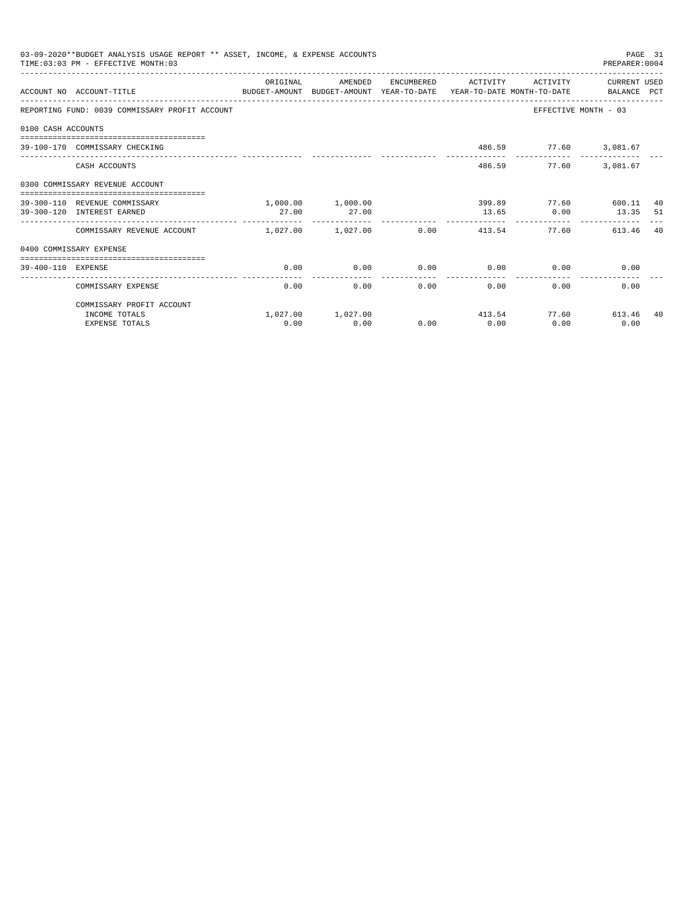|                    | 03-09-2020**BUDGET ANALYSIS USAGE REPORT ** ASSET, INCOME, & EXPENSE ACCOUNTS<br>TIME: 03:03 PM - EFFECTIVE MONTH: 03 |                              |                   |                      |                                 |          | PREPARER: 0004                            | PAGE 31 |
|--------------------|-----------------------------------------------------------------------------------------------------------------------|------------------------------|-------------------|----------------------|---------------------------------|----------|-------------------------------------------|---------|
|                    | ACCOUNT NO ACCOUNT-TITLE COMPUT BUDGET-AMOUNT BUDGET-AMOUNT YEAR-TO-DATE YEAR-TO-DATE MONTH-TO-DATE BALANCE PCT       | OR TGTNAL                    | AMENDED           | ENCUMBERED           | <b>ACTIVITY</b>                 | ACTIVITY | CURRENT USED                              |         |
|                    | REPORTING FUND: 0039 COMMISSARY PROFIT ACCOUNT                                                                        |                              |                   |                      |                                 |          | EFFECTIVE MONTH - 03                      |         |
| 0100 CASH ACCOUNTS |                                                                                                                       |                              |                   |                      |                                 |          |                                           |         |
|                    | 39-100-170 COMMISSARY CHECKING                                                                                        |                              |                   |                      |                                 |          | 486.59 77.60 3,081.67                     |         |
|                    | CASH ACCOUNTS                                                                                                         |                              |                   |                      | 486.59                          |          | 77.60 3.081.67                            |         |
|                    | 0300 COMMISSARY REVENUE ACCOUNT                                                                                       |                              |                   |                      |                                 |          |                                           |         |
|                    | 39-300-110 REVENUE COMMISSARY                                                                                         |                              | 1,000.00 1,000.00 |                      |                                 |          | 399.89 77.60 600.11                       | 40      |
|                    | 39-300-120 INTEREST EARNED                                                                                            | 27.00                        | 27.00             |                      | 13.65                           | 0.00     | 13.35 51<br>----------------------------- |         |
|                    | COMMISSARY REVENUE ACCOUNT                                                                                            | $1.027.00$ $1.027.00$ $0.00$ |                   |                      | 413.54                          | 77.60    | 613.46                                    | 40      |
|                    | 0400 COMMISSARY EXPENSE                                                                                               |                              |                   |                      |                                 |          |                                           |         |
| 39-400-110 EXPENSE | --------------------------------------                                                                                | 0.00                         | 0.00              | 0.00                 | 0.00                            | 0.00     | 0.00                                      |         |
|                    | COMMISSARY EXPENSE                                                                                                    | 0.00                         | 0.00              | ------------<br>0.00 | . _ _ _ _ _ _ _ _ _ _ _<br>0.00 | 0.00     | 0.00                                      |         |
|                    | COMMISSARY PROFIT ACCOUNT                                                                                             |                              |                   |                      |                                 |          |                                           |         |
|                    | INCOME TOTALS                                                                                                         |                              | 1,027.00 1,027.00 |                      | 413.54                          |          | 77.60<br>613.46                           | 40      |
|                    | <b>EXPENSE TOTALS</b>                                                                                                 | 0.00                         | 0.00              | 0.00                 | 0.00                            | 0.00     | 0.00                                      |         |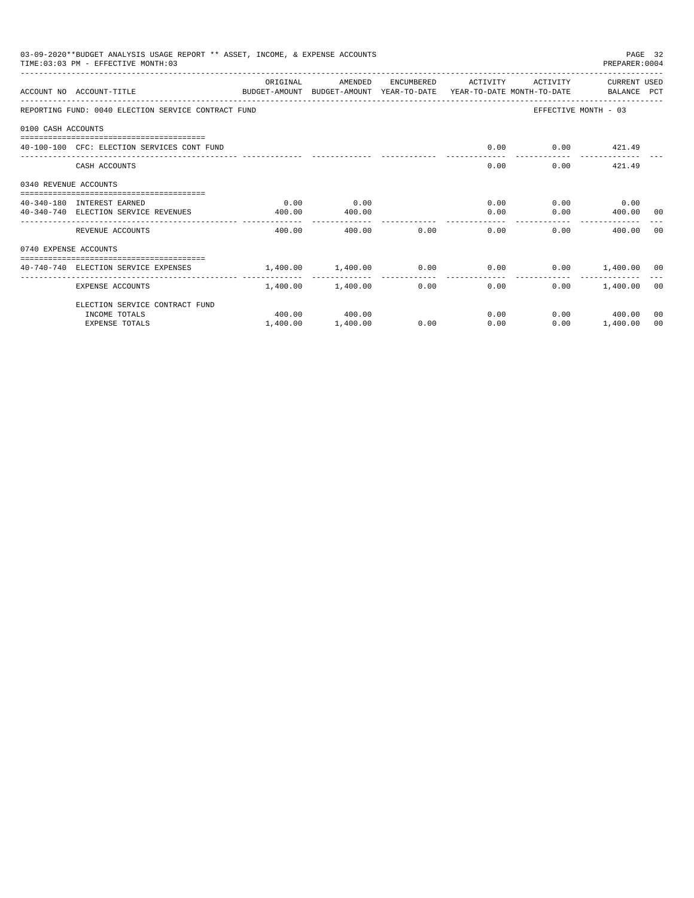|                       | 03-09-2020**BUDGET ANALYSIS USAGE REPORT ** ASSET, INCOME, & EXPENSE ACCOUNTS<br>TIME: 03:03 PM - EFFECTIVE MONTH: 03 |                            |                            |      |                     |                               |                                                                                                     | PAGE 32 |
|-----------------------|-----------------------------------------------------------------------------------------------------------------------|----------------------------|----------------------------|------|---------------------|-------------------------------|-----------------------------------------------------------------------------------------------------|---------|
|                       | ACCOUNT NO ACCOUNT-TITLE<br>BUDGET-AMOUNT BUDGET-AMOUNT YEAR-TO-DATE YEAR-TO-DATE MONTH-TO-DATE BALANCE PCT           | ORIGINAL                   | AMENDED                    |      | ENCUMBERED ACTIVITY | ACTIVITY                      |                                                                                                     |         |
|                       | REPORTING FUND: 0040 ELECTION SERVICE CONTRACT FUND                                                                   |                            |                            |      |                     |                               | EFFECTIVE MONTH - 03                                                                                |         |
| 0100 CASH ACCOUNTS    |                                                                                                                       |                            |                            |      |                     |                               |                                                                                                     |         |
|                       | 40-100-100 CFC: ELECTION SERVICES CONT FUND                                                                           |                            |                            |      | 0.00                |                               | $0.00$ $421.49$                                                                                     |         |
|                       | CASH ACCOUNTS                                                                                                         |                            |                            |      | 0.00                |                               | 0.00<br>421.49                                                                                      |         |
| 0340 REVENUE ACCOUNTS |                                                                                                                       |                            |                            |      |                     |                               |                                                                                                     |         |
|                       | 40-340-180 INTEREST EARNED                                                                                            | 0.00                       | 0.00                       |      |                     | 0.00                          | $0.00$ 0.00                                                                                         |         |
|                       | 40-340-740 ELECTION SERVICE REVENUES                                                                                  | 400.00                     | 400.00                     |      | 0.00                |                               | PREPARER: 0004<br>CURRENT USED<br>$0.00$ 400.00 00<br>400.00<br>$0.00$ 1,400.00 00<br>$0.00$ 400.00 |         |
|                       | REVENUE ACCOUNTS                                                                                                      | 400.00                     | -------------<br>400.00    | 0.00 | 0.00                | $0.00 -$                      |                                                                                                     | - 0.0   |
| 0740 EXPENSE ACCOUNTS |                                                                                                                       |                            |                            |      |                     |                               |                                                                                                     |         |
|                       | 40-740-740 ELECTION SERVICE EXPENSES                                                                                  | $1,400.00$ $1,400.00$ 0.00 |                            |      |                     | $0.00$ $0.00$ $1,400.00$ $00$ |                                                                                                     |         |
|                       | <b>EXPENSE ACCOUNTS</b>                                                                                               |                            | .<br>$1.400.00$ $1.400.00$ |      | .<br>0.00           | 0.00                          |                                                                                                     |         |
|                       | ELECTION SERVICE CONTRACT FUND                                                                                        |                            |                            |      |                     |                               |                                                                                                     |         |
|                       | INCOME TOTALS                                                                                                         |                            | 400.00 400.00              |      | 0.00                |                               |                                                                                                     | 00      |
|                       | <b>EXPENSE TOTALS</b>                                                                                                 | 1,400.00                   | 1,400.00                   | 0.00 | 0.00                | 0.00                          | 1,400.00                                                                                            | 00      |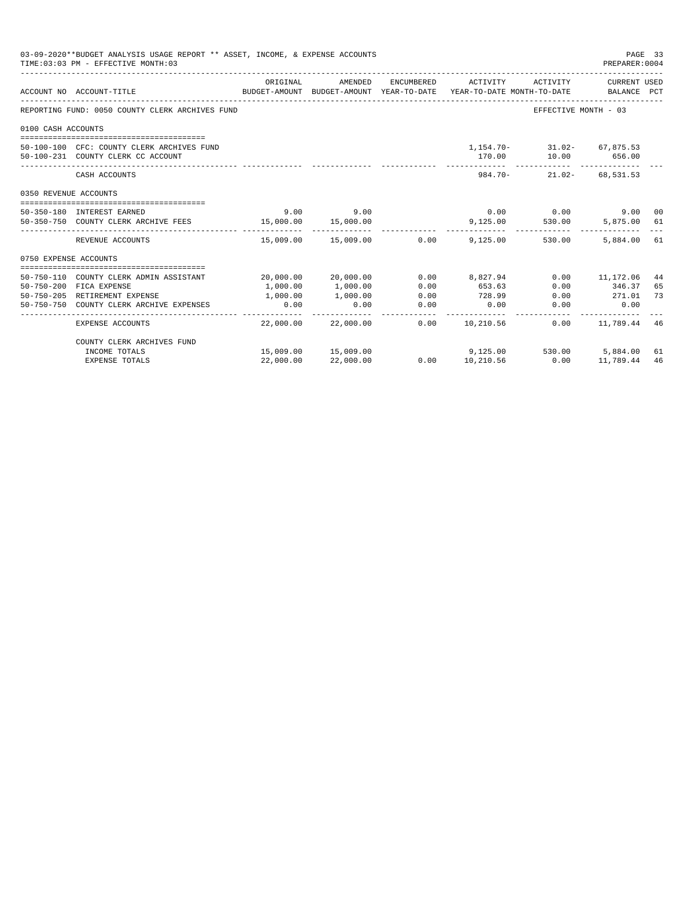| 03-09-2020**BUDGET ANALYSIS USAGE REPORT ** ASSET, INCOME, & EXPENSE ACCOUNTS<br>PAGE 33<br>TIME: 03:03 PM - EFFECTIVE MONTH: 03<br>PREPARER: 0004 |                                                                                  |                  |                             |              |                                                                                             |                                                             |                         |          |
|----------------------------------------------------------------------------------------------------------------------------------------------------|----------------------------------------------------------------------------------|------------------|-----------------------------|--------------|---------------------------------------------------------------------------------------------|-------------------------------------------------------------|-------------------------|----------|
|                                                                                                                                                    | ACCOUNT NO ACCOUNT-TITLE                                                         | ORIGINAL         | AMENDED                     | ENCUMBERED   | ACTIVITY<br>BUDGET-AMOUNT BUDGET-AMOUNT YEAR-TO-DATE YEAR-TO-DATE MONTH-TO-DATE BALANCE PCT | ACTIVITY                                                    | CURRENT USED            |          |
|                                                                                                                                                    | REPORTING FUND: 0050 COUNTY CLERK ARCHIVES FUND                                  |                  |                             |              |                                                                                             | EFFECTIVE MONTH - 03                                        |                         |          |
| 0100 CASH ACCOUNTS                                                                                                                                 |                                                                                  |                  |                             |              |                                                                                             |                                                             |                         |          |
|                                                                                                                                                    |                                                                                  |                  |                             |              |                                                                                             |                                                             |                         |          |
|                                                                                                                                                    | 50-100-100 CFC: COUNTY CLERK ARCHIVES FUND<br>50-100-231 COUNTY CLERK CC ACCOUNT |                  |                             |              |                                                                                             | $1.154.70 - 31.02 - 67.875.53$<br>170.00    10.00    656.00 |                         |          |
|                                                                                                                                                    | CASH ACCOUNTS                                                                    |                  |                             |              | . <u>.</u><br>$984.70 -$                                                                    | ------------ --------------                                 | $21.02 - 68.531.53$     |          |
| 0350 REVENUE ACCOUNTS                                                                                                                              |                                                                                  |                  |                             |              |                                                                                             |                                                             |                         |          |
|                                                                                                                                                    | 50-350-180 INTEREST EARNED                                                       |                  | $9.00$ $9.00$               |              |                                                                                             | $0.00$ 0.00                                                 | 9.00 00                 |          |
|                                                                                                                                                    | 50-350-750 COUNTY CLERK ARCHIVE FEES 15,000.00 15,000.00                         |                  |                             |              | 9,125.00                                                                                    | 530.00                                                      | 5,875.00 61             |          |
|                                                                                                                                                    | REVENUE ACCOUNTS                                                                 |                  | 15,009.00  15,009.00   0.00 |              | 9,125,00                                                                                    | 530.00                                                      | 5,884,00 61             |          |
| 0750 EXPENSE ACCOUNTS                                                                                                                              |                                                                                  |                  |                             |              |                                                                                             |                                                             |                         |          |
|                                                                                                                                                    |                                                                                  |                  |                             |              |                                                                                             |                                                             |                         |          |
|                                                                                                                                                    | 50-750-110 COUNTY CLERK ADMIN ASSISTANT                                          |                  | 20,000.00 20,000.00         |              | $0.00$ 8,827,94                                                                             |                                                             | $0.00$ 11,172.06        | 44       |
|                                                                                                                                                    | 50-750-200 FICA EXPENSE<br>50-750-205 RETIREMENT EXPENSE                         | 1,000.00         | 1,000.00<br>1,000.00        | 0.00<br>0.00 | 653.63<br>728.99                                                                            | 0.00                                                        | 346.37<br>$0.00$ 271.01 | 65<br>73 |
|                                                                                                                                                    | 50-750-750 COUNTY CLERK ARCHIVE EXPENSES                                         | 1,000.00<br>0.00 | 0.00                        | 0.00         | 0.00                                                                                        | 0.00                                                        | 0.00                    |          |
|                                                                                                                                                    | EXPENSE ACCOUNTS                                                                 | - -------------  | 22,000.00 22,000.00         | ------------ | 0.00 10,210.56                                                                              |                                                             | $0.00$ 11,789.44        | 46       |
|                                                                                                                                                    | COUNTY CLERK ARCHIVES FUND                                                       |                  |                             |              |                                                                                             |                                                             |                         |          |
|                                                                                                                                                    | INCOME TOTALS                                                                    |                  | 15,009.00 15,009.00         |              | $9.125.00$ $530.00$ $5.884.00$ $61$                                                         |                                                             |                         |          |
|                                                                                                                                                    | <b>EXPENSE TOTALS</b>                                                            | 22,000.00        | 22,000.00                   |              | $0.00$ 10,210.56                                                                            | 0.00                                                        | 11,789.44               | 46       |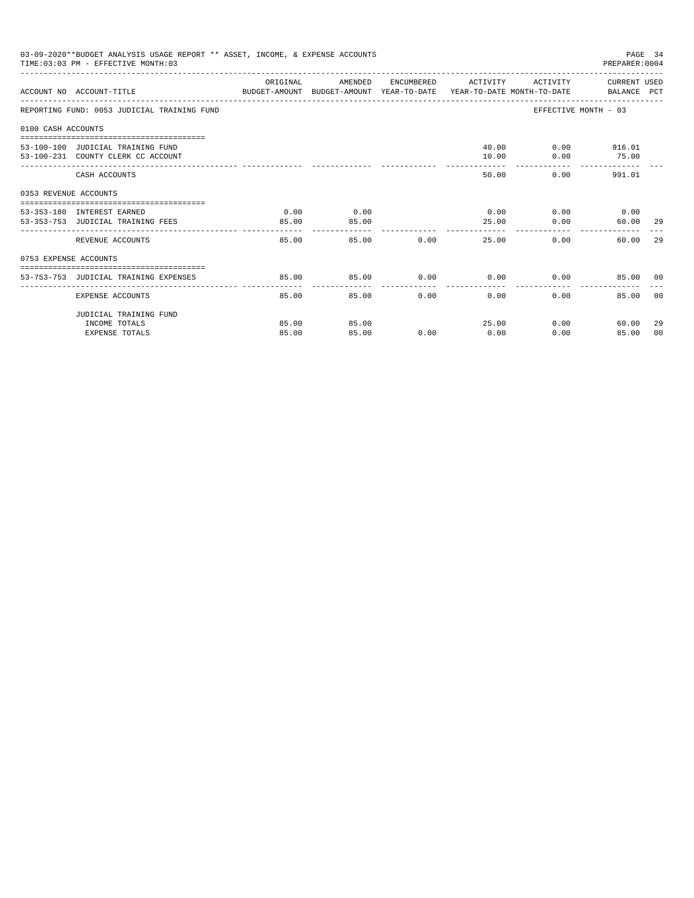|                       | 03-09-2020**BUDGET ANALYSIS USAGE REPORT ** ASSET, INCOME, & EXPENSE ACCOUNTS<br>TIME: 03:03 PM - EFFECTIVE MONTH: 03 |          |         |       |                      |          |                                                                                                                                                                                                                                          |       |
|-----------------------|-----------------------------------------------------------------------------------------------------------------------|----------|---------|-------|----------------------|----------|------------------------------------------------------------------------------------------------------------------------------------------------------------------------------------------------------------------------------------------|-------|
|                       | ACCOUNT NO ACCOUNT-TITLE CONTROL PROTECT-AMOUNT BUDGET-AMOUNT YEAR-TO-DATE YEAR-TO-DATE MONTH-TO-DATE BALANCE PCT     | ORIGINAL | AMENDED |       | ENCUMBERED ACTIVITY  |          |                                                                                                                                                                                                                                          |       |
|                       | REPORTING FUND: 0053 JUDICIAL TRAINING FUND                                                                           |          |         |       |                      |          |                                                                                                                                                                                                                                          |       |
| 0100 CASH ACCOUNTS    |                                                                                                                       |          |         |       |                      |          |                                                                                                                                                                                                                                          |       |
|                       |                                                                                                                       |          |         |       |                      |          |                                                                                                                                                                                                                                          |       |
|                       | 53-100-100 JUDICIAL TRAINING FUND                                                                                     |          |         |       |                      |          |                                                                                                                                                                                                                                          |       |
|                       | 53-100-231 COUNTY CLERK CC ACCOUNT                                                                                    |          |         |       | 10.00                | 0.00     | PAGE 34<br>PREPARER: 0004<br>ACTIVITY CURRENT USED<br>EFFECTIVE MONTH - 03<br>40.00 0.00 916.01<br>75.00<br>0.00<br>991.01<br>$0.00$ $0.00$ $0.00$ $0.00$<br>60.00 29<br>60.00 29<br>0.00<br>85.00 00<br>85.00<br>0.00<br>60.00<br>85.00 |       |
|                       | CASH ACCOUNTS                                                                                                         |          |         |       | 50.00                |          |                                                                                                                                                                                                                                          |       |
| 0353 REVENUE ACCOUNTS |                                                                                                                       |          |         |       |                      |          |                                                                                                                                                                                                                                          |       |
|                       | 53-353-180 INTEREST EARNED                                                                                            | 0.00     | 0.00    |       |                      |          |                                                                                                                                                                                                                                          |       |
|                       | 53-353-753 JUDICIAL TRAINING FEES                                                                                     | 85.00    | 85.00   |       | 25.00                | 0.00     |                                                                                                                                                                                                                                          |       |
|                       |                                                                                                                       | -------  |         |       |                      |          |                                                                                                                                                                                                                                          |       |
|                       | REVENUE ACCOUNTS                                                                                                      | 85.00    |         | 85.00 | 0.00<br>25.00        |          |                                                                                                                                                                                                                                          |       |
| 0753 EXPENSE ACCOUNTS |                                                                                                                       |          |         |       |                      |          |                                                                                                                                                                                                                                          |       |
|                       |                                                                                                                       |          |         |       |                      |          |                                                                                                                                                                                                                                          |       |
|                       | 53-753-753 JUDICIAL TRAINING EXPENSES                                                                                 | 85.00    | 85.00   |       | $0.00$ $0.00$ $0.00$ |          |                                                                                                                                                                                                                                          |       |
|                       | EXPENSE ACCOUNTS                                                                                                      | 85.00    | 85.00   | 0.00  | $0.00 -$             | $0.00 -$ |                                                                                                                                                                                                                                          | - 0.0 |
|                       | JUDICIAL TRAINING FUND                                                                                                |          |         |       |                      |          |                                                                                                                                                                                                                                          |       |
|                       | INCOME TOTALS                                                                                                         | 85.00    | 85.00   |       | 25.00                |          |                                                                                                                                                                                                                                          | -29   |
|                       | <b>EXPENSE TOTALS</b>                                                                                                 | 85.00    | 85.00   | 0.00  | 0.00                 | 0.00     |                                                                                                                                                                                                                                          | 00    |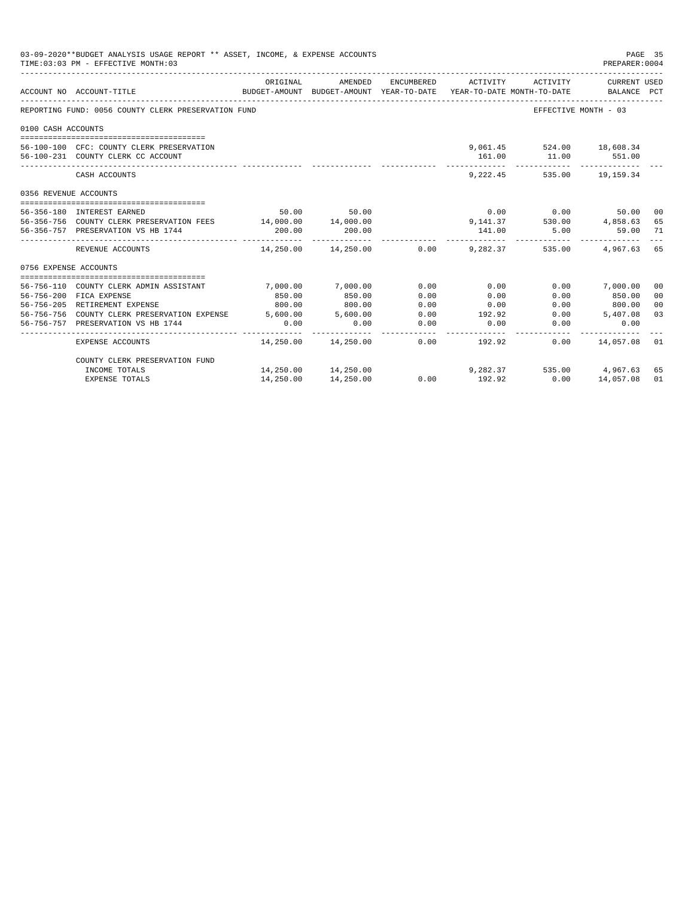|                       | 03-09-2020**BUDGET ANALYSIS USAGE REPORT ** ASSET, INCOME, & EXPENSE ACCOUNTS<br>TIME: 03:03 PM - EFFECTIVE MONTH: 03 |             |                     |      |                                                                                            |                            | PAGE 35<br>PREPARER:0004    |                |
|-----------------------|-----------------------------------------------------------------------------------------------------------------------|-------------|---------------------|------|--------------------------------------------------------------------------------------------|----------------------------|-----------------------------|----------------|
|                       | ACCOUNT NO ACCOUNT-TITLE                                                                                              | ORIGINAL    | AMENDED             |      | ENCUMBERED ACTIVITY<br>BUDGET-AMOUNT BUDGET-AMOUNT YEAR-TO-DATE YEAR-TO-DATE MONTH-TO-DATE | ACTIVITY                   | CURRENT USED<br>BALANCE PCT |                |
|                       | REPORTING FUND: 0056 COUNTY CLERK PRESERVATION FUND                                                                   |             |                     |      |                                                                                            | EFFECTIVE MONTH - 03       |                             |                |
| 0100 CASH ACCOUNTS    |                                                                                                                       |             |                     |      |                                                                                            |                            |                             |                |
|                       |                                                                                                                       |             |                     |      |                                                                                            |                            |                             |                |
|                       | 56-100-100 CFC: COUNTY CLERK PRESERVATION                                                                             |             |                     |      |                                                                                            | 9,061.45 524.00 18,608.34  |                             |                |
|                       | 56-100-231 COUNTY CLERK CC ACCOUNT                                                                                    |             |                     |      | 161.00                                                                                     | 11.00 551.00               |                             |                |
|                       | CASH ACCOUNTS                                                                                                         |             |                     |      |                                                                                            | 9,222.45 535.00 19,159.34  |                             |                |
| 0356 REVENUE ACCOUNTS |                                                                                                                       |             |                     |      |                                                                                            |                            |                             |                |
|                       | 56-356-180 INTEREST EARNED                                                                                            |             | 50.00 50.00         |      |                                                                                            | $0.00$ 0.00                | 50.00                       | 00             |
|                       | 56-356-756 COUNTY CLERK PRESERVATION FEES 14,000.00 14,000.00                                                         |             |                     |      |                                                                                            | 9, 141.37 530.00 4, 858.63 |                             | 65             |
|                       | 56-356-757 PRESERVATION VS HB 1744                                                                                    | 200.00      | 200.00              |      | 141.00                                                                                     | $5.00$ 59.00               |                             | 71             |
|                       | REVENUE ACCOUNTS                                                                                                      | ----------- |                     |      | $14,250.00$ $14,250.00$ $0.00$ $9,282.37$ $535.00$ $4,967.63$ 65                           |                            |                             |                |
| 0756 EXPENSE ACCOUNTS |                                                                                                                       |             |                     |      |                                                                                            |                            |                             |                |
|                       |                                                                                                                       |             |                     |      |                                                                                            |                            |                             |                |
|                       | 56-756-110 COUNTY CLERK ADMIN ASSISTANT                                                                               | 7,000.00    | 7.000.00            | 0.00 | 0.00                                                                                       |                            | $0.00$ 7,000.00             | 00             |
|                       | 56-756-200 FICA EXPENSE                                                                                               | 850.00      | 850.00              | 0.00 | 0.00                                                                                       | 0.00                       | 850.00                      | 0 <sub>0</sub> |
|                       | 56-756-205 RETIREMENT EXPENSE                                                                                         | 800.00      | 800.00              | 0.00 | 0.00                                                                                       |                            | $0.00$ 800.00               | 0 <sub>0</sub> |
|                       | 56-756-756 COUNTY CLERK PRESERVATION EXPENSE 5.600.00 5.600.00                                                        |             |                     | 0.00 | 192.92                                                                                     |                            | $0.00$ 5,407.08             | 03             |
|                       | 56-756-757 PRESERVATION VS HB 1744                                                                                    | 0.00        | 0.00                | 0.00 | 0.00                                                                                       | 0.00                       | 0.00                        |                |
|                       | EXPENSE ACCOUNTS                                                                                                      |             |                     |      | --------<br>$14.250.00$ $14.250.00$ 0.00 192.92                                            |                            | $0.00$ 14,057.08            | 01             |
|                       | COUNTY CLERK PRESERVATION FUND                                                                                        |             |                     |      |                                                                                            |                            |                             |                |
|                       | INCOME TOTALS                                                                                                         |             | 14,250.00 14,250.00 |      |                                                                                            | 9,282.37 535.00 4,967.63   |                             | 65             |
|                       | <b>EXPENSE TOTALS</b>                                                                                                 | 14,250.00   | 14,250.00           | 0.00 | 192.92                                                                                     | 0.00                       | 14,057.08                   | 01             |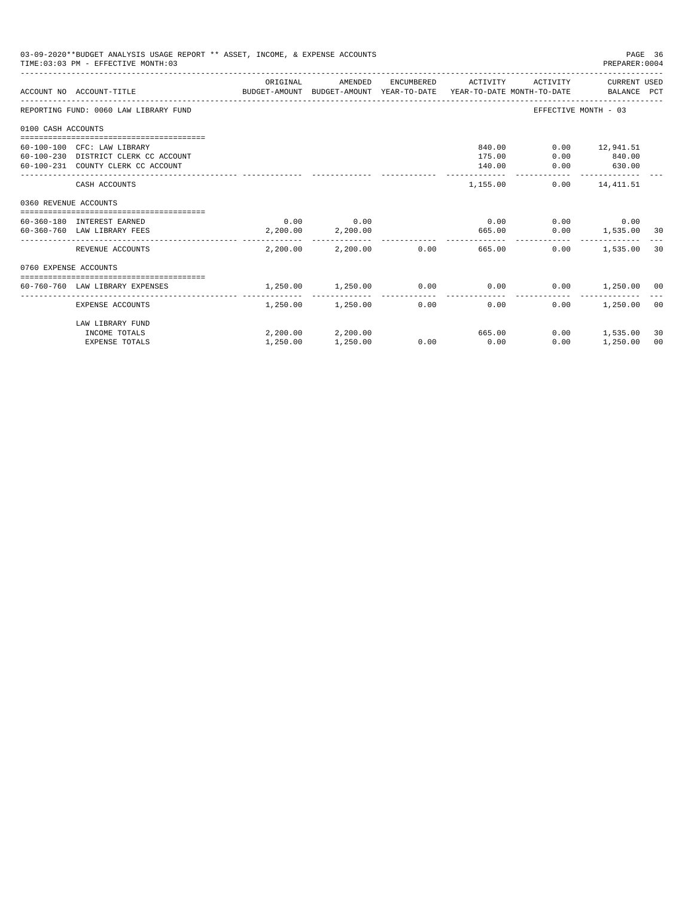|                       | 03-09-2020**BUDGET ANALYSIS USAGE REPORT ** ASSET, INCOME, & EXPENSE ACCOUNTS<br>TIME: 03:03 PM - EFFECTIVE MONTH: 03  |                   |                                  |      |                               |                      | PAGE 36<br>PREPARER: 0004                          |          |
|-----------------------|------------------------------------------------------------------------------------------------------------------------|-------------------|----------------------------------|------|-------------------------------|----------------------|----------------------------------------------------|----------|
|                       | ACCOUNT NO ACCOUNT-TITLE CONTROL PORT ANOUNT BUDGET-AMOUNT AND THE TEAR-TO-DATE TEAR-TO-DATE MONTH-TO-DATE BALANCE PCT | ORIGINAL          | AMENDED                          |      | ENCUMBERED ACTIVITY           |                      | ACTIVITY CURRENT USED                              |          |
|                       | REPORTING FUND: 0060 LAW LIBRARY FUND                                                                                  |                   |                                  |      |                               | EFFECTIVE MONTH - 03 |                                                    |          |
| 0100 CASH ACCOUNTS    |                                                                                                                        |                   |                                  |      |                               |                      |                                                    |          |
|                       | 60-100-100 CFC: LAW LIBRARY<br>60-100-230 DISTRICT CLERK CC ACCOUNT<br>60-100-231 COUNTY CLERK CC ACCOUNT              |                   |                                  |      | 840.00<br>175.00<br>140.00    |                      | $0.00$ 12,941.51<br>$0.00$ 840.00<br>$0.00$ 630.00 |          |
|                       | CASH ACCOUNTS                                                                                                          |                   |                                  |      | ______________<br>1,155.00    | ------------         | -------------<br>$0.00$ 14,411.51                  |          |
| 0360 REVENUE ACCOUNTS |                                                                                                                        |                   |                                  |      |                               |                      |                                                    |          |
|                       | 60-360-180 INTEREST EARNED<br>60-360-760 LAW LIBRARY FEES                                                              |                   | $0.00$ 0.00<br>2,200.00 2,200.00 |      | 0.00<br>665.00                |                      | $0.00$ 0.00<br>$0.00$ 1,535.00 30                  |          |
|                       | REVENUE ACCOUNTS                                                                                                       |                   |                                  |      | 2,200.00 2,200.00 0.00 665.00 |                      | $0.00$ 1,535.00                                    | 30       |
| 0760 EXPENSE ACCOUNTS |                                                                                                                        |                   |                                  |      |                               |                      |                                                    |          |
|                       | 60-760-760 LAW LIBRARY EXPENSES                                                                                        | 1,250.00 1,250.00 |                                  |      | $0.00$ 0.00                   |                      | $0.00$ 1,250.00 00                                 |          |
|                       | EXPENSE ACCOUNTS                                                                                                       |                   | $1.250.00$ $1.250.00$ 0.00       |      | 0.00                          | 0.00                 | 1,250.00 00                                        |          |
|                       | LAW LIBRARY FUND<br>INCOME TOTALS<br><b>EXPENSE TOTALS</b>                                                             | 1,250.00          | 2,200.00 2,200.00<br>1,250.00    | 0.00 | 665.00<br>0.00                | 0.00                 | $0.00$ 1,535.00<br>1,250.00                        | 30<br>00 |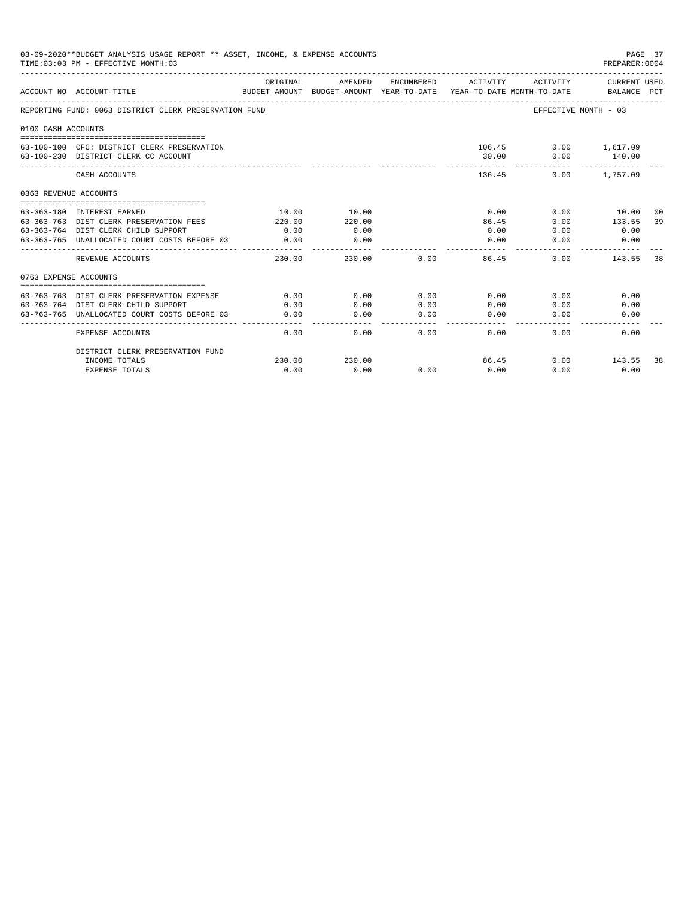|                       | 03-09-2020**BUDGET ANALYSIS USAGE REPORT ** ASSET, INCOME, & EXPENSE ACCOUNTS<br>TIME: 03:03 PM - EFFECTIVE MONTH: 03 |          |                                                     |                     |                                        |                      | PAGE 37<br>PREPARER: 0004          |     |
|-----------------------|-----------------------------------------------------------------------------------------------------------------------|----------|-----------------------------------------------------|---------------------|----------------------------------------|----------------------|------------------------------------|-----|
|                       | ACCOUNT NO ACCOUNT-TITLE                                                                                              | ORIGINAL | AMENDED<br>BUDGET-AMOUNT BUDGET-AMOUNT YEAR-TO-DATE | ENCUMBERED          | ACTIVITY<br>YEAR-TO-DATE MONTH-TO-DATE | ACTIVITY             | <b>CURRENT USED</b><br>BALANCE PCT |     |
|                       | REPORTING FUND: 0063 DISTRICT CLERK PRESERVATION FUND                                                                 |          |                                                     |                     |                                        | EFFECTIVE MONTH - 03 |                                    |     |
| 0100 CASH ACCOUNTS    |                                                                                                                       |          |                                                     |                     |                                        |                      |                                    |     |
|                       | 63-100-100 CFC: DISTRICT CLERK PRESERVATION<br>63-100-230 DISTRICT CLERK CC ACCOUNT                                   |          |                                                     |                     | 106.45<br>30.00                        | 0.00                 | $0.00$ 1,617.09<br>140.00          |     |
|                       | CASH ACCOUNTS                                                                                                         |          |                                                     |                     | 136.45                                 | 0.00                 | 1,757.09                           |     |
| 0363 REVENUE ACCOUNTS |                                                                                                                       |          |                                                     |                     |                                        |                      |                                    |     |
|                       | 63-363-180 INTEREST EARNED                                                                                            | 10.00    | 10.00                                               |                     | 0.00                                   | 0.00                 | 10.00                              | -00 |
|                       | 63-363-763 DIST CLERK PRESERVATION FEES                                                                               | 220.00   | 220.00                                              |                     | 86.45                                  | 0.00                 | 133.55                             | 39  |
|                       | 63-363-764 DIST CLERK CHILD SUPPORT                                                                                   | 0.00     | 0.00                                                |                     | 0.00                                   | 0.00                 | 0.00                               |     |
|                       | 63-363-765 UNALLOCATED COURT COSTS BEFORE 03                                                                          | 0.00     | 0.00                                                |                     | 0.00                                   | 0.00                 | 0.00                               |     |
|                       | REVENUE ACCOUNTS                                                                                                      | 230.00   | 230.00                                              | 0.00                | 86.45                                  | 0.00                 | 143.55                             | 38  |
| 0763 EXPENSE ACCOUNTS |                                                                                                                       |          |                                                     |                     |                                        |                      |                                    |     |
|                       |                                                                                                                       |          |                                                     |                     |                                        |                      |                                    |     |
| $63 - 763 - 763$      | DIST CLERK PRESERVATION EXPENSE                                                                                       | 0.00     | 0.00                                                | 0.00                | 0.00                                   | 0.00                 | 0.00                               |     |
|                       | 63-763-764 DIST CLERK CHILD SUPPORT                                                                                   | 0.00     | 0.00                                                | 0.00                | 0.00                                   | 0.00                 | 0.00                               |     |
|                       | 63-763-765 UNALLOCATED COURT COSTS BEFORE 03                                                                          | 0.00     | 0.00                                                | 0.00<br>$- - - - -$ | 0.00                                   | 0.00                 | 0.00                               |     |
|                       | <b>EXPENSE ACCOUNTS</b>                                                                                               | 0.00     | 0.00                                                | 0.00                | 0.00                                   | 0.00                 | 0.00                               |     |
|                       | DISTRICT CLERK PRESERVATION FUND                                                                                      |          |                                                     |                     |                                        |                      |                                    |     |
|                       | INCOME TOTALS                                                                                                         | 230.00   | 230.00                                              |                     | 86.45                                  | 0.00                 | 143.55                             | 38  |
|                       | <b>EXPENSE TOTALS</b>                                                                                                 | 0.00     | 0.00                                                | 0.00                | 0.00                                   | 0.00                 | 0.00                               |     |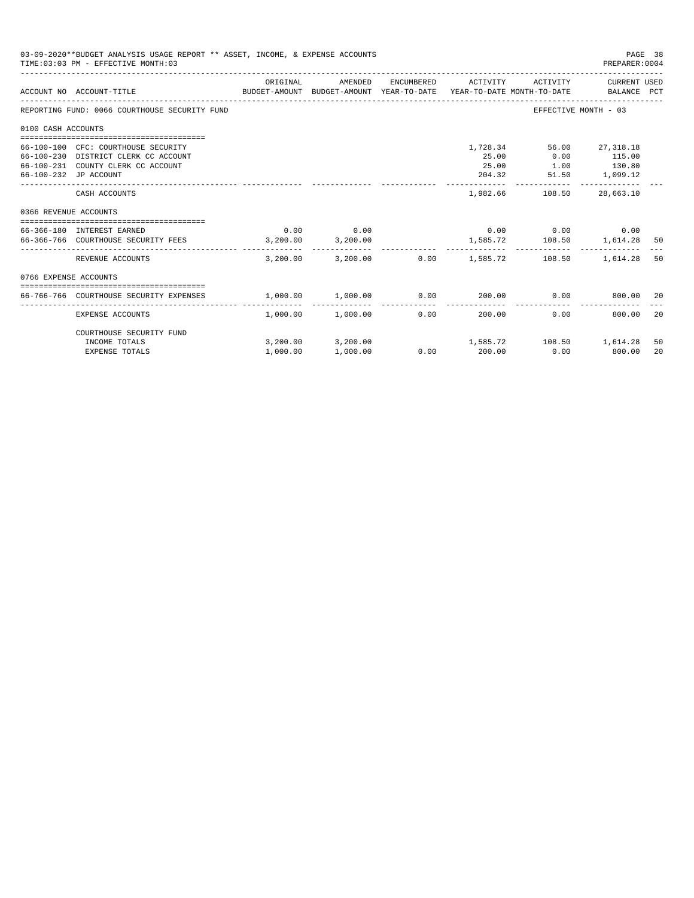|                       | 03-09-2020**BUDGET ANALYSIS USAGE REPORT ** ASSET, INCOME, & EXPENSE ACCOUNTS<br>TIME: 03:03 PM - EFFECTIVE MONTH: 03                      |          |                       |                          |                          |                                                         | PREPARER: 0004                          | PAGE 38 |
|-----------------------|--------------------------------------------------------------------------------------------------------------------------------------------|----------|-----------------------|--------------------------|--------------------------|---------------------------------------------------------|-----------------------------------------|---------|
|                       | BUDGET-AMOUNT BUDGET-AMOUNT YEAR-TO-DATE  YEAR-TO-DATE MONTH-TO-DATE      BALANCE PCT<br>ACCOUNT NO ACCOUNT-TITLE                          | ORIGINAL | AMENDED               | ENCUMBERED               | ACTIVITY                 | ACTIVITY                                                | CURRENT USED                            |         |
|                       | REPORTING FUND: 0066 COURTHOUSE SECURITY FUND                                                                                              |          |                       |                          |                          |                                                         | EFFECTIVE MONTH - 03                    |         |
| 0100 CASH ACCOUNTS    |                                                                                                                                            |          |                       |                          |                          |                                                         |                                         |         |
|                       | 66-100-100 CFC: COURTHOUSE SECURITY<br>66-100-230 DISTRICT CLERK CC ACCOUNT<br>66-100-231 COUNTY CLERK CC ACCOUNT<br>66-100-232 JP ACCOUNT |          |                       |                          | 25.00<br>25.00<br>204.32 | 1,728.34 56.00 27,318.18<br>0.00                        | 115.00<br>1.00 130.80<br>51.50 1,099.12 |         |
|                       | CASH ACCOUNTS                                                                                                                              |          |                       |                          | 1,982.66                 | 108.50                                                  | 28,663.10                               |         |
| 0366 REVENUE ACCOUNTS |                                                                                                                                            |          |                       |                          |                          |                                                         |                                         |         |
|                       | --------------------------------------<br>66-366-180 INTEREST EARNED<br>66-366-766 COURTHOUSE SECURITY FEES 3.200.00 3.200.00              | 0.00     | 0.00                  |                          |                          | $0.00$ $0.00$ $0.00$ $0.00$<br>1,585.72 108.50 1,614.28 |                                         | 50      |
|                       | REVENUE ACCOUNTS                                                                                                                           | 3,200,00 |                       | $3.200.00$ 0.00 1.585.72 |                          | 108.50                                                  | 1,614.28                                | 50      |
| 0766 EXPENSE ACCOUNTS |                                                                                                                                            |          |                       |                          |                          |                                                         |                                         |         |
|                       | 66-766-766 COURTHOUSE SECURITY EXPENSES                                                                                                    | 1,000.00 | 1,000.00              | 0.00                     |                          | 200.00 0.00                                             | 800.00                                  | 20      |
|                       | EXPENSE ACCOUNTS                                                                                                                           |          | $1.000.00$ $1.000.00$ | ---------------<br>0.00  | -------------<br>200.00  | 0.00                                                    | 800.00                                  | 20      |
|                       | COURTHOUSE SECURITY FUND<br>INCOME TOTALS                                                                                                  |          | 3,200.00 3,200.00     |                          |                          | 1,585.72 108.50 1,614.28                                |                                         | 50      |
|                       | <b>EXPENSE TOTALS</b>                                                                                                                      | 1,000.00 | 1,000.00              | $0.00$ 200.00            |                          | 0.00                                                    | 800.00                                  | 20      |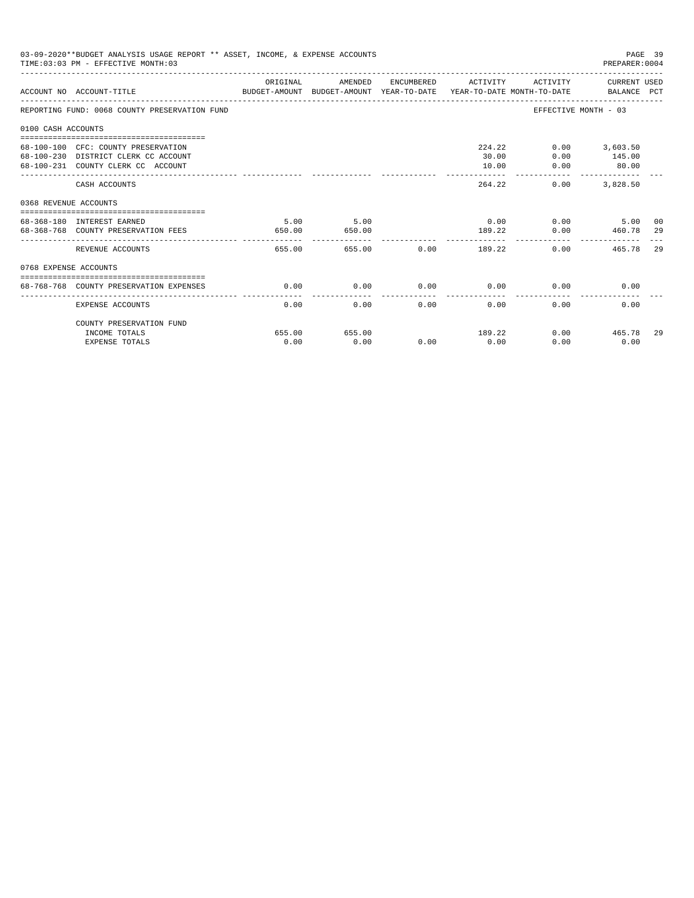| 03-09-2020**BUDGET ANALYSIS USAGE REPORT ** ASSET, INCOME, & EXPENSE ACCOUNTS<br>PAGE 39<br>TIME: 03:03 PM - EFFECTIVE MONTH: 03<br>PREPARER: 0004<br>ORIGINAL<br>AMENDED<br>ENCUMBERED ACTIVITY<br>ACTIVITY CURRENT USED |                                                                                                                   |                |                |      |                                     |                        |                                                     |     |  |
|---------------------------------------------------------------------------------------------------------------------------------------------------------------------------------------------------------------------------|-------------------------------------------------------------------------------------------------------------------|----------------|----------------|------|-------------------------------------|------------------------|-----------------------------------------------------|-----|--|
|                                                                                                                                                                                                                           | BUDGET-AMOUNT BUDGET-AMOUNT YEAR-TO-DATE  YEAR-TO-DATE MONTH-TO-DATE     BALANCE PCT<br>ACCOUNT NO ACCOUNT-TITLE  |                |                |      |                                     |                        |                                                     |     |  |
|                                                                                                                                                                                                                           | REPORTING FUND: 0068 COUNTY PRESERVATION FUND                                                                     |                |                |      |                                     | EFFECTIVE MONTH - 03   |                                                     |     |  |
| 0100 CASH ACCOUNTS                                                                                                                                                                                                        |                                                                                                                   |                |                |      |                                     |                        |                                                     |     |  |
|                                                                                                                                                                                                                           | 68-100-100 CFC: COUNTY PRESERVATION<br>68-100-230 DISTRICT CLERK CC ACCOUNT<br>68-100-231 COUNTY CLERK CC ACCOUNT |                |                |      | 30.00<br>10.00                      | 224.22<br>0.00<br>0.00 | $0.00$ 3,603.50<br>145.00<br>80.00<br>------------- |     |  |
|                                                                                                                                                                                                                           | CASH ACCOUNTS                                                                                                     |                |                |      | 264.22                              | 0.00                   | 3,828.50                                            |     |  |
| 0368 REVENUE ACCOUNTS                                                                                                                                                                                                     |                                                                                                                   |                |                |      |                                     |                        |                                                     |     |  |
|                                                                                                                                                                                                                           | 68-368-180 INTEREST EARNED<br>68-368-768 COUNTY PRESERVATION FEES                                                 | 5.00<br>650.00 | 5.00<br>650.00 |      | 189.22                              | $0.00$ 0.00<br>0.00    | 5.00<br>460.78 29                                   | 00  |  |
|                                                                                                                                                                                                                           | REVENUE ACCOUNTS                                                                                                  | 655.00         |                |      | -------------<br>655.00 0.00 189.22 | 0.00                   | 465.78                                              | 2.9 |  |
| 0768 EXPENSE ACCOUNTS                                                                                                                                                                                                     |                                                                                                                   |                |                |      |                                     |                        |                                                     |     |  |
|                                                                                                                                                                                                                           | 68-768-768 COUNTY PRESERVATION EXPENSES                                                                           | 0.00           | 0.00           |      | $0.00$ 0.00                         |                        | 0.00<br>0.00                                        |     |  |
|                                                                                                                                                                                                                           | <b>EXPENSE ACCOUNTS</b>                                                                                           | 0.00           | 0.00           | 0.00 | 0.00                                | 0.00                   | 0.00                                                |     |  |
|                                                                                                                                                                                                                           | COUNTY PRESERVATION FUND                                                                                          |                |                |      |                                     |                        |                                                     |     |  |
|                                                                                                                                                                                                                           | INCOME TOTALS                                                                                                     | 655.00         | 655.00         |      | 189.22                              |                        | $0.00$ 465.78                                       | 29  |  |
|                                                                                                                                                                                                                           | <b>EXPENSE TOTALS</b>                                                                                             | 0.00           | 0.00           | 0.00 | 0.00                                | 0.00                   | 0.00                                                |     |  |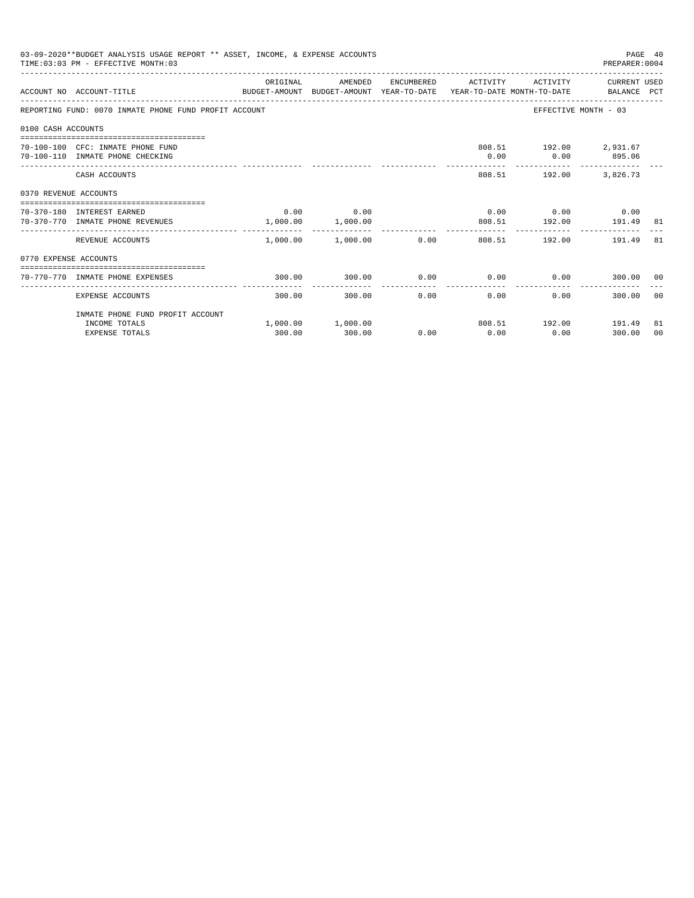|                       | 03-09-2020**BUDGET ANALYSIS USAGE REPORT ** ASSET, INCOME, & EXPENSE ACCOUNTS<br>PAGE 40<br>TIME: 03:03 PM - EFFECTIVE MONTH: 03<br>PREPARER: 0004 |          |                                  |      |                     |                                                           |                       |          |  |  |
|-----------------------|----------------------------------------------------------------------------------------------------------------------------------------------------|----------|----------------------------------|------|---------------------|-----------------------------------------------------------|-----------------------|----------|--|--|
|                       | BUDGET-AMOUNT BUDGET-AMOUNT YEAR-TO-DATE YEAR-TO-DATE MONTH-TO-DATE BALANCE PCT<br>ACCOUNT NO ACCOUNT-TITLE                                        | ORIGINAL | AMENDED                          |      | ENCUMBERED ACTIVITY |                                                           | ACTIVITY CURRENT USED |          |  |  |
|                       | REPORTING FUND: 0070 INMATE PHONE FUND PROFIT ACCOUNT                                                                                              |          |                                  |      |                     |                                                           | EFFECTIVE MONTH - 03  |          |  |  |
| 0100 CASH ACCOUNTS    |                                                                                                                                                    |          |                                  |      |                     |                                                           |                       |          |  |  |
|                       | 70-100-100 CFC: INMATE PHONE FUND<br>70-100-110 INMATE PHONE CHECKING                                                                              |          |                                  |      | 0.00                | 808.51 192.00 2,931.67<br>$0.00$ 895.06                   |                       |          |  |  |
|                       | CASH ACCOUNTS                                                                                                                                      |          |                                  |      |                     | 808.51 192.00 3,826.73                                    |                       |          |  |  |
| 0370 REVENUE ACCOUNTS |                                                                                                                                                    |          |                                  |      |                     |                                                           |                       |          |  |  |
|                       | 70-370-180 INTEREST EARNED<br>70-370-770 INMATE PHONE REVENUES                                                                                     |          | $0.00$ 0.00<br>1,000.00 1,000.00 |      |                     | $0.00$ 0.00 0.00 0.00<br>808.51    192.00    191.49    81 |                       |          |  |  |
|                       | REVENUE ACCOUNTS                                                                                                                                   | .        | .<br>$1,000.00$ $1,000.00$ 0.00  |      |                     | ------------<br>808.51 192.00 191.49                      |                       | 81       |  |  |
| 0770 EXPENSE ACCOUNTS |                                                                                                                                                    |          |                                  |      |                     |                                                           |                       |          |  |  |
|                       | 70-770-770 INMATE PHONE EXPENSES                                                                                                                   | 300.00   | 300.00                           | 0.00 |                     | $0.00$ $0.00$ $0.00$ $300.00$ $00$                        |                       |          |  |  |
|                       | EXPENSE ACCOUNTS                                                                                                                                   | 300.00   | 300.00                           |      | 0.00<br>0.00        | 0.00                                                      | 300.00 00             |          |  |  |
|                       | INMATE PHONE FUND PROFIT ACCOUNT                                                                                                                   |          |                                  |      |                     |                                                           |                       |          |  |  |
|                       | INCOME TOTALS<br><b>EXPENSE TOTALS</b>                                                                                                             | 300.00   | $1,000.00$ $1,000.00$<br>300.00  | 0.00 | 0.00                | 808.51  192.00  191.49<br>0.00                            | 300.00                | 81<br>00 |  |  |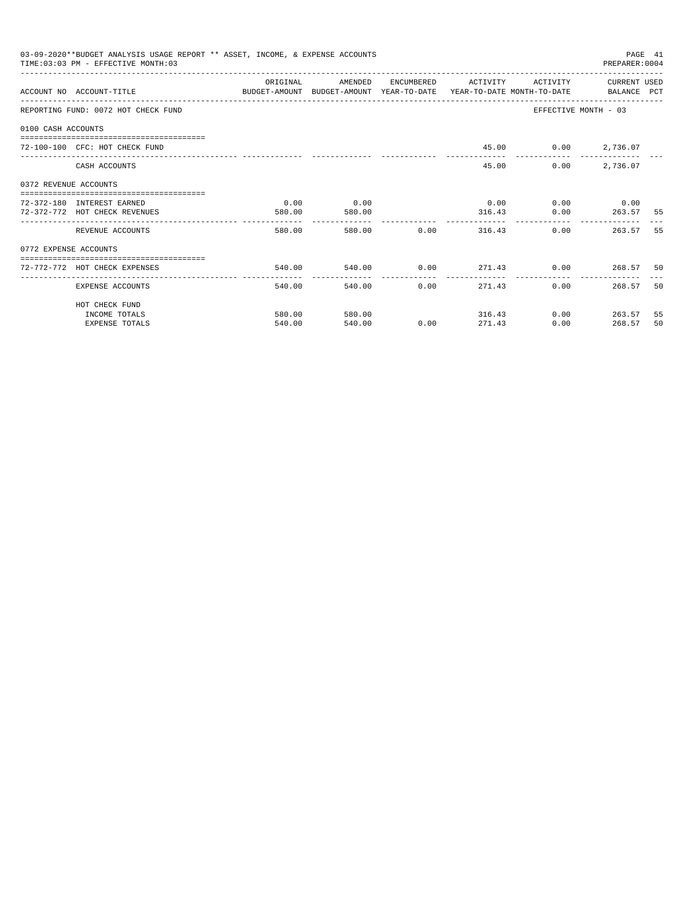|                       | 03-09-2020**BUDGET ANALYSIS USAGE REPORT ** ASSET, INCOME, & EXPENSE ACCOUNTS<br>TIME: 03:03 PM - EFFECTIVE MONTH: 03 |          |              |                |                     |                             | PAGE 41<br>PREPARER:0004 |      |
|-----------------------|-----------------------------------------------------------------------------------------------------------------------|----------|--------------|----------------|---------------------|-----------------------------|--------------------------|------|
|                       |                                                                                                                       | ORIGINAL | AMENDED      |                | ENCUMBERED ACTIVITY |                             | ACTIVITY CURRENT USED    |      |
|                       | ACCOUNT NO ACCOUNT-TITLE CONTROL BUDGET-AMOUNT BUDGET-AMOUNT YEAR-TO-DATE YEAR-TO-DATE MONTH-TO-DATE BALANCE PCT      |          |              |                |                     |                             |                          |      |
|                       | REPORTING FUND: 0072 HOT CHECK FUND                                                                                   |          |              |                |                     | EFFECTIVE MONTH - 03        |                          |      |
| 0100 CASH ACCOUNTS    |                                                                                                                       |          |              |                |                     |                             |                          |      |
|                       | 72-100-100 CFC: HOT CHECK FUND                                                                                        |          |              |                |                     | 45.00 0.00 2,736.07         |                          |      |
|                       | CASH ACCOUNTS                                                                                                         |          |              |                | 45.00               |                             | $0.00$ 2,736.07          |      |
| 0372 REVENUE ACCOUNTS |                                                                                                                       |          |              |                |                     |                             |                          |      |
|                       | 72-372-180 INTEREST EARNED                                                                                            | 0.00     | 0.00         |                |                     | $0.00$ $0.00$ $0.00$ $0.00$ |                          |      |
|                       | 72-372-772 HOT CHECK REVENUES                                                                                         | 580.00   | 580.00       |                | 316.43              |                             | $0.00$ 263.57            | - 55 |
|                       | REVENUE ACCOUNTS                                                                                                      | 580.00   |              |                | 580.00 0.00 316.43  | 0.00                        | 263.57                   | 55   |
| 0772 EXPENSE ACCOUNTS |                                                                                                                       |          |              |                |                     |                             |                          |      |
|                       | -------------------------------------<br>72-772-772 HOT CHECK EXPENSES                                                | 540.00   |              |                |                     |                             |                          |      |
|                       |                                                                                                                       |          | ------------ | -------------- | ----------------    | -------------               |                          |      |
|                       | EXPENSE ACCOUNTS                                                                                                      | 540.00   |              | 540.00<br>0.00 | 271.43              | 0.00                        | 268.57                   | 50   |
|                       | HOT CHECK FUND                                                                                                        |          |              |                |                     |                             |                          |      |
|                       | INCOME TOTALS                                                                                                         | 580.00   | 580.00       |                | 316.43              |                             | $0.00$ 263.57            | 55   |
|                       | <b>EXPENSE TOTALS</b>                                                                                                 | 540.00   | 540.00       | 0.00           | 271.43              | 0.00                        | 268.57                   | 50   |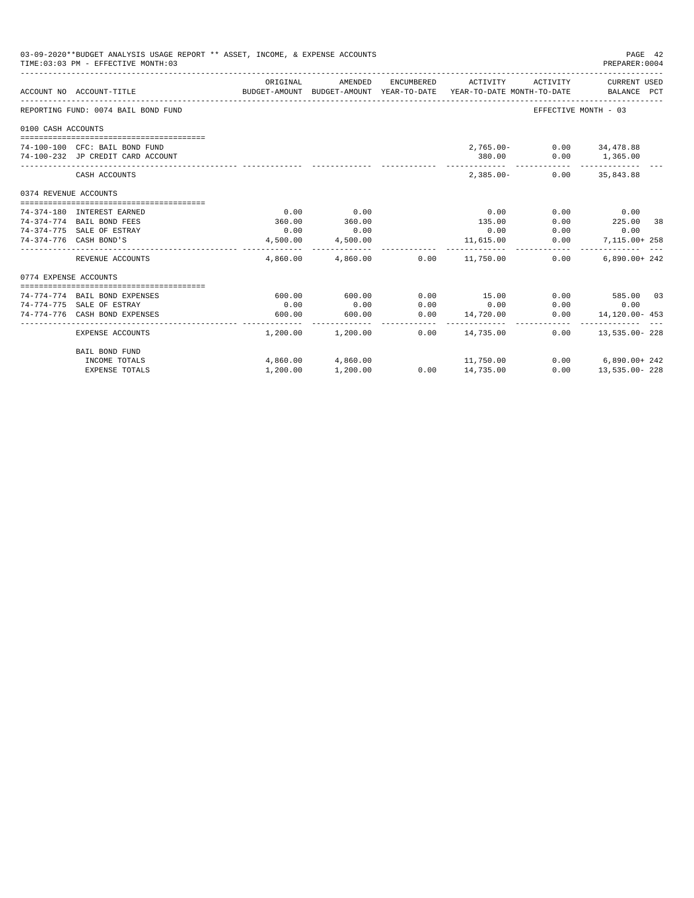|                       | 03-09-2020**BUDGET ANALYSIS USAGE REPORT ** ASSET, INCOME, & EXPENSE ACCOUNTS<br>TIME: 03:03 PM - EFFECTIVE MONTH: 03 |          |                         |      |                                                                                            |                          | PAGE 42<br>PREPARER: 0004   |  |
|-----------------------|-----------------------------------------------------------------------------------------------------------------------|----------|-------------------------|------|--------------------------------------------------------------------------------------------|--------------------------|-----------------------------|--|
|                       | ACCOUNT NO ACCOUNT-TITLE                                                                                              | ORIGINAL | AMENDED                 |      | ENCUMBERED ACTIVITY<br>BUDGET-AMOUNT BUDGET-AMOUNT YEAR-TO-DATE YEAR-TO-DATE MONTH-TO-DATE | ACTIVITY                 | CURRENT USED<br>BALANCE PCT |  |
|                       | REPORTING FUND: 0074 BAIL BOND FUND                                                                                   |          |                         |      |                                                                                            | EFFECTIVE MONTH - 03     |                             |  |
| 0100 CASH ACCOUNTS    |                                                                                                                       |          |                         |      |                                                                                            |                          |                             |  |
|                       |                                                                                                                       |          |                         |      |                                                                                            |                          |                             |  |
|                       | 74-100-100 CFC: BAIL BOND FUND                                                                                        |          |                         |      |                                                                                            | 2,765.00- 0.00 34,478.88 |                             |  |
|                       | 74-100-232 JP CREDIT CARD ACCOUNT                                                                                     |          |                         |      | 380.00                                                                                     |                          | $0.00$ 1,365.00             |  |
|                       | CASH ACCOUNTS                                                                                                         |          |                         |      | $2,385.00-$                                                                                |                          | $0.00$ 35,843.88            |  |
| 0374 REVENUE ACCOUNTS |                                                                                                                       |          |                         |      |                                                                                            |                          |                             |  |
|                       |                                                                                                                       |          |                         |      |                                                                                            |                          |                             |  |
|                       | 74-374-180 INTEREST EARNED                                                                                            | 0.00     | 0.00                    |      | 0.00                                                                                       | 0.00                     | 0.00                        |  |
|                       | 74-374-774 BAIL BOND FEES                                                                                             | 360.00   | 360.00                  |      | 135.00                                                                                     | 0.00                     | 225.00 38                   |  |
|                       | 74-374-775 SALE OF ESTRAY                                                                                             | 0.00     | 0.00                    |      | 0.00                                                                                       | 0.00                     | 0.00                        |  |
|                       | 74-374-776 CASH BOND'S                                                                                                | 4,500.00 | 4,500.00                |      | 11,615.00<br>-------------                                                                 | 0.00                     | 7,115.00+ 258<br>. <u>.</u> |  |
|                       | REVENUE ACCOUNTS                                                                                                      |          | 4,860.00 4,860.00 0.00  |      | 11,750.00                                                                                  | 0.00                     | $6.890.00 + 242$            |  |
| 0774 EXPENSE ACCOUNTS |                                                                                                                       |          |                         |      |                                                                                            |                          |                             |  |
|                       | --------------------------------                                                                                      |          |                         |      |                                                                                            |                          |                             |  |
|                       | 74-774-774 BAIL BOND EXPENSES                                                                                         | 600.00   | 600.00                  | 0.00 | 15.00                                                                                      |                          | $0.00$ 585.00 03            |  |
|                       | 74-774-775 SALE OF ESTRAY                                                                                             | 0.00     | 0.00                    | 0.00 | 0.00                                                                                       | 0.00                     | 0.00                        |  |
|                       | 74-774-776 CASH BOND EXPENSES                                                                                         | 600.00   | 600.00<br>------------- | 0.00 | 14,720.00<br>_______________________                                                       | 0.00                     | 14,120.00- 453              |  |
|                       | EXPENSE ACCOUNTS                                                                                                      |          | 1,200.00 1,200.00       | 0.00 | 14,735.00                                                                                  |                          | $0.00$ 13,535.00-228        |  |
|                       | BAIL BOND FUND                                                                                                        |          |                         |      |                                                                                            |                          |                             |  |
|                       | INCOME TOTALS                                                                                                         |          | 4,860.00 4,860.00       |      | 11,750.00                                                                                  |                          | $0.00$ 6,890.00+242         |  |
|                       | <b>EXPENSE TOTALS</b>                                                                                                 | 1,200.00 | 1,200.00                |      | $0.00$ 14,735.00                                                                           | 0.00                     | 13,535.00-228               |  |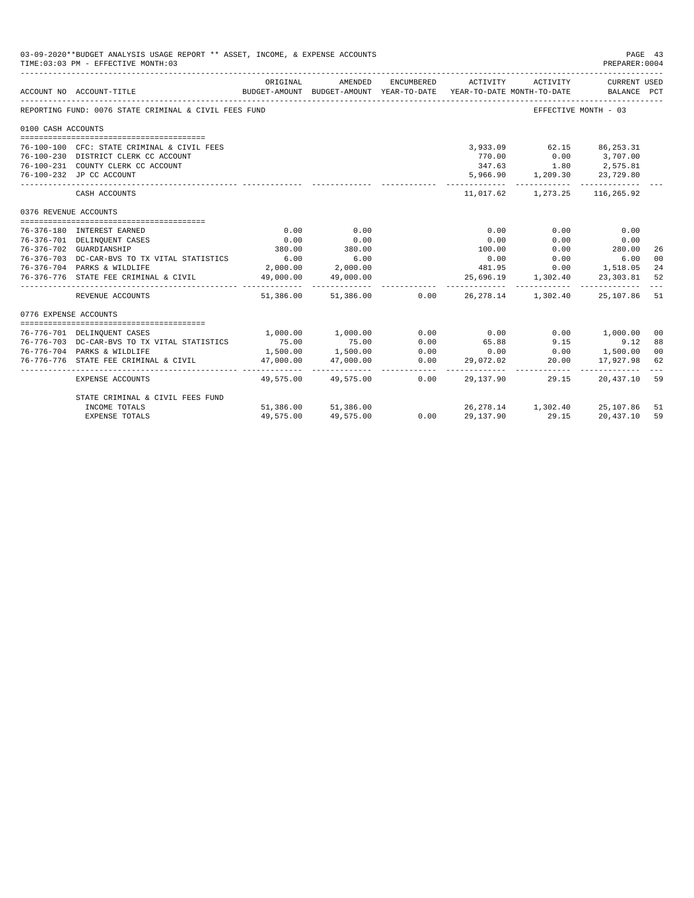|                       | 03-09-2020**BUDGET ANALYSIS USAGE REPORT ** ASSET, INCOME, & EXPENSE ACCOUNTS<br>TIME: 03:03 PM - EFFECTIVE MONTH: 03 |              |                          |                  |                                                                                             |                                                                                                                                                           | PAGE 43<br>PREPARER: 0004                                                   |                |
|-----------------------|-----------------------------------------------------------------------------------------------------------------------|--------------|--------------------------|------------------|---------------------------------------------------------------------------------------------|-----------------------------------------------------------------------------------------------------------------------------------------------------------|-----------------------------------------------------------------------------|----------------|
|                       | ACCOUNT NO ACCOUNT-TITLE                                                                                              | ORIGINAL     | AMENDED                  | ENCUMBERED       | ACTIVITY<br>BUDGET-AMOUNT BUDGET-AMOUNT YEAR-TO-DATE YEAR-TO-DATE MONTH-TO-DATE BALANCE PCT | ACTIVITY                                                                                                                                                  | CURRENT USED                                                                |                |
|                       | REPORTING FUND: 0076 STATE CRIMINAL & CIVIL FEES FUND                                                                 |              |                          |                  |                                                                                             | EFFECTIVE MONTH - 03                                                                                                                                      |                                                                             |                |
| 0100 CASH ACCOUNTS    |                                                                                                                       |              |                          |                  |                                                                                             |                                                                                                                                                           |                                                                             |                |
|                       | 76-100-100 CFC: STATE CRIMINAL & CIVIL FEES                                                                           |              |                          |                  |                                                                                             | 3,933.09 62.15 86,253.31                                                                                                                                  |                                                                             |                |
|                       | 76-100-230 DISTRICT CLERK CC ACCOUNT                                                                                  |              |                          |                  | 770.00                                                                                      |                                                                                                                                                           | $0.00$ 3,707.00                                                             |                |
|                       | 76-100-231 COUNTY CLERK CC ACCOUNT                                                                                    |              |                          |                  |                                                                                             |                                                                                                                                                           |                                                                             |                |
|                       | 76-100-232 JP CC ACCOUNT                                                                                              |              |                          |                  |                                                                                             | $\begin{array}{cccc} 347.63 & \hspace{1.5cm} 1.80 & \hspace{1.5cm} 2,575.81 \\ 5,966.90 & \hspace{1.5cm} 1,209.30 & \hspace{1.5cm} 23,729.80 \end{array}$ |                                                                             |                |
|                       | CASH ACCOUNTS                                                                                                         |              |                          |                  | ----------- -                                                                               | 11,017.62 1,273.25 116,265.92                                                                                                                             | ------------                                                                |                |
| 0376 REVENUE ACCOUNTS |                                                                                                                       |              |                          |                  |                                                                                             |                                                                                                                                                           |                                                                             |                |
|                       | 76-376-180 INTEREST EARNED                                                                                            | 0.00         | 0.00                     |                  | 0.00                                                                                        | 0.00                                                                                                                                                      | 0.00                                                                        |                |
|                       | 76-376-701 DELINQUENT CASES                                                                                           | 0.00         | 0.00                     |                  | 0.00                                                                                        | 0.00                                                                                                                                                      | 0.00                                                                        |                |
|                       | 76-376-702 GUARDIANSHIP                                                                                               | 380.00       | 380.00                   |                  | 100.00                                                                                      |                                                                                                                                                           | $0.00$ 280.00                                                               | 26             |
|                       | 76-376-703 DC-CAR-BVS TO TX VITAL STATISTICS                                                                          | 6.00         | 6.00                     |                  | 0.00                                                                                        |                                                                                                                                                           | $0.00$ 6.00                                                                 | 00             |
|                       | 76-376-704 PARKS & WILDLIFE                                                                                           |              | 2,000.00 2,000.00        |                  | 481.95                                                                                      |                                                                                                                                                           | $0.00$ 1,518.05                                                             | 24             |
|                       | 76-376-776 STATE FEE CRIMINAL & CIVIL                                                                                 |              | 49,000.00 49,000.00      |                  |                                                                                             | 25,696.19 1,302.40                                                                                                                                        | 23,303.81                                                                   | 52             |
|                       | REVENUE ACCOUNTS                                                                                                      |              | 51,386.00 51,386.00 0.00 |                  |                                                                                             | 26, 278.14 1, 302.40 25, 107.86 51                                                                                                                        |                                                                             |                |
| 0776 EXPENSE ACCOUNTS |                                                                                                                       |              |                          |                  |                                                                                             |                                                                                                                                                           |                                                                             |                |
|                       |                                                                                                                       |              | 1,000.00 1,000.00        | 0.00             | 0.00                                                                                        |                                                                                                                                                           |                                                                             | 00             |
|                       | 76-776-701 DELINQUENT CASES<br>76-776-703 DC-CAR-BVS TO TX VITAL STATISTICS                                           | 75.00        |                          | 0.00             | 65.88                                                                                       |                                                                                                                                                           | 0.00 1,000.00                                                               | 88             |
|                       | 76-776-704 PARKS & WILDLIFE                                                                                           | 1,500.00     | 75.00<br>1,500.00        |                  | 0.00                                                                                        | 9.15                                                                                                                                                      | $\begin{array}{ccc} & & 9.12 \\ 0.00 & & 1,500.00 \\ 20.00 & & \end{array}$ | 0 <sup>0</sup> |
|                       | 76-776-776 STATE FEE CRIMINAL & CIVIL                                                                                 | 47,000.00    | 47,000.00                | $0.00$<br>$0.00$ | 29,072.02                                                                                   |                                                                                                                                                           | 17,927.98                                                                   | 62             |
|                       |                                                                                                                       | ____________ |                          |                  |                                                                                             |                                                                                                                                                           |                                                                             |                |
|                       | EXPENSE ACCOUNTS                                                                                                      |              | 49,575,00 49,575,00      | 0.00             | 29,137.90                                                                                   | 29.15                                                                                                                                                     | 20,437.10 59                                                                |                |
|                       | STATE CRIMINAL & CIVIL FEES FUND                                                                                      |              |                          |                  |                                                                                             |                                                                                                                                                           |                                                                             |                |
|                       | INCOME TOTALS                                                                                                         |              | 51,386.00 51,386.00      | 0.00             |                                                                                             | 26, 278.14 1, 302.40 25, 107.86 51                                                                                                                        |                                                                             |                |
|                       | <b>EXPENSE TOTALS</b>                                                                                                 | 49,575.00    | 49,575.00                |                  | 29,137.90                                                                                   | 29.15                                                                                                                                                     | 20,437.10                                                                   | 59             |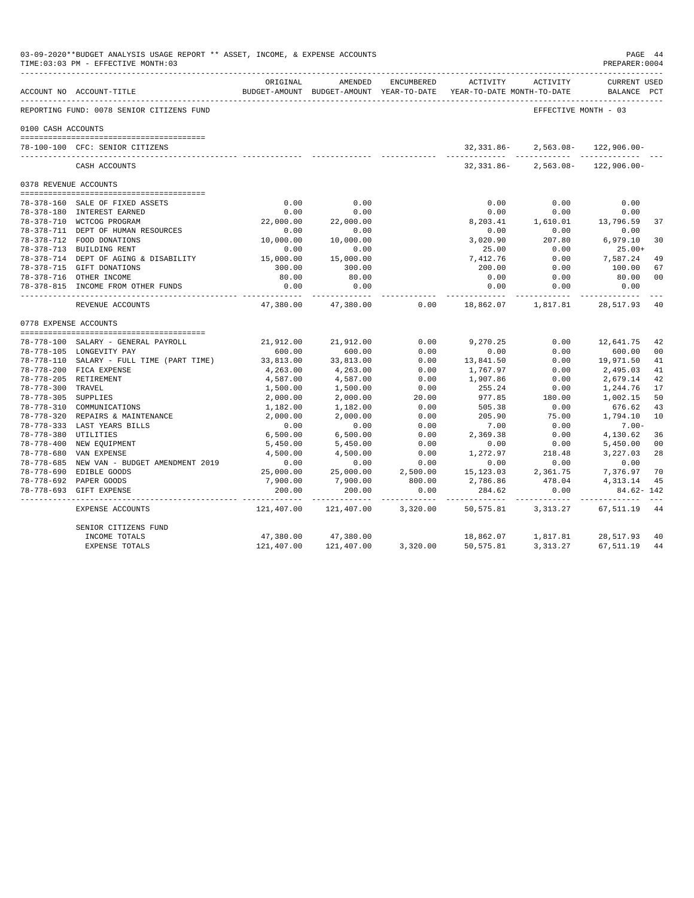|                     | 03-09-2020**BUDGET ANALYSIS USAGE REPORT ** ASSET, INCOME, & EXPENSE ACCOUNTS<br>TIME: 03:03 PM - EFFECTIVE MONTH: 03 |                     |                          |                        |                                                                                 |                                        | PAGE 44<br>PREPARER: 0004          |                |
|---------------------|-----------------------------------------------------------------------------------------------------------------------|---------------------|--------------------------|------------------------|---------------------------------------------------------------------------------|----------------------------------------|------------------------------------|----------------|
|                     | ACCOUNT NO ACCOUNT-TITLE                                                                                              | ORIGINAL            | AMENDED                  | ENCUMBERED             | ACTIVITY<br>BUDGET-AMOUNT BUDGET-AMOUNT YEAR-TO-DATE YEAR-TO-DATE MONTH-TO-DATE | ACTIVITY                               | <b>CURRENT USED</b><br>BALANCE PCT |                |
|                     | REPORTING FUND: 0078 SENIOR CITIZENS FUND                                                                             |                     |                          |                        |                                                                                 | EFFECTIVE MONTH - 03                   |                                    |                |
| 0100 CASH ACCOUNTS  |                                                                                                                       |                     |                          |                        |                                                                                 |                                        |                                    |                |
|                     | 78-100-100 CFC: SENIOR CITIZENS                                                                                       |                     |                          |                        | 32,331.86-<br>.                                                                 | $2,563.08-$<br>. _ _ _ _ _ _ _ _ _ _ _ | $122,906.00 -$                     |                |
|                     | CASH ACCOUNTS                                                                                                         |                     |                          |                        | 32,331.86-                                                                      |                                        | $2,563.08 - 122,906.00 -$          |                |
|                     | 0378 REVENUE ACCOUNTS                                                                                                 |                     |                          |                        |                                                                                 |                                        |                                    |                |
|                     |                                                                                                                       |                     |                          |                        |                                                                                 |                                        |                                    |                |
|                     | 78-378-160 SALE OF FIXED ASSETS                                                                                       | 0.00                | 0.00                     |                        | 0.00                                                                            | 0.00                                   | 0.00                               |                |
|                     | 78-378-180 INTEREST EARNED                                                                                            | 0.00                | 0.00                     |                        | 0.00                                                                            | 0.00                                   | 0.00                               |                |
|                     | 78-378-710 WCTCOG PROGRAM                                                                                             | 22,000.00           | 22,000.00                |                        | 8,203.41                                                                        | 1,610.01                               | 13,796.59                          | 37             |
|                     | 78-378-711 DEPT OF HUMAN RESOURCES                                                                                    | 0.00                | 0.00                     |                        | 0.00                                                                            | 0.00                                   | 0.00                               |                |
|                     | 78-378-712 FOOD DONATIONS                                                                                             | 10,000.00           | 10,000.00                |                        | 3.020.90                                                                        | 207.80                                 | 6,979.10                           | 30             |
|                     | 78-378-713 BUILDING RENT                                                                                              | 0.00                | 0.00                     |                        | 25.00                                                                           | 0.00                                   | $25.00+$                           |                |
|                     | 78-378-714 DEPT OF AGING & DISABILITY                                                                                 | 15,000.00           | 15,000.00                |                        | 7.412.76                                                                        | 0.00                                   | 7.587.24                           | 49             |
|                     | 78-378-715 GIFT DONATIONS                                                                                             | 300.00              | 300.00                   |                        | 200.00                                                                          | 0.00                                   | 100.00                             | 67             |
|                     | 78-378-716 OTHER INCOME                                                                                               | 80.00               | 80.00                    |                        | 0.00                                                                            | 0.00                                   | 80.00                              | 00             |
|                     | 78-378-815 INCOME FROM OTHER FUNDS                                                                                    | 0.00<br>----------- | 0.00<br>----------       |                        | 0.00<br>-----------                                                             | 0.00<br>-----------                    | 0.00<br>------------               |                |
|                     | REVENUE ACCOUNTS                                                                                                      | 47,380.00           | 47,380.00                | 0.00                   | 18,862.07                                                                       | 1,817.81                               | 28,517.93                          | -40            |
|                     | 0778 EXPENSE ACCOUNTS                                                                                                 |                     |                          |                        |                                                                                 |                                        |                                    |                |
|                     | 78-778-100 SALARY - GENERAL PAYROLL                                                                                   | 21,912.00           | 21,912.00                | 0.00                   | 9.270.25                                                                        | 0.00                                   | 12,641.75                          | 42             |
|                     | 78-778-105 LONGEVITY PAY                                                                                              | 600.00              | 600.00                   | 0.00                   | 0.00                                                                            | 0.00                                   | 600.00                             | 00             |
|                     | 78-778-110 SALARY - FULL TIME (PART TIME)                                                                             | 33,813.00           | 33,813.00                | 0.00                   | 13,841.50                                                                       | 0.00                                   | 19,971.50                          | 41             |
|                     | 78-778-200 FICA EXPENSE                                                                                               | 4,263.00            | 4,263.00                 | 0.00                   | 1,767.97                                                                        | 0.00                                   | 2,495.03                           | 41             |
|                     | 78-778-205 RETIREMENT                                                                                                 | 4,587.00            | 4,587.00                 | 0.00                   | 1,907.86                                                                        | 0.00                                   | 2,679.14                           | 42             |
| 78-778-300 TRAVEL   |                                                                                                                       | 1,500.00            | 1,500.00                 | 0.00                   | 255.24                                                                          | 0.00                                   | 1,244.76                           | 17             |
| 78-778-305 SUPPLIES |                                                                                                                       | 2,000.00            | 2,000.00                 | 20.00                  | 977.85                                                                          | 180.00                                 | 1,002.15                           | 50             |
|                     | 78-778-310 COMMUNICATIONS                                                                                             | 1,182.00            | 1,182.00                 | 0.00                   | 505.38                                                                          | 0.00                                   | 676.62                             | 43             |
|                     | 78-778-320 REPAIRS & MAINTENANCE                                                                                      | 2,000.00            | 2.000.00                 | 0.00                   | 205.90                                                                          | 75.00                                  | 1,794.10                           | 10             |
|                     | 78-778-333 LAST YEARS BILLS                                                                                           | 0.00                | 0.00                     | 0.00                   | 7.00                                                                            | 0.00                                   | $7.00 -$                           |                |
|                     | 78-778-380 UTILITIES                                                                                                  | 6,500.00            | 6,500.00                 | 0.00                   | 2,369.38                                                                        | 0.00                                   | 4,130.62                           | 36             |
|                     | 78-778-400 NEW EQUIPMENT                                                                                              | 5,450.00            | 5,450.00                 | 0.00                   | 0.00                                                                            | 0.00                                   | 5,450.00                           | 0 <sub>0</sub> |
| $78 - 778 - 680$    | VAN EXPENSE                                                                                                           | 4,500.00            | 4,500.00                 | 0.00                   | 1,272.97                                                                        | 218.48                                 | 3,227.03                           | 28             |
|                     | 78-778-685 NEW VAN - BUDGET AMENDMENT 2019                                                                            | 0.00                | 0.00                     | 0.00                   | 0.00                                                                            | 0.00                                   | 0.00                               |                |
|                     | 78-778-690 EDIBLE GOODS                                                                                               | 25,000.00           | 25,000.00                | 2,500.00               | 15, 123.03                                                                      | 2,361.75                               | 7,376.97                           | 70             |
|                     | 78-778-692 PAPER GOODS                                                                                                | 7,900.00            | 7,900.00                 | 800.00                 | 2,786.86                                                                        | 478.04                                 | 4,313.14                           | 45             |
|                     | 78-778-693 GIFT EXPENSE                                                                                               | 200.00              | 200.00                   | 0.00                   | 284.62                                                                          | 0.00                                   | $84.62 - 142$                      |                |
|                     | EXPENSE ACCOUNTS                                                                                                      | .<br>121,407.00     | ----------<br>121,407.00 | ----------<br>3,320.00 | 50,575.81                                                                       | .<br>3,313.27                          | --------------<br>67,511.19        | 44             |
|                     | SENIOR CITIZENS FUND                                                                                                  |                     |                          |                        |                                                                                 |                                        |                                    |                |
|                     | INCOME TOTALS                                                                                                         | 47,380.00           | 47,380.00                |                        | 18,862.07                                                                       | 1,817.81                               | 28,517.93                          | 40             |
|                     | <b>EXPENSE TOTALS</b>                                                                                                 | 121,407.00          | 121,407.00               | 3,320.00               | 50,575.81                                                                       | 3, 313. 27                             | 67,511.19                          | 44             |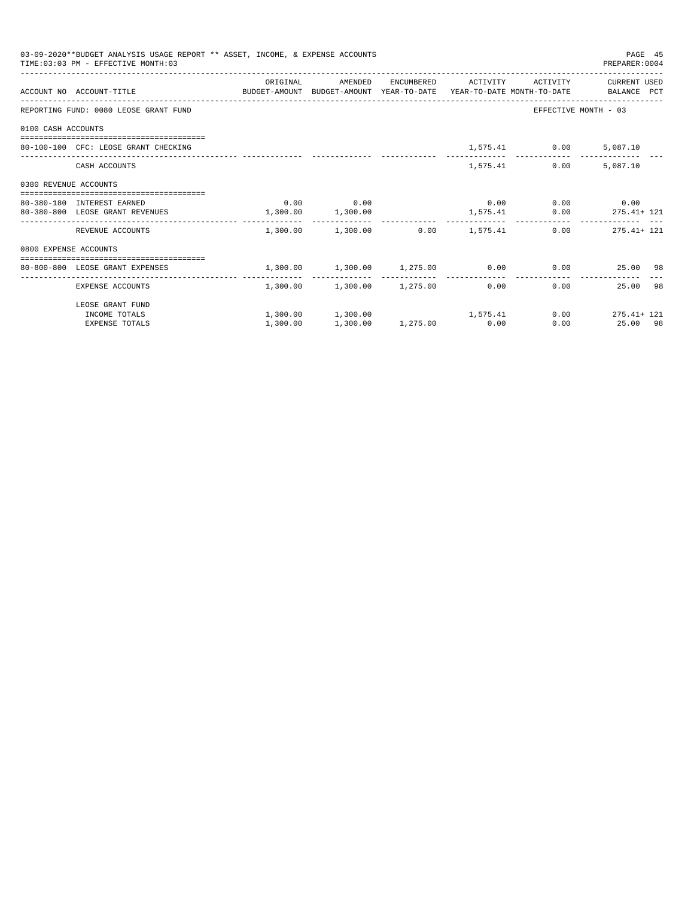|                       | 03-09-2020**BUDGET ANALYSIS USAGE REPORT ** ASSET, INCOME, & EXPENSE ACCOUNTS<br>TIME: 03:03 PM - EFFECTIVE MONTH: 03 |                                                             |                                         |          |                              | PAGE 45<br>PREPARER: 0004      |  |
|-----------------------|-----------------------------------------------------------------------------------------------------------------------|-------------------------------------------------------------|-----------------------------------------|----------|------------------------------|--------------------------------|--|
|                       | ACCOUNT NO ACCOUNT-TITLE COMPUTE BUDGET-AMOUNT BUDGET-AMOUNT YEAR-TO-DATE YEAR-TO-DATE MONTH-TO-DATE BALANCE PCT      | ORIGINAL                                                    | AMENDED                                 |          | ENCUMBERED ACTIVITY ACTIVITY | CURRENT USED                   |  |
|                       | REPORTING FUND: 0080 LEOSE GRANT FUND                                                                                 |                                                             |                                         |          |                              | EFFECTIVE MONTH - 03           |  |
| 0100 CASH ACCOUNTS    |                                                                                                                       |                                                             |                                         |          |                              |                                |  |
|                       | 80-100-100 CFC: LEOSE GRANT CHECKING                                                                                  |                                                             |                                         |          | 1,575.41 0.00                | 5,087.10                       |  |
|                       | CASH ACCOUNTS                                                                                                         |                                                             |                                         | 1,575.41 | 0.00                         | 5,087.10                       |  |
| 0380 REVENUE ACCOUNTS |                                                                                                                       |                                                             |                                         |          |                              |                                |  |
|                       | 80-380-180 INTEREST EARNED                                                                                            |                                                             | $0.00$ 0.00                             |          | $0.00$ $0.00$ $0.00$ $0.00$  |                                |  |
|                       | 80-380-800 LEOSE GRANT REVENUES                                                                                       | $1,300.00$ $1,300.00$                                       |                                         |          |                              | $1,575.41$ 0.00 275.41+ 121    |  |
|                       | REVENUE ACCOUNTS                                                                                                      |                                                             | $1.300.00$ $1.300.00$ $0.00$ $1.575.41$ |          |                              | $0.00$ 275.41+ 121             |  |
| 0800 EXPENSE ACCOUNTS |                                                                                                                       |                                                             |                                         |          |                              |                                |  |
|                       | --------------------------------------<br>80-800-800 LEOSE GRANT EXPENSES                                             | $1,300.00$ $1,300.00$ $1,275.00$ $0.00$ $0.00$ $25.00$ $98$ |                                         |          |                              |                                |  |
|                       | EXPENSE ACCOUNTS                                                                                                      |                                                             | $1,300.00$ $1,300.00$ $1,275.00$ 0.00   |          |                              | ----------<br>25.00 98<br>0.00 |  |
|                       | LEOSE GRANT FUND                                                                                                      |                                                             |                                         |          |                              |                                |  |
|                       | INCOME TOTALS                                                                                                         |                                                             | $1,300.00$ $1,300.00$ $1,575.41$        |          |                              | $0.00$ 275.41+ 121             |  |
|                       | <b>EXPENSE TOTALS</b>                                                                                                 | 1,300.00                                                    | 1,300.00 1,275.00 0.00                  |          |                              | 0.00<br>25.00 98               |  |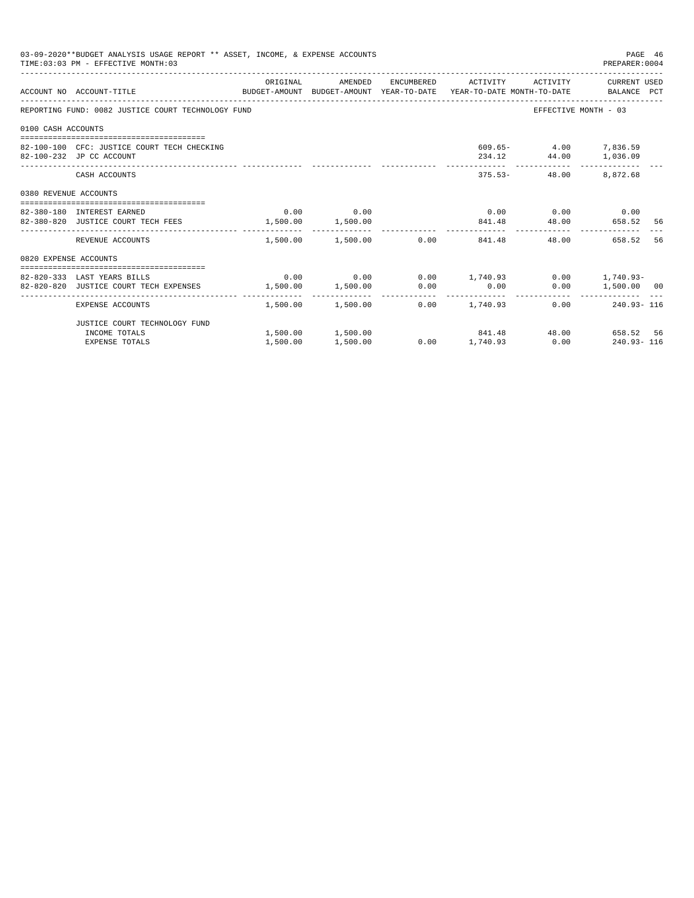|                       | 03-09-2020**BUDGET ANALYSIS USAGE REPORT ** ASSET, INCOME, & EXPENSE ACCOUNTS<br>TIME: 03:03 PM - EFFECTIVE MONTH: 03  |          |             |                                                          |                                                | PAGE 46<br>PREPARER: 0004 |    |
|-----------------------|------------------------------------------------------------------------------------------------------------------------|----------|-------------|----------------------------------------------------------|------------------------------------------------|---------------------------|----|
|                       | ACCOUNT NO ACCOUNT-TITLE COMMONICATION BUDGET-AMOUNT BUDGET-AMOUNT YEAR-TO-DATE YEAR-TO-DATE MONTH-TO-DATE BALANCE PCT | ORIGINAL |             | AMENDED ENCUMBERED ACTIVITY ACTIVITY CURRENTUSED         |                                                |                           |    |
|                       | REPORTING FUND: 0082 JUSTICE COURT TECHNOLOGY FUND                                                                     |          |             |                                                          | EFFECTIVE MONTH - 03                           |                           |    |
| 0100 CASH ACCOUNTS    |                                                                                                                        |          |             |                                                          |                                                |                           |    |
|                       | 82-100-100 CFC: JUSTICE COURT TECH CHECKING<br>82-100-232 JP CC ACCOUNT                                                |          |             |                                                          | 609.65- 4.00 7,836.59<br>234.12 44.00 1,036.09 |                           |    |
|                       | CASH ACCOUNTS                                                                                                          |          |             |                                                          | 375.53- 48.00 8,872.68                         |                           |    |
| 0380 REVENUE ACCOUNTS |                                                                                                                        |          |             |                                                          |                                                |                           |    |
|                       | 82-380-180 INTEREST EARNED                                                                                             |          | $0.00$ 0.00 |                                                          | $0.00$ $0.00$ $0.00$ $0.00$                    |                           |    |
|                       | 82-380-820 JUSTICE COURT TECH FEES 1,500.00 1,500.00                                                                   |          |             | 841.48 48.00 658.52 56                                   |                                                |                           |    |
|                       | REVENUE ACCOUNTS                                                                                                       |          |             | .<br>$1.500.00$ $1.500.00$ $0.00$ $841.48$               | 48.00                                          | 658.52                    | 56 |
| 0820 EXPENSE ACCOUNTS |                                                                                                                        |          |             |                                                          |                                                |                           |    |
|                       |                                                                                                                        |          |             |                                                          |                                                |                           |    |
|                       | 82-820-333 LAST YEARS BILLS                                                                                            |          |             | $0.00$ $0.00$ $0.00$ $1,740.93$ $0.00$ $1,740.93$ $0.00$ |                                                |                           |    |
|                       | 82-820-820 JUSTICE COURT TECH EXPENSES                                                                                 |          |             | 1,500.00 1,500.00 0.00 0.00                              |                                                | $0.00$ 1,500.00 00        |    |
|                       | EXPENSE ACCOUNTS                                                                                                       |          |             | $1,500.00$ $1,500.00$ $0.00$ $1,740.93$                  |                                                | $0.00$ 240.93-116         |    |
|                       | JUSTICE COURT TECHNOLOGY FUND                                                                                          |          |             |                                                          |                                                |                           |    |
|                       | INCOME TOTALS                                                                                                          |          |             | 1,500.00 1,500.00 841.48 48.00 658.52 56                 |                                                |                           |    |
|                       | <b>EXPENSE TOTALS</b>                                                                                                  | 1,500.00 | 1,500.00    | $0.00$ 1,740.93 0.00 240.93-116                          |                                                |                           |    |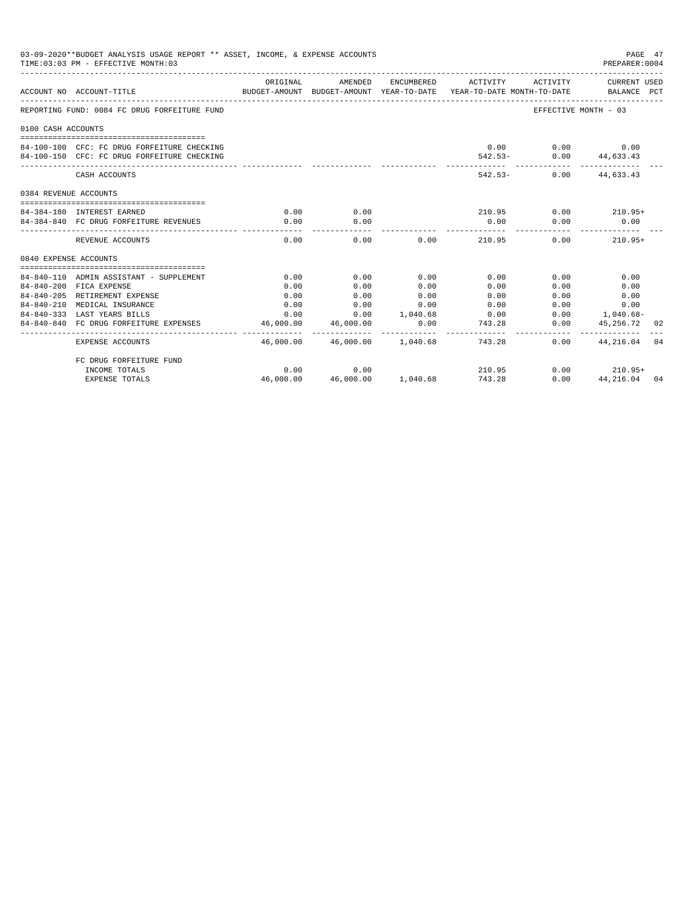|                            | 03-09-2020**BUDGET ANALYSIS USAGE REPORT ** ASSET, INCOME, & EXPENSE ACCOUNTS<br>TIME: 03:03 PM - EFFECTIVE MONTH: 03 |                          |                           |                      |                                                                                                                              |                        | PAGE 47<br>PREPARER: 0004                           |      |
|----------------------------|-----------------------------------------------------------------------------------------------------------------------|--------------------------|---------------------------|----------------------|------------------------------------------------------------------------------------------------------------------------------|------------------------|-----------------------------------------------------|------|
|                            | ACCOUNT NO ACCOUNT-TITLE                                                                                              | ORIGINAL                 | AMENDED                   |                      | ENCUMBERED ACTIVITY ACTIVITY CURRENT USED<br>BUDGET-AMOUNT BUDGET-AMOUNT YEAR-TO-DATE YEAR-TO-DATE MONTH-TO-DATE BALANCE PCT |                        |                                                     |      |
|                            | REPORTING FUND: 0084 FC DRUG FORFEITURE FUND                                                                          |                          |                           |                      |                                                                                                                              | EFFECTIVE MONTH - 03   |                                                     |      |
| 0100 CASH ACCOUNTS         |                                                                                                                       |                          |                           |                      |                                                                                                                              |                        |                                                     |      |
|                            |                                                                                                                       |                          |                           |                      |                                                                                                                              |                        |                                                     |      |
|                            | 84-100-100 CFC: FC DRUG FORFEITURE CHECKING                                                                           |                          |                           |                      |                                                                                                                              | $0.00$ $0.00$ $0.00$   |                                                     |      |
|                            | 84-100-150 CFC: FC DRUG FORFEITURE CHECKING                                                                           |                          |                           |                      |                                                                                                                              | 542.53- 0.00 44,633.43 |                                                     |      |
|                            | CASH ACCOUNTS                                                                                                         |                          |                           |                      |                                                                                                                              | 542.53- 0.00 44.633.43 |                                                     |      |
| 0384 REVENUE ACCOUNTS      |                                                                                                                       |                          |                           |                      |                                                                                                                              |                        |                                                     |      |
|                            |                                                                                                                       |                          |                           |                      |                                                                                                                              |                        |                                                     |      |
| 84-384-180 INTEREST EARNED |                                                                                                                       | 0.00                     | 0.00                      |                      | $210.95$ $0.00$ $210.95+$                                                                                                    |                        |                                                     |      |
|                            | 84-384-840 FC DRUG FORFEITURE REVENUES                                                                                | 0.00                     | 0.00                      |                      | 0.00                                                                                                                         | 0.00                   | 0.00                                                |      |
|                            | REVENUE ACCOUNTS                                                                                                      | 0.00                     | 0.00                      |                      | $0.00$ 210.95                                                                                                                | 0.00                   | $210.95+$                                           |      |
| 0840 EXPENSE ACCOUNTS      |                                                                                                                       |                          |                           |                      |                                                                                                                              |                        |                                                     |      |
|                            |                                                                                                                       |                          |                           |                      |                                                                                                                              |                        |                                                     |      |
|                            | 84-840-110 ADMIN ASSISTANT - SUPPLEMENT                                                                               | 0.00                     | 0.00                      | 0.00                 | 0.00                                                                                                                         | 0.00                   | 0.00                                                |      |
|                            | 84-840-200 FICA EXPENSE                                                                                               | 0.00                     | 0.00                      | 0.00                 | 0.00                                                                                                                         | 0.00                   | 0.00                                                |      |
|                            | 84-840-205 RETIREMENT EXPENSE                                                                                         | 0.00                     | 0.00                      | 0.00                 | 0.00                                                                                                                         | 0.00                   | 0.00                                                |      |
| $84 - 840 - 210$           | MEDICAL INSURANCE                                                                                                     | 0.00                     | 0.00                      | 0.00                 | 0.00                                                                                                                         | $0.00$ and $0.00$      | 0.00                                                |      |
|                            | 84-840-333 LAST YEARS BILLS                                                                                           |                          |                           |                      | $0.00$ $0.00$ $1.040.68$ $0.00$                                                                                              |                        | $0.00$ 1,040.68-                                    |      |
|                            | 84-840-840 FC DRUG FORFEITURE EXPENSES                                                                                | 46,000.00<br>----------- | 46,000.00<br>____________ | 0.00<br>------------ | 743.28<br>.                                                                                                                  |                        | $0.00$ $45,256.72$<br>_____________________________ | - 02 |
|                            | EXPENSE ACCOUNTS                                                                                                      |                          |                           |                      | 46,000.00  46,000.00  1,040.68  743.28                                                                                       |                        | $0.00$ $44.216.04$ 04                               |      |
|                            | FC DRUG FORFEITURE FUND                                                                                               |                          |                           |                      |                                                                                                                              |                        |                                                     |      |
|                            | INCOME TOTALS                                                                                                         | 0.00                     | 0.00                      |                      | 210.95                                                                                                                       |                        | $0.00$ 210.95+                                      |      |
|                            | <b>EXPENSE TOTALS</b>                                                                                                 | 46,000.00                |                           | 46,000.00 1,040.68   | 743.28                                                                                                                       | 0.00                   | 44, 216, 04 04                                      |      |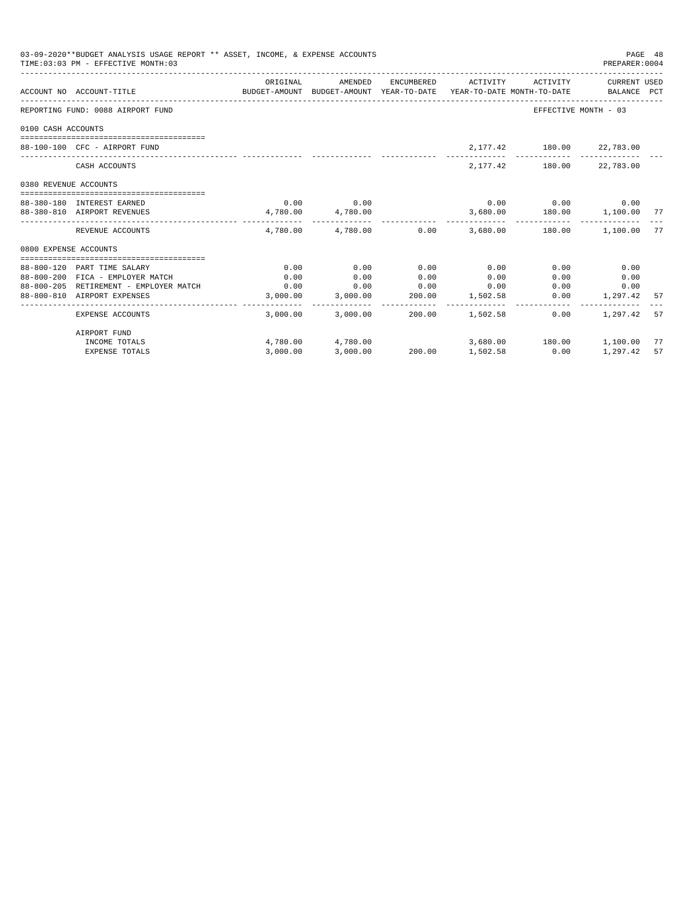| 03-09-2020**BUDGET ANALYSIS USAGE REPORT ** ASSET, INCOME, & EXPENSE ACCOUNTS<br>PAGE 48<br>TIME: 03:03 PM - EFFECTIVE MONTH: 03<br>PREPARER:0004<br>ENCUMBERED ACTIVITY ACTIVITY CURRENT USED<br>AMENDED |                                                                            |                                                                                             |                         |        |                                                  |                                   |                         |      |
|-----------------------------------------------------------------------------------------------------------------------------------------------------------------------------------------------------------|----------------------------------------------------------------------------|---------------------------------------------------------------------------------------------|-------------------------|--------|--------------------------------------------------|-----------------------------------|-------------------------|------|
|                                                                                                                                                                                                           | ACCOUNT NO ACCOUNT-TITLE                                                   | ORIGINAL<br>BUDGET-AMOUNT BUDGET-AMOUNT YEAR-TO-DATE YEAR-TO-DATE MONTH-TO-DATE BALANCE PCT |                         |        |                                                  |                                   |                         |      |
|                                                                                                                                                                                                           | REPORTING FUND: 0088 AIRPORT FUND                                          |                                                                                             |                         |        |                                                  | EFFECTIVE MONTH - 03              |                         |      |
| 0100 CASH ACCOUNTS                                                                                                                                                                                        |                                                                            |                                                                                             |                         |        |                                                  |                                   |                         |      |
|                                                                                                                                                                                                           |                                                                            |                                                                                             |                         |        |                                                  |                                   |                         |      |
|                                                                                                                                                                                                           | 88-100-100 CFC - AIRPORT FUND                                              |                                                                                             |                         |        |                                                  | 2,177.42 180.00 22,783.00         |                         |      |
|                                                                                                                                                                                                           | CASH ACCOUNTS                                                              |                                                                                             |                         |        |                                                  | 2,177.42 180.00 22,783.00         |                         |      |
| 0380 REVENUE ACCOUNTS                                                                                                                                                                                     |                                                                            |                                                                                             |                         |        |                                                  |                                   |                         |      |
|                                                                                                                                                                                                           | 88-380-180 INTEREST EARNED                                                 |                                                                                             | $0.00$ 0.00             |        |                                                  | $0.00$ $0.00$ $0.00$ $0.00$       |                         |      |
|                                                                                                                                                                                                           | 88-380-810 AIRPORT REVENUES                                                |                                                                                             | 4,780.00 4,780.00       |        |                                                  | 3,680.00   180.00   1,100.00   77 |                         |      |
|                                                                                                                                                                                                           | REVENUE ACCOUNTS                                                           |                                                                                             |                         |        | $4.780.00$ $4.780.00$ $0.00$ $3.680.00$ $180.00$ |                                   | 1,100.00                | 77   |
| 0800 EXPENSE ACCOUNTS                                                                                                                                                                                     |                                                                            |                                                                                             |                         |        |                                                  |                                   |                         |      |
|                                                                                                                                                                                                           |                                                                            |                                                                                             |                         |        | 0.00                                             |                                   |                         |      |
|                                                                                                                                                                                                           | 88-800-120 PART TIME SALARY                                                | 0.00                                                                                        | 0.00                    | 0.00   |                                                  | 0.00                              | 0.00                    |      |
|                                                                                                                                                                                                           | 88-800-200 FICA - EMPLOYER MATCH<br>88-800-205 RETIREMENT - EMPLOYER MATCH | 0.00<br>0.00                                                                                | 0.00                    | 0.00   | 0.00<br>0.00                                     | 0.00                              | 0.00                    |      |
|                                                                                                                                                                                                           | 88-800-810 AIRPORT EXPENSES                                                | 3,000.00                                                                                    | 0.00<br>3,000.00 200.00 | 0.00   | 1,502.58                                         | 0.00                              | $0.00$ 0.00<br>1,297.42 | 57   |
|                                                                                                                                                                                                           |                                                                            |                                                                                             |                         |        |                                                  |                                   |                         |      |
|                                                                                                                                                                                                           | EXPENSE ACCOUNTS                                                           |                                                                                             | 3,000.00 3,000.00       | 200.00 | 1,502.58                                         | 0.00                              | 1,297.42                | - 57 |
|                                                                                                                                                                                                           | AIRPORT FUND                                                               |                                                                                             |                         |        |                                                  |                                   |                         |      |
|                                                                                                                                                                                                           | INCOME TOTALS                                                              |                                                                                             | 4,780.00 4,780.00       |        |                                                  | 3,680.00   180.00   1,100.00      |                         | 77   |
|                                                                                                                                                                                                           | <b>EXPENSE TOTALS</b>                                                      | 3.000.00                                                                                    | 3,000.00                |        | 200.00 1,502.58                                  | 0.00                              | 1,297.42                | 57   |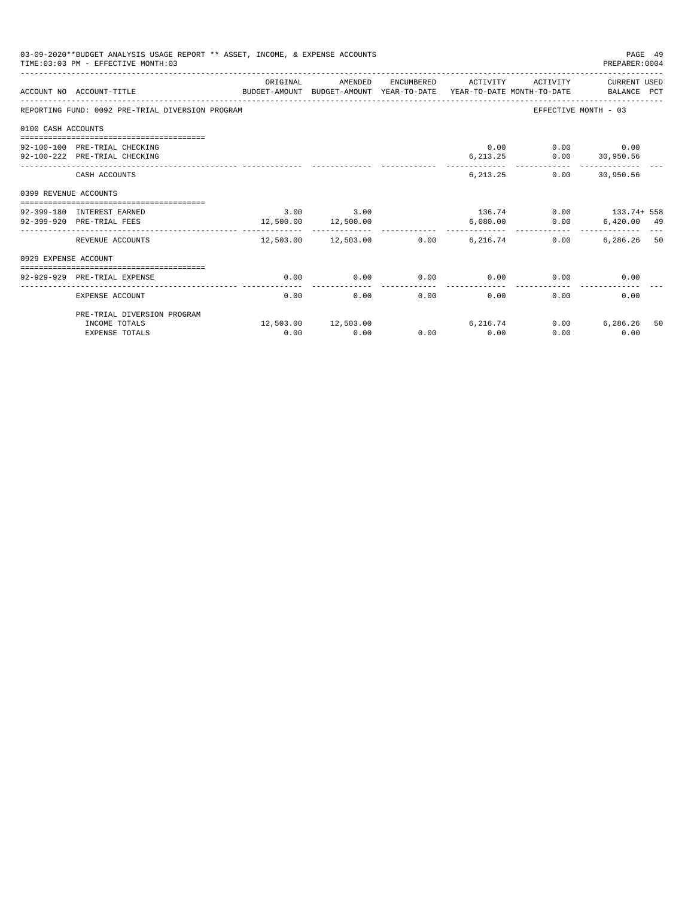| 03-09-2020**BUDGET ANALYSIS USAGE REPORT ** ASSET, INCOME, & EXPENSE ACCOUNTS<br>PAGE 49<br>TIME: 03:03 PM - EFFECTIVE MONTH: 03<br>PREPARER: 0004 |                                                                                                             |          |                                                   |      |                     |                                                  |                       |    |  |  |
|----------------------------------------------------------------------------------------------------------------------------------------------------|-------------------------------------------------------------------------------------------------------------|----------|---------------------------------------------------|------|---------------------|--------------------------------------------------|-----------------------|----|--|--|
|                                                                                                                                                    | BUDGET-AMOUNT BUDGET-AMOUNT YEAR-TO-DATE YEAR-TO-DATE MONTH-TO-DATE BALANCE PCT<br>ACCOUNT NO ACCOUNT-TITLE | ORIGINAL | AMENDED                                           |      | ENCUMBERED ACTIVITY |                                                  | ACTIVITY CURRENT USED |    |  |  |
|                                                                                                                                                    | REPORTING FUND: 0092 PRE-TRIAL DIVERSION PROGRAM                                                            |          |                                                   |      |                     |                                                  | EFFECTIVE MONTH - 03  |    |  |  |
| 0100 CASH ACCOUNTS                                                                                                                                 |                                                                                                             |          |                                                   |      |                     |                                                  |                       |    |  |  |
|                                                                                                                                                    |                                                                                                             |          |                                                   |      |                     |                                                  |                       |    |  |  |
|                                                                                                                                                    | 92-100-100 PRE-TRIAL CHECKING                                                                               |          |                                                   |      |                     | 0.00                                             | $0.00$ 0.00           |    |  |  |
|                                                                                                                                                    | 92-100-222 PRE-TRIAL CHECKING                                                                               |          |                                                   |      | -----------         | $6, 213.25$ $0.00$ $30, 950.56$<br>------------- | -------------         |    |  |  |
|                                                                                                                                                    | CASH ACCOUNTS                                                                                               |          |                                                   |      |                     | 6, 213, 25                                       | $0.00$ 30.950.56      |    |  |  |
| 0399 REVENUE ACCOUNTS                                                                                                                              |                                                                                                             |          |                                                   |      |                     |                                                  |                       |    |  |  |
|                                                                                                                                                    |                                                                                                             |          |                                                   |      |                     |                                                  |                       |    |  |  |
|                                                                                                                                                    | 92-399-180 INTEREST EARNED<br>92-399-920 PRE-TRIAL FEES                                                     |          | 3.00 3.00                                         |      | 6.080.00            | $136.74$ 0.00 $133.74 + 558$                     |                       |    |  |  |
|                                                                                                                                                    |                                                                                                             |          | 12,500.00 12,500.00<br>__________________________ |      | ------------        |                                                  | $0.00$ 6,420.00 49    |    |  |  |
|                                                                                                                                                    | REVENUE ACCOUNTS                                                                                            |          | $12,503.00$ $12,503.00$ $0.00$ $6,216.74$         |      |                     | 0.00                                             | 6.286.26 50           |    |  |  |
| 0929 EXPENSE ACCOUNT                                                                                                                               |                                                                                                             |          |                                                   |      |                     |                                                  |                       |    |  |  |
|                                                                                                                                                    |                                                                                                             |          |                                                   |      |                     |                                                  |                       |    |  |  |
|                                                                                                                                                    | 92-929-929 PRE-TRIAL EXPENSE                                                                                | 0.00     | 0.00                                              | 0.00 | 0.00                | 0.00                                             | 0.00                  |    |  |  |
|                                                                                                                                                    | EXPENSE ACCOUNT                                                                                             | 0.00     | 0.00                                              | 0.00 | 0.00                | 0.00                                             | 0.00                  |    |  |  |
|                                                                                                                                                    | PRE-TRIAL DIVERSION PROGRAM                                                                                 |          |                                                   |      |                     |                                                  |                       |    |  |  |
|                                                                                                                                                    | INCOME TOTALS                                                                                               |          | 12,503.00 12,503.00                               |      | 6, 216.74           | 0.00                                             | 6,286.26              | 50 |  |  |
|                                                                                                                                                    | <b>EXPENSE TOTALS</b>                                                                                       | 0.00     | 0.00                                              | 0.00 | 0.00                | 0.00                                             | 0.00                  |    |  |  |